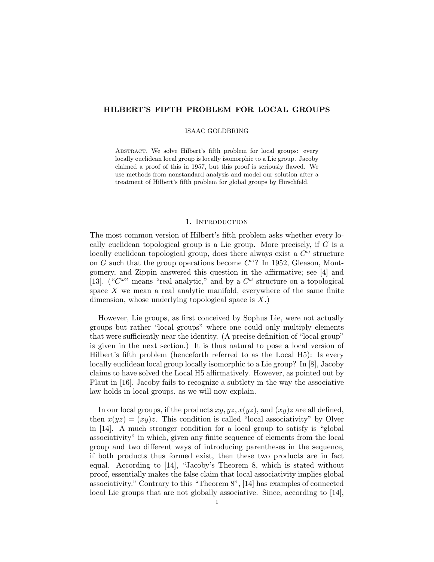# HILBERT'S FIFTH PROBLEM FOR LOCAL GROUPS

#### ISAAC GOLDBRING

ABSTRACT. We solve Hilbert's fifth problem for local groups: every locally euclidean local group is locally isomorphic to a Lie group. Jacoby claimed a proof of this in 1957, but this proof is seriously flawed. We use methods from nonstandard analysis and model our solution after a treatment of Hilbert's fifth problem for global groups by Hirschfeld.

## 1. INTRODUCTION

The most common version of Hilbert's fifth problem asks whether every locally euclidean topological group is a Lie group. More precisely, if  $G$  is a locally euclidean topological group, does there always exist a  $C^{\omega}$  structure on G such that the group operations become  $C^{\omega}$ ? In 1952, Gleason, Montgomery, and Zippin answered this question in the affirmative; see [4] and [13]. (" $C^{\omega}$ " means "real analytic," and by a  $C^{\omega}$  structure on a topological space  $X$  we mean a real analytic manifold, everywhere of the same finite dimension, whose underlying topological space is  $X$ .)

However, Lie groups, as first conceived by Sophus Lie, were not actually groups but rather "local groups" where one could only multiply elements that were sufficiently near the identity. (A precise definition of "local group" is given in the next section.) It is thus natural to pose a local version of Hilbert's fifth problem (henceforth referred to as the Local H5): Is every locally euclidean local group locally isomorphic to a Lie group? In [8], Jacoby claims to have solved the Local H5 affirmatively. However, as pointed out by Plaut in [16], Jacoby fails to recognize a subtlety in the way the associative law holds in local groups, as we will now explain.

In our local groups, if the products  $xy, yz, x(yz)$ , and  $(xy)z$  are all defined, then  $x(yz) = (xy)z$ . This condition is called "local associativity" by Olver in [14]. A much stronger condition for a local group to satisfy is "global associativity" in which, given any finite sequence of elements from the local group and two different ways of introducing parentheses in the sequence, if both products thus formed exist, then these two products are in fact equal. According to [14], "Jacoby's Theorem 8, which is stated without proof, essentially makes the false claim that local associativity implies global associativity." Contrary to this "Theorem 8", [14] has examples of connected local Lie groups that are not globally associative. Since, according to [14],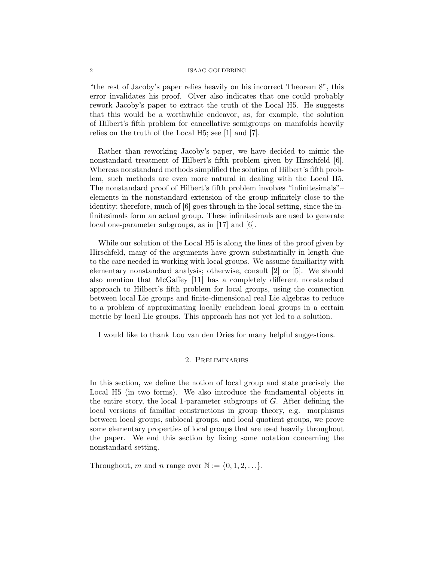"the rest of Jacoby's paper relies heavily on his incorrect Theorem 8", this error invalidates his proof. Olver also indicates that one could probably rework Jacoby's paper to extract the truth of the Local H5. He suggests that this would be a worthwhile endeavor, as, for example, the solution of Hilbert's fifth problem for cancellative semigroups on manifolds heavily relies on the truth of the Local H5; see [1] and [7].

Rather than reworking Jacoby's paper, we have decided to mimic the nonstandard treatment of Hilbert's fifth problem given by Hirschfeld [6]. Whereas nonstandard methods simplified the solution of Hilbert's fifth problem, such methods are even more natural in dealing with the Local H5. The nonstandard proof of Hilbert's fifth problem involves "infinitesimals"– elements in the nonstandard extension of the group infinitely close to the identity; therefore, much of [6] goes through in the local setting, since the infinitesimals form an actual group. These infinitesimals are used to generate local one-parameter subgroups, as in [17] and [6].

While our solution of the Local H5 is along the lines of the proof given by Hirschfeld, many of the arguments have grown substantially in length due to the care needed in working with local groups. We assume familiarity with elementary nonstandard analysis; otherwise, consult [2] or [5]. We should also mention that McGaffey [11] has a completely different nonstandard approach to Hilbert's fifth problem for local groups, using the connection between local Lie groups and finite-dimensional real Lie algebras to reduce to a problem of approximating locally euclidean local groups in a certain metric by local Lie groups. This approach has not yet led to a solution.

I would like to thank Lou van den Dries for many helpful suggestions.

# 2. Preliminaries

In this section, we define the notion of local group and state precisely the Local H5 (in two forms). We also introduce the fundamental objects in the entire story, the local 1-parameter subgroups of G. After defining the local versions of familiar constructions in group theory, e.g. morphisms between local groups, sublocal groups, and local quotient groups, we prove some elementary properties of local groups that are used heavily throughout the paper. We end this section by fixing some notation concerning the nonstandard setting.

Throughout, m and n range over  $\mathbb{N} := \{0, 1, 2, \ldots\}.$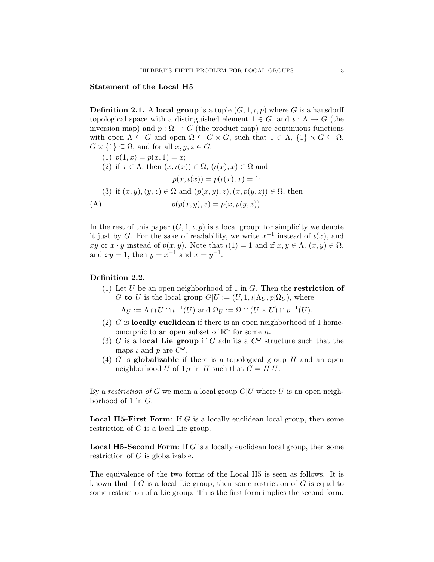## Statement of the Local H5

**Definition 2.1.** A local group is a tuple  $(G, 1, \iota, p)$  where G is a hausdorff topological space with a distinguished element  $1 \in G$ , and  $\iota : \Lambda \to G$  (the inversion map) and  $p: \Omega \to G$  (the product map) are continuous functions with open  $\Lambda \subseteq G$  and open  $\Omega \subseteq G \times G$ , such that  $1 \in \Lambda$ ,  $\{1\} \times G \subseteq \Omega$ ,  $G \times \{1\} \subseteq \Omega$ , and for all  $x, y, z \in G$ :

(1) 
$$
p(1, x) = p(x, 1) = x;
$$
  
\n(2) if  $x \in \Lambda$ , then  $(x, \iota(x)) \in \Omega$ ,  $(\iota(x), x) \in \Omega$  and  
\n $p(x, \iota(x)) = p(\iota(x), x) = 1;$   
\n(3) if  $(x, y), (y, z) \in \Omega$  and  $(p(x, y), z), (x, p(y, z)) \in \Omega$ , then  
\n(A)  $p(p(x, y), z) = p(x, p(y, z)).$ 

In the rest of this paper  $(G, 1, \iota, p)$  is a local group; for simplicity we denote it just by G. For the sake of readability, we write  $x^{-1}$  instead of  $\iota(x)$ , and xy or  $x \cdot y$  instead of  $p(x, y)$ . Note that  $\iota(1) = 1$  and if  $x, y \in \Lambda$ ,  $(x, y) \in \Omega$ , and  $xy = 1$ , then  $y = x^{-1}$  and  $x = y^{-1}$ .

## Definition 2.2.

(1) Let U be an open neighborhood of 1 in  $G$ . Then the **restriction of** G to U is the local group  $G|U := (U, 1, \iota|\Lambda_U, p|\Omega_U)$ , where

 $\Lambda_U := \Lambda \cap U \cap \iota^{-1}(U)$  and  $\Omega_U := \Omega \cap (U \times U) \cap p^{-1}(U)$ .

- (2)  $G$  is locally euclidean if there is an open neighborhood of 1 homeomorphic to an open subset of  $\mathbb{R}^n$  for some n.
- (3) G is a local Lie group if G admits a  $C^{\omega}$  structure such that the maps  $\iota$  and  $p$  are  $C^{\omega}$ .
- (4) G is globalizable if there is a topological group  $H$  and an open neighborhood U of  $1_H$  in H such that  $G = H|U$ .

By a restriction of G we mean a local group  $G|U$  where U is an open neighborhood of 1 in G.

**Local H5-First Form:** If G is a locally euclidean local group, then some restriction of G is a local Lie group.

**Local H5-Second Form:** If G is a locally euclidean local group, then some restriction of  $G$  is globalizable.

The equivalence of the two forms of the Local H5 is seen as follows. It is known that if  $G$  is a local Lie group, then some restriction of  $G$  is equal to some restriction of a Lie group. Thus the first form implies the second form.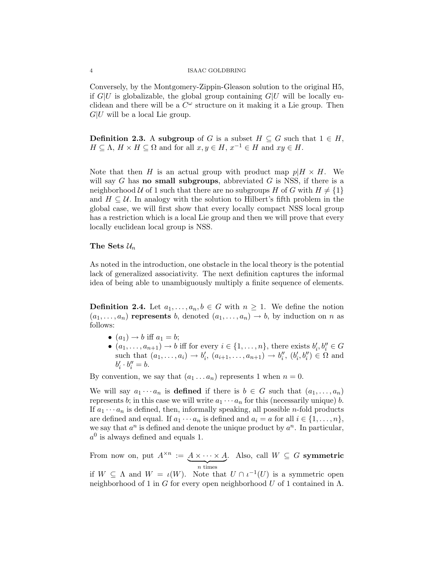Conversely, by the Montgomery-Zippin-Gleason solution to the original H5, if  $G|U$  is globalizable, the global group containing  $G|U$  will be locally euclidean and there will be a  $C^{\omega}$  structure on it making it a Lie group. Then  $G|U$  will be a local Lie group.

**Definition 2.3.** A subgroup of G is a subset  $H \subseteq G$  such that  $1 \in H$ ,  $H \subseteq \Lambda$ ,  $H \times H \subseteq \Omega$  and for all  $x, y \in H$ ,  $x^{-1} \in H$  and  $xy \in H$ .

Note that then H is an actual group with product map  $p|H \times H$ . We will say G has **no small subgroups**, abbreviated G is NSS, if there is a neighborhood U of 1 such that there are no subgroups H of G with  $H \neq \{1\}$ and  $H \subseteq \mathcal{U}$ . In analogy with the solution to Hilbert's fifth problem in the global case, we will first show that every locally compact NSS local group has a restriction which is a local Lie group and then we will prove that every locally euclidean local group is NSS.

# The Sets  $\mathcal{U}_n$

As noted in the introduction, one obstacle in the local theory is the potential lack of generalized associativity. The next definition captures the informal idea of being able to unambiguously multiply a finite sequence of elements.

**Definition 2.4.** Let  $a_1, \ldots, a_n, b \in G$  with  $n \geq 1$ . We define the notion  $(a_1, \ldots, a_n)$  represents b, denoted  $(a_1, \ldots, a_n) \rightarrow b$ , by induction on n as follows:

- $(a_1) \rightarrow b$  iff  $a_1 = b$ ;
- $(a_1, \ldots, a_{n+1}) \to b$  iff for every  $i \in \{1, \ldots, n\}$ , there exists  $b'_i, b''_i \in G$ such that  $(a_1, ..., a_i) \to b'_i, (a_{i+1}, ..., a_{n+1}) \to b''_i, (b'_i, b''_i) \in \Omega$  and  $b'_i \cdot b''_i = b.$

By convention, we say that  $(a_1 \ldots a_n)$  represents 1 when  $n = 0$ .

We will say  $a_1 \cdots a_n$  is **defined** if there is  $b \in G$  such that  $(a_1, \ldots, a_n)$ represents b; in this case we will write  $a_1 \cdots a_n$  for this (necessarily unique) b. If  $a_1 \cdots a_n$  is defined, then, informally speaking, all possible *n*-fold products are defined and equal. If  $a_1 \cdots a_n$  is defined and  $a_i = a$  for all  $i \in \{1, \ldots, n\}$ , we say that  $a^n$  is defined and denote the unique product by  $a^n$ . In particular,  $a<sup>0</sup>$  is always defined and equals 1.

From now on, put  $A^{\times n} := A \times \cdots \times A$  $\overline{n}$  times . Also, call  $W \subseteq G$  symmetric

if  $W \subseteq \Lambda$  and  $W = \iota(W)$ . Note that  $U \cap \iota^{-1}(U)$  is a symmetric open neighborhood of 1 in G for every open neighborhood U of 1 contained in  $\Lambda$ .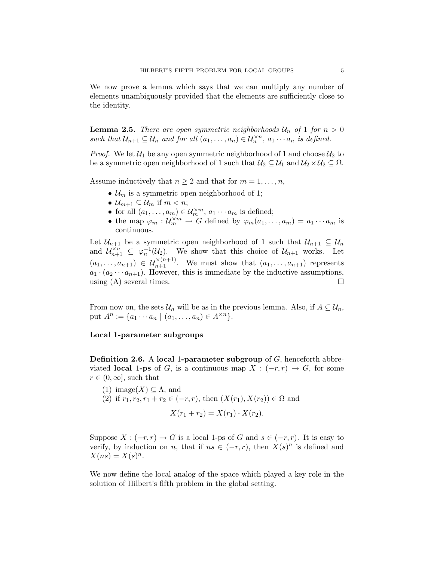We now prove a lemma which says that we can multiply any number of elements unambiguously provided that the elements are sufficiently close to the identity.

**Lemma 2.5.** There are open symmetric neighborhoods  $U_n$  of 1 for  $n > 0$ such that  $\mathcal{U}_{n+1} \subseteq \mathcal{U}_n$  and for all  $(a_1, \ldots, a_n) \in \mathcal{U}_n^{\times n}$ ,  $a_1 \cdots a_n$  is defined.

*Proof.* We let  $U_1$  be any open symmetric neighborhood of 1 and choose  $U_2$  to be a symmetric open neighborhood of 1 such that  $\mathcal{U}_2 \subseteq \mathcal{U}_1$  and  $\mathcal{U}_2 \times \mathcal{U}_2 \subseteq \Omega$ .

Assume inductively that  $n \geq 2$  and that for  $m = 1, \ldots, n$ ,

- $\mathcal{U}_m$  is a symmetric open neighborhood of 1;
- $\mathcal{U}_{m+1} \subseteq \mathcal{U}_m$  if  $m < n$ ;
- for all  $(a_1, \ldots, a_m) \in \mathcal{U}_m^{\times m}$ ,  $a_1 \cdots a_m$  is defined;
- the map  $\varphi_m: \mathcal{U}_m^{\times m} \to G$  defined by  $\varphi_m(a_1, \ldots, a_m) = a_1 \cdots a_m$  is continuous.

Let  $\mathcal{U}_{n+1}$  be a symmetric open neighborhood of 1 such that  $\mathcal{U}_{n+1} \subseteq \mathcal{U}_n$ and  $\mathcal{U}_{n+1}^{\times n} \subseteq \varphi_n^{-1}(\mathcal{U}_2)$ . We show that this choice of  $\mathcal{U}_{n+1}$  works. Let  $(a_1, \ldots, a_{n+1}) \in \mathcal{U}_{n+1}^{\times (n+1)}$ . We must show that  $(a_1, \ldots, a_{n+1})$  represents  $a_1 \cdot (a_2 \cdots a_{n+1})$ . However, this is immediate by the inductive assumptions, using  $(A)$  several times.

From now on, the sets  $\mathcal{U}_n$  will be as in the previous lemma. Also, if  $A \subseteq \mathcal{U}_n$ , put  $A^n := \{a_1 \cdots a_n \mid (a_1, \ldots, a_n) \in A^{\times n}\}.$ 

## Local 1-parameter subgroups

**Definition 2.6.** A local 1-parameter subgroup of  $G$ , henceforth abbreviated **local 1-ps** of G, is a continuous map  $X : (-r, r) \rightarrow G$ , for some  $r \in (0,\infty]$ , such that

(1) image(X)  $\subset \Lambda$ , and (2) if  $r_1, r_2, r_1 + r_2 \in (-r, r)$ , then  $(X(r_1), X(r_2)) \in \Omega$  and  $X(r_1 + r_2) = X(r_1) \cdot X(r_2).$ 

Suppose  $X: (-r,r) \to G$  is a local 1-ps of G and  $s \in (-r,r)$ . It is easy to verify, by induction on n, that if  $ns \in (-r, r)$ , then  $X(s)^n$  is defined and  $X(ns) = X(s)^n$ .

We now define the local analog of the space which played a key role in the solution of Hilbert's fifth problem in the global setting.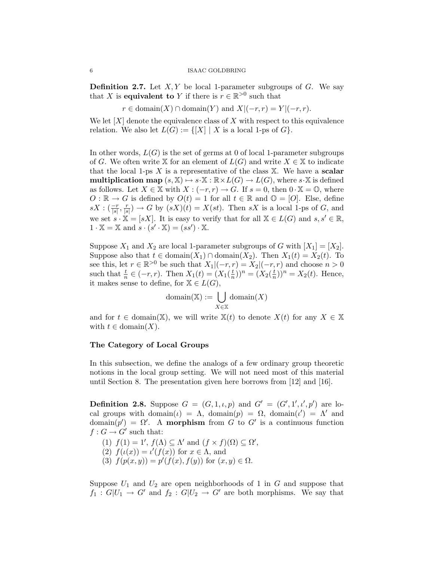**Definition 2.7.** Let  $X, Y$  be local 1-parameter subgroups of  $G$ . We say that X is **equivalent to** Y if there is  $r \in \mathbb{R}^{>0}$  such that

$$
r \in \text{domain}(X) \cap \text{domain}(Y) \text{ and } X|(-r, r) = Y|(-r, r).
$$

We let  $[X]$  denote the equivalence class of X with respect to this equivalence relation. We also let  $L(G) := \{ [X] | X$  is a local 1-ps of  $G \}.$ 

In other words,  $L(G)$  is the set of germs at 0 of local 1-parameter subgroups of G. We often write X for an element of  $L(G)$  and write  $X \in \mathbb{X}$  to indicate that the local 1-ps  $X$  is a representative of the class  $X$ . We have a scalar **multiplication map**  $(s, \mathbb{X}) \rightarrow s \cdot \mathbb{X} : \mathbb{R} \times L(G) \rightarrow L(G)$ , where s $\cdot \mathbb{X}$  is defined as follows. Let  $X \in \mathbb{X}$  with  $X : (-r, r) \to G$ . If  $s = 0$ , then  $0 \cdot \mathbb{X} = \mathbb{O}$ , where  $O : \mathbb{R} \to G$  is defined by  $O(t) = 1$  for all  $t \in \mathbb{R}$  and  $\mathbb{O} = [O]$ . Else, define  $sX$  :  $\left(\frac{-r}{|s|}, \frac{r}{|s|}\right)$  $\frac{r}{|s|}$   $\rightarrow$  G by  $(sX)(t) = X(st)$ . Then sX is a local 1-ps of G, and we set  $s \cdot \mathbb{X} = [sX]$ . It is easy to verify that for all  $\mathbb{X} \in L(G)$  and  $s, s' \in \mathbb{R}$ ,  $1 \cdot \mathbb{X} = \mathbb{X}$  and  $s \cdot (s' \cdot \mathbb{X}) = (ss') \cdot \mathbb{X}$ .

Suppose  $X_1$  and  $X_2$  are local 1-parameter subgroups of G with  $[X_1] = [X_2]$ . Suppose also that  $t \in \text{domain}(X_1) \cap \text{domain}(X_2)$ . Then  $X_1(t) = X_2(t)$ . To see this, let  $r \in \mathbb{R}^{>0}$  be such that  $X_1|(-r, r) = X_2|(-r, r)$  and choose  $n > 0$ such that  $\frac{t}{n} \in (-r, r)$ . Then  $X_1(t) = (X_1(\frac{t}{n})$  $(\frac{t}{n})^n = (X_2(\frac{t}{n}))$  $(\frac{t}{n}))^n = X_2(t)$ . Hence, it makes sense to define, for  $\mathbb{X} \in L(G)$ ,

$$
\textrm{domain}(\mathbb{X}):=\bigcup_{X\in\mathbb{X}}\textrm{domain}(X)
$$

and for  $t \in \text{domain}(\mathbb{X})$ , we will write  $\mathbb{X}(t)$  to denote  $X(t)$  for any  $X \in \mathbb{X}$ with  $t \in \text{domain}(X)$ .

## The Category of Local Groups

In this subsection, we define the analogs of a few ordinary group theoretic notions in the local group setting. We will not need most of this material until Section 8. The presentation given here borrows from [12] and [16].

**Definition 2.8.** Suppose  $G = (G, 1, \iota, p)$  and  $G' = (G', 1', \iota', p')$  are local groups with domain $(\iota) = \Lambda$ , domain $(p) = \Omega$ , domain $(\iota') = \Lambda'$  and domain $(p') = \Omega'$ . A morphism from G to G' is a continuous function  $f: G \to G'$  such that:

- (1)  $f(1) = 1'$ ,  $f(\Lambda) \subseteq \Lambda'$  and  $(f \times f)(\Omega) \subseteq \Omega'$ , (2)  $f(\iota(x)) = \iota'(f(x))$  for  $x \in \Lambda$ , and
- (3)  $f(p(x, y)) = p'(f(x), f(y))$  for  $(x, y) \in \Omega$ .

Suppose  $U_1$  and  $U_2$  are open neighborhoods of 1 in G and suppose that  $f_1: G|U_1 \to G'$  and  $f_2: G|U_2 \to G'$  are both morphisms. We say that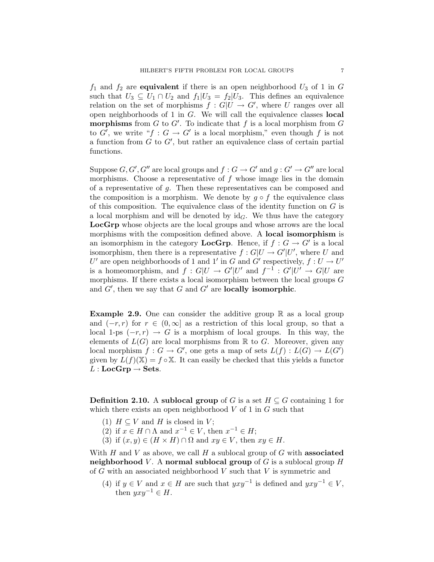$f_1$  and  $f_2$  are **equivalent** if there is an open neighborhood  $U_3$  of 1 in G such that  $U_3 \subseteq U_1 \cap U_2$  and  $f_1|U_3 = f_2|U_3$ . This defines an equivalence relation on the set of morphisms  $f: G|U \to G'$ , where U ranges over all open neighborhoods of 1 in G. We will call the equivalence classes local morphisms from  $G$  to  $G'$ . To indicate that  $f$  is a local morphism from  $G$ to G', we write " $f: G \to G'$  is a local morphism," even though f is not a function from  $G$  to  $G'$ , but rather an equivalence class of certain partial functions.

Suppose  $G, G', G''$  are local groups and  $f : G \to G'$  and  $g : G' \to G''$  are local morphisms. Choose a representative of  $f$  whose image lies in the domain of a representative of g. Then these representatives can be composed and the composition is a morphism. We denote by  $g \circ f$  the equivalence class of this composition. The equivalence class of the identity function on  $G$  is a local morphism and will be denoted by  $id_G$ . We thus have the category LocGrp whose objects are the local groups and whose arrows are the local morphisms with the composition defined above. A local isomorphism is an isomorphism in the category **LocGrp**. Hence, if  $f : G \to G'$  is a local isomorphism, then there is a representative  $f: G|U \to G'|U'$ , where U and U' are open neighborhoods of 1 and 1' in G and G' respectively,  $f: U \to U'$ is a homeomorphism, and  $f: G|U \to G'|U'$  and  $f^{-1}: G'|U' \to G|U$  are morphisms. If there exists a local isomorphism between the local groups  $G$ and  $G'$ , then we say that  $G$  and  $G'$  are locally isomorphic.

**Example 2.9.** One can consider the additive group  $\mathbb{R}$  as a local group and  $(-r, r)$  for  $r \in (0, \infty]$  as a restriction of this local group, so that a local 1-ps  $(-r, r) \rightarrow G$  is a morphism of local groups. In this way, the elements of  $L(G)$  are local morphisms from  $\mathbb R$  to G. Moreover, given any local morphism  $f: G \to G'$ , one gets a map of sets  $L(f): L(G) \to L(G')$ given by  $L(f)(X) = f \circ X$ . It can easily be checked that this yields a functor  $L : LocGrp \rightarrow Sets.$ 

**Definition 2.10.** A sublocal group of G is a set  $H \subseteq G$  containing 1 for which there exists an open neighborhood  $V$  of 1 in  $G$  such that

- (1)  $H \subseteq V$  and H is closed in V;
- (2) if  $x \in H \cap \Lambda$  and  $x^{-1} \in V$ , then  $x^{-1} \in H$ ;
- (3) if  $(x, y) \in (H \times H) \cap \Omega$  and  $xy \in V$ , then  $xy \in H$ .

With  $H$  and  $V$  as above, we call  $H$  a sublocal group of  $G$  with **associated** neighborhood V. A normal sublocal group of G is a sublocal group  $H$ of  $G$  with an associated neighborhood  $V$  such that  $V$  is symmetric and

(4) if  $y \in V$  and  $x \in H$  are such that  $yxy^{-1}$  is defined and  $yxy^{-1} \in V$ , then  $uxu^{-1} \in H$ .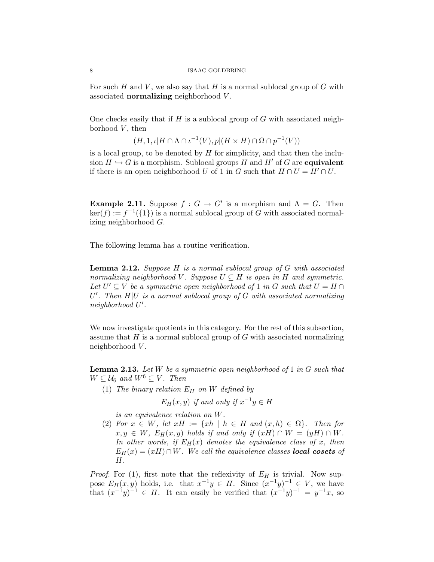For such H and V, we also say that H is a normal sublocal group of  $G$  with associated **normalizing** neighborhood V.

One checks easily that if H is a sublocal group of  $G$  with associated neighborhood  $V$ , then

$$
(H, 1, \iota | H \cap \Lambda \cap \iota^{-1}(V), p | (H \times H) \cap \Omega \cap p^{-1}(V))
$$

is a local group, to be denoted by  $H$  for simplicity, and that then the inclusion  $H \hookrightarrow G$  is a morphism. Sublocal groups H and H' of G are **equivalent** if there is an open neighborhood U of 1 in G such that  $H \cap U = H' \cap U$ .

**Example 2.11.** Suppose  $f: G \to G'$  is a morphism and  $\Lambda = G$ . Then  $\ker(f) := f^{-1}(\{1\})$  is a normal sublocal group of G with associated normalizing neighborhood G.

The following lemma has a routine verification.

**Lemma 2.12.** Suppose  $H$  is a normal sublocal group of  $G$  with associated normalizing neighborhood V. Suppose  $U \subseteq H$  is open in H and symmetric. Let  $U' \subseteq V$  be a symmetric open neighborhood of 1 in G such that  $U = H \cap V$  $U'$ . Then  $H|U$  is a normal sublocal group of G with associated normalizing neighborhood U'.

We now investigate quotients in this category. For the rest of this subsection, assume that  $H$  is a normal sublocal group of  $G$  with associated normalizing neighborhood V.

**Lemma 2.13.** Let W be a symmetric open neighborhood of 1 in  $G$  such that  $W \subseteq \mathcal{U}_6$  and  $W^6 \subseteq V$ . Then

(1) The binary relation  $E_H$  on W defined by

 $E_H(x, y)$  if and only if  $x^{-1}y \in H$ 

is an equivalence relation on W.

(2) For  $x \in W$ , let  $xH := \{xh \mid h \in H$  and  $(x,h) \in \Omega\}$ . Then for  $x, y \in W$ ,  $E_H(x, y)$  holds if and only if  $(xH) \cap W = (yH) \cap W$ . In other words, if  $E_H(x)$  denotes the equivalence class of x, then  $E_H(x) = (xH) \cap W$ . We call the equivalence classes **local cosets** of H.

*Proof.* For (1), first note that the reflexivity of  $E_H$  is trivial. Now suppose  $E_H(x, y)$  holds, i.e. that  $x^{-1}y \in H$ . Since  $(x^{-1}y)^{-1} \in V$ , we have that  $(x^{-1}y)^{-1} \in H$ . It can easily be verified that  $(x^{-1}y)^{-1} = y^{-1}x$ , so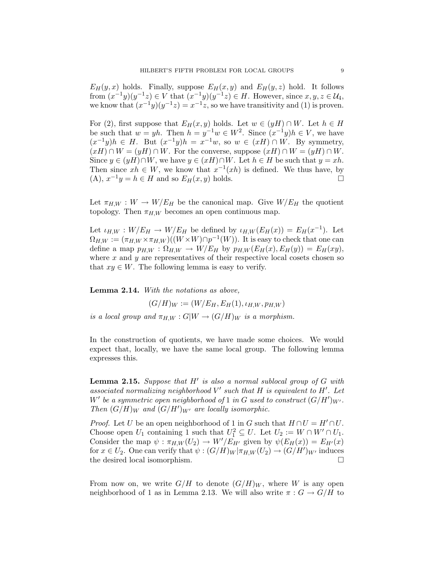$E_H(y, x)$  holds. Finally, suppose  $E_H(x, y)$  and  $E_H(y, z)$  hold. It follows from  $(x^{-1}y)(y^{-1}z) \in V$  that  $(x^{-1}y)(y^{-1}z) \in H$ . However, since  $x, y, z \in \mathcal{U}_4$ , we know that  $(x^{-1}y)(y^{-1}z) = x^{-1}z$ , so we have transitivity and (1) is proven.

For (2), first suppose that  $E_H(x, y)$  holds. Let  $w \in (yH) \cap W$ . Let  $h \in H$ be such that  $w = yh$ . Then  $h = y^{-1}w \in W^2$ . Since  $(x^{-1}y)h \in V$ , we have  $(x^{-1}y)h \in H$ . But  $(x^{-1}y)h = x^{-1}w$ , so  $w \in (xH) \cap W$ . By symmetry,  $(xH) \cap W = (yH) \cap W$ . For the converse, suppose  $(xH) \cap W = (yH) \cap W$ . Since  $y \in (yH) \cap W$ , we have  $y \in (xH) \cap W$ . Let  $h \in H$  be such that  $y = xh$ . Then since  $xh \in W$ , we know that  $x^{-1}(xh)$  is defined. We thus have, by (A),  $x^{-1}y = h \in H$  and so  $E_H(x, y)$  holds.

Let  $\pi_{H,W}: W \to W/E_H$  be the canonical map. Give  $W/E_H$  the quotient topology. Then  $\pi_{H,W}$  becomes an open continuous map.

Let  $\iota_{H,W} : W/E_H \to W/E_H$  be defined by  $\iota_{H,W}(E_H(x)) = E_H(x^{-1})$ . Let  $\Omega_{H,W} := (\pi_{H,W} \times \pi_{H,W})((W \times W) \cap p^{-1}(W)).$  It is easy to check that one can define a map  $p_{H,W} : \Omega_{H,W} \to W/E_H$  by  $p_{H,W}(E_H(x), E_H(y)) = E_H(xy)$ , where  $x$  and  $y$  are representatives of their respective local cosets chosen so that  $xy \in W$ . The following lemma is easy to verify.

Lemma 2.14. With the notations as above,

 $(G/H)_W := (W/E_H, E_H(1), \iota_{H,W}, p_{H,W})$ is a local group and  $\pi_{H,W}: G/W \to (G/H)_W$  is a morphism.

In the construction of quotients, we have made some choices. We would expect that, locally, we have the same local group. The following lemma expresses this.

**Lemma 2.15.** Suppose that  $H'$  is also a normal sublocal group of  $G$  with associated normalizing neighborhood  $V'$  such that  $H$  is equivalent to  $H'$ . Let W' be a symmetric open neighborhood of 1 in G used to construct  $(G/H')_{W'}$ . Then  $(G/H)_W$  and  $(G/H')_{W'}$  are locally isomorphic.

*Proof.* Let U be an open neighborhood of 1 in G such that  $H \cap U = H' \cap U$ . Choose open  $U_1$  containing 1 such that  $U_1^2 \subseteq U$ . Let  $U_2 := W \cap W' \cap U_1$ . Consider the map  $\psi : \pi_{H,W}(U_2) \to W'/E_{H'}$  given by  $\psi(E_H(x)) = E_{H'}(x)$ for  $x \in U_2$ . One can verify that  $\psi : (G/H)_W | \pi_{H,W}(U_2) \to (G/H')_{W'}$  induces the desired local isomorphism.

From now on, we write  $G/H$  to denote  $(G/H)<sub>W</sub>$ , where W is any open neighborhood of 1 as in Lemma 2.13. We will also write  $\pi: G \to G/H$  to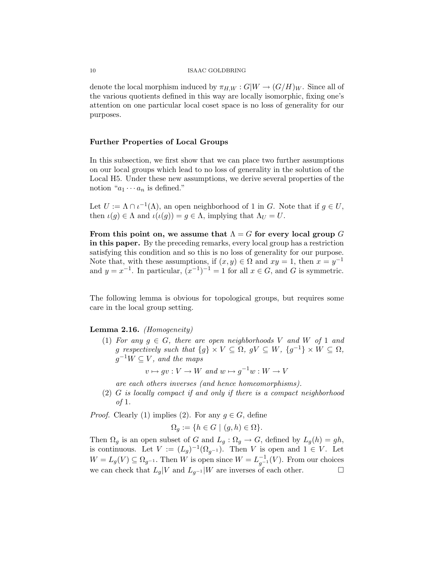denote the local morphism induced by  $\pi_{H,W}: G/W \to (G/H)_W$ . Since all of the various quotients defined in this way are locally isomorphic, fixing one's attention on one particular local coset space is no loss of generality for our purposes.

## Further Properties of Local Groups

In this subsection, we first show that we can place two further assumptions on our local groups which lead to no loss of generality in the solution of the Local H5. Under these new assumptions, we derive several properties of the notion " $a_1 \cdots a_n$  is defined."

Let  $U := \Lambda \cap \iota^{-1}(\Lambda)$ , an open neighborhood of 1 in G. Note that if  $g \in U$ , then  $\iota(g) \in \Lambda$  and  $\iota(\iota(g)) = g \in \Lambda$ , implying that  $\Lambda_U = U$ .

From this point on, we assume that  $\Lambda = G$  for every local group G in this paper. By the preceding remarks, every local group has a restriction satisfying this condition and so this is no loss of generality for our purpose. Note that, with these assumptions, if  $(x, y) \in \Omega$  and  $xy = 1$ , then  $x = y^{-1}$ and  $y = x^{-1}$ . In particular,  $(x^{-1})^{-1} = 1$  for all  $x \in G$ , and G is symmetric.

The following lemma is obvious for topological groups, but requires some care in the local group setting.

## **Lemma 2.16.** *(Homogeneity)*

(1) For any  $q \in G$ , there are open neighborhoods V and W of 1 and g respectively such that  $\{g\} \times V \subseteq \Omega$ ,  $gV \subseteq W$ ,  $\{g^{-1}\} \times W \subseteq \Omega$ ,  $g^{-1}W \subseteq V$ , and the maps

$$
v \mapsto gv: V \to W \text{ and } w \mapsto g^{-1}w: W \to V
$$

are each others inverses (and hence homeomorphisms).

(2) G is locally compact if and only if there is a compact neighborhood of 1.

*Proof.* Clearly (1) implies (2). For any  $q \in G$ , define

$$
\Omega_g := \{ h \in G \mid (g, h) \in \Omega \}.
$$

Then  $\Omega_g$  is an open subset of G and  $L_g : \Omega_g \to G$ , defined by  $L_g(h) = gh$ , is continuous. Let  $V := (L_g)^{-1}(\Omega_{g^{-1}})$ . Then V is open and  $1 \in V$ . Let  $W = L_g(V) \subseteq \Omega_{g^{-1}}$ . Then W is open since  $W = L_{g^{-1}}^{-1}(V)$ . From our choices we can check that  $L_q|V$  and  $L_{q^{-1}}|W$  are inverses of each other.  $\Box$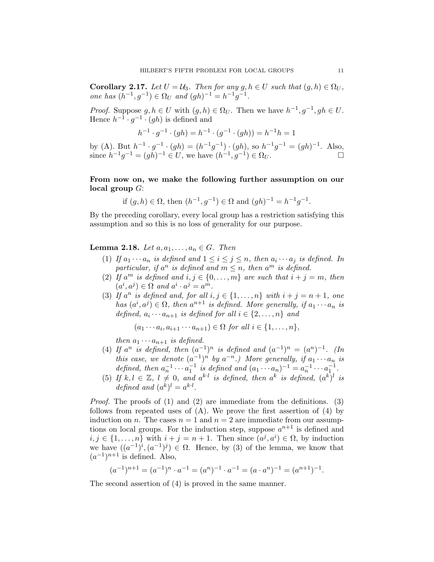**Corollary 2.17.** Let  $U = U_3$ . Then for any  $g, h \in U$  such that  $(g, h) \in \Omega_U$ , one has  $(h^{-1}, g^{-1})$  ∈ Ω<sub>U</sub> and  $(gh)^{-1} = h^{-1}g^{-1}$ .

*Proof.* Suppose  $g, h \in U$  with  $(g, h) \in \Omega_U$ . Then we have  $h^{-1}, g^{-1}, gh \in U$ . Hence  $h^{-1} \cdot g^{-1} \cdot (gh)$  is defined and

$$
h^{-1} \cdot g^{-1} \cdot (gh) = h^{-1} \cdot (g^{-1} \cdot (gh)) = h^{-1}h = 1
$$

by (A). But  $h^{-1} \cdot g^{-1} \cdot (gh) = (h^{-1}g^{-1}) \cdot (gh)$ , so  $h^{-1}g^{-1} = (gh)^{-1}$ . Also, since  $h^{-1}g^{-1} = (gh)^{-1} \in U$ , we have  $(h^{-1}, g^{-1}) \in \Omega_U$ . □

# From now on, we make the following further assumption on our local group  $G$ :

if 
$$
(g, h) \in \Omega
$$
, then  $(h^{-1}, g^{-1}) \in \Omega$  and  $(gh)^{-1} = h^{-1}g^{-1}$ .

By the preceding corollary, every local group has a restriction satisfying this assumption and so this is no loss of generality for our purpose.

## **Lemma 2.18.** Let  $a, a_1, \ldots, a_n \in G$ . Then

- (1) If  $a_1 \cdots a_n$  is defined and  $1 \leq i \leq j \leq n$ , then  $a_i \cdots a_j$  is defined. In particular, if  $a^n$  is defined and  $m \leq n$ , then  $a^m$  is defined.
- (2) If  $a^m$  is defined and  $i, j \in \{0, ..., m\}$  are such that  $i + j = m$ , then  $(a^i, a^j) \in \Omega$  and  $a^i \cdot a^j = a^m$ .
- (3) If  $a^n$  is defined and, for all  $i, j \in \{1, \ldots, n\}$  with  $i + j = n + 1$ , one has  $(a^i, a^j) \in \Omega$ , then  $a^{n+1}$  is defined. More generally, if  $a_1 \cdots a_n$  is defined,  $a_i \cdots a_{n+1}$  is defined for all  $i \in \{2, \ldots, n\}$  and

$$
(a_1 \cdots a_i, a_{i+1} \cdots a_{n+1}) \in \Omega \text{ for all } i \in \{1, \ldots, n\},
$$

then  $a_1 \cdots a_{n+1}$  is defined.

- (4) If  $a^n$  is defined, then  $(a^{-1})^n$  is defined and  $(a^{-1})^n = (a^n)^{-1}$ . (In this case, we denote  $(a^{-1})^n$  by  $a^{-n}$ .) More generally, if  $a_1 \cdots a_n$  is defined, then  $a_n^{-1} \cdots a_1^{-1}$  is defined and  $(a_1 \cdots a_n)^{-1} = a_n^{-1} \cdots a_1^{-1}$ .
- (5) If  $k, l \in \mathbb{Z}$ ,  $l \neq 0$ , and  $a^{k \cdot l}$  is defined, then  $a^k$  is defined,  $(a^k)^l$  is defined and  $(a^k)^l = a^{k \cdot l}$ .

Proof. The proofs of (1) and (2) are immediate from the definitions. (3) follows from repeated uses of  $(A)$ . We prove the first assertion of  $(4)$  by induction on n. The cases  $n = 1$  and  $n = 2$  are immediate from our assumptions on local groups. For the induction step, suppose  $a^{n+1}$  is defined and  $i, j \in \{1, \ldots, n\}$  with  $i + j = n + 1$ . Then since  $(a^j, a^i) \in \Omega$ , by induction we have  $((a^{-1})^i, (a^{-1})^j) \in \Omega$ . Hence, by (3) of the lemma, we know that  $(a^{-1})^{n+1}$  is defined. Also,

$$
(a^{-1})^{n+1} = (a^{-1})^n \cdot a^{-1} = (a^n)^{-1} \cdot a^{-1} = (a \cdot a^n)^{-1} = (a^{n+1})^{-1}.
$$

The second assertion of (4) is proved in the same manner.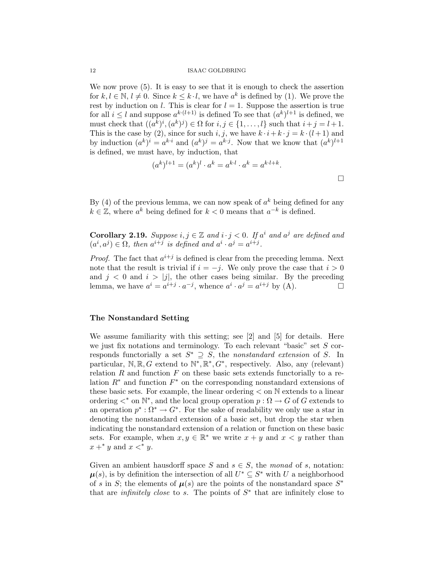We now prove  $(5)$ . It is easy to see that it is enough to check the assertion for  $k, l \in \mathbb{N}, l \neq 0$ . Since  $k \leq k \cdot l$ , we have  $a^k$  is defined by (1). We prove the rest by induction on l. This is clear for  $l = 1$ . Suppose the assertion is true for all  $i \leq l$  and suppose  $a^{k \cdot (l+1)}$  is defined To see that  $(a^k)^{l+1}$  is defined, we must check that  $((a^k)^i, (a^k)^j) \in \Omega$  for  $i, j \in \{1, ..., l\}$  such that  $i + j = l + 1$ . This is the case by (2), since for such i, j, we have  $k \cdot i + k \cdot j = k \cdot (l + 1)$  and by induction  $(a^k)^i = a^{k \cdot i}$  and  $(a^k)^j = a^{k \cdot j}$ . Now that we know that  $(a^k)^{l+1}$ is defined, we must have, by induction, that

$$
(a^k)^{l+1} = (a^k)^l \cdot a^k = a^{k \cdot l} \cdot a^k = a^{k \cdot l + k}.
$$

By (4) of the previous lemma, we can now speak of  $a^k$  being defined for any  $k \in \mathbb{Z}$ , where  $a^k$  being defined for  $k < 0$  means that  $a^{-k}$  is defined.

**Corollary 2.19.** Suppose  $i, j \in \mathbb{Z}$  and  $i \cdot j < 0$ . If  $a^i$  and  $a^j$  are defined and  $(a^i, a^j) \in \Omega$ , then  $a^{i+j}$  is defined and  $a^i \cdot a^j = a^{i+j}$ .

*Proof.* The fact that  $a^{i+j}$  is defined is clear from the preceding lemma. Next note that the result is trivial if  $i = -j$ . We only prove the case that  $i > 0$ and  $j < 0$  and  $i > |j|$ , the other cases being similar. By the preceding lemma, we have  $a^i = a^{i+j} \cdot a^{-j}$ , whence  $a^i \cdot a^j = a^{i+j}$  by (A).

## The Nonstandard Setting

We assume familiarity with this setting; see [2] and [5] for details. Here we just fix notations and terminology. To each relevant "basic" set  $S$  corresponds functorially a set  $S^* \supseteq S$ , the nonstandard extension of S. In particular,  $\mathbb{N}, \mathbb{R}, G$  extend to  $\mathbb{N}^*, \mathbb{R}^*, G^*$ , respectively. Also, any (relevant) relation  $R$  and function  $F$  on these basic sets extends functorially to a relation  $R^*$  and function  $F^*$  on the corresponding nonstandard extensions of these basic sets. For example, the linear ordering < on N extends to a linear ordering  $\lt^*$  on  $\mathbb{N}^*$ , and the local group operation  $p : \Omega \to G$  of G extends to an operation  $p^* : \Omega^* \to G^*$ . For the sake of readability we only use a star in denoting the nonstandard extension of a basic set, but drop the star when indicating the nonstandard extension of a relation or function on these basic sets. For example, when  $x, y \in \mathbb{R}^*$  we write  $x + y$  and  $x < y$  rather than  $x +^* y$  and  $x <^* y$ .

Given an ambient hausdorff space S and  $s \in S$ , the monad of s, notation:  $\mu(s)$ , is by definition the intersection of all  $U^* \subseteq S^*$  with U a neighborhood of s in S; the elements of  $\mu(s)$  are the points of the nonstandard space  $S^*$ that are *infinitely close* to s. The points of  $S^*$  that are infinitely close to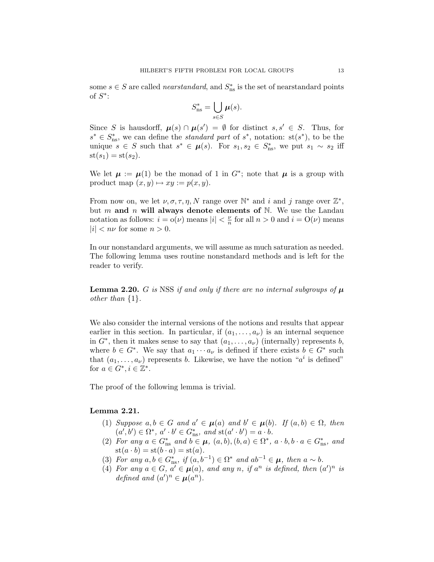some  $s \in S$  are called *nearstandard*, and  $S_{\text{ns}}^*$  is the set of nearstandard points of  $S^*$ :

$$
S_{\text{ns}}^* = \bigcup_{s \in S} \mu(s).
$$

Since S is hausdorff,  $\mu(s) \cap \mu(s') = \emptyset$  for distinct  $s, s' \in S$ . Thus, for  $s^* \in S^*_{\text{ns}}$ , we can define the *standard part* of  $s^*$ , notation:  $\text{st}(s^*)$ , to be the unique  $s \in S$  such that  $s^* \in \mu(s)$ . For  $s_1, s_2 \in S^*_{\text{ns}}$ , we put  $s_1 \sim s_2$  iff  $st(s_1) = st(s_2).$ 

We let  $\mu := \mu(1)$  be the monad of 1 in  $G^*$ ; note that  $\mu$  is a group with product map  $(x, y) \mapsto xy := p(x, y)$ .

From now on, we let  $\nu, \sigma, \tau, \eta, N$  range over  $\mathbb{N}^*$  and i and j range over  $\mathbb{Z}^*$ , but m and n will always denote elements of  $N$ . We use the Landau notation as follows:  $i = o(\nu)$  means  $|i| < \frac{\nu}{n}$  $\frac{\nu}{n}$  for all  $n > 0$  and  $i = O(\nu)$  means  $|i| < n\nu$  for some  $n > 0$ .

In our nonstandard arguments, we will assume as much saturation as needed. The following lemma uses routine nonstandard methods and is left for the reader to verify.

**Lemma 2.20.** G is NSS if and only if there are no internal subgroups of  $\mu$ other than {1}.

We also consider the internal versions of the notions and results that appear earlier in this section. In particular, if  $(a_1, \ldots, a_{\nu})$  is an internal sequence in  $G^*$ , then it makes sense to say that  $(a_1, \ldots, a_{\nu})$  (internally) represents b, where  $b \in G^*$ . We say that  $a_1 \cdots a_{\nu}$  is defined if there exists  $b \in G^*$  such that  $(a_1, \ldots, a_\nu)$  represents b. Likewise, we have the notion " $a^i$  is defined" for  $a \in G^*, i \in \mathbb{Z}^*$ .

The proof of the following lemma is trivial.

# Lemma 2.21.

- (1) Suppose  $a, b \in G$  and  $a' \in \mu(a)$  and  $b' \in \mu(b)$ . If  $(a, b) \in \Omega$ , then  $(a', b') \in \Omega^*, a' \cdot b' \in G_{\text{ns}}^*, \text{ and } \text{st}(a' \cdot b') = a \cdot b.$
- (2) For any  $a \in G_{\text{ns}}^*$  and  $b \in \mu$ ,  $(a, b), (b, a) \in \Omega^*$ ,  $a \cdot b, b \cdot a \in G_{\text{ns}}^*$ , and  $\operatorname{st}(a \cdot b) = \operatorname{st}(b \cdot a) = \operatorname{st}(a).$
- (3) For any  $a, b \in G_{\text{ns}}^*$ , if  $(a, b^{-1}) \in \Omega^*$  and  $ab^{-1} \in \mu$ , then  $a \sim b$ .
- (4) For any  $a \in G$ ,  $a' \in \mu(a)$ , and any n, if  $a^n$  is defined, then  $(a')^n$  is defined and  $(a')^n \in \mu(a^n)$ .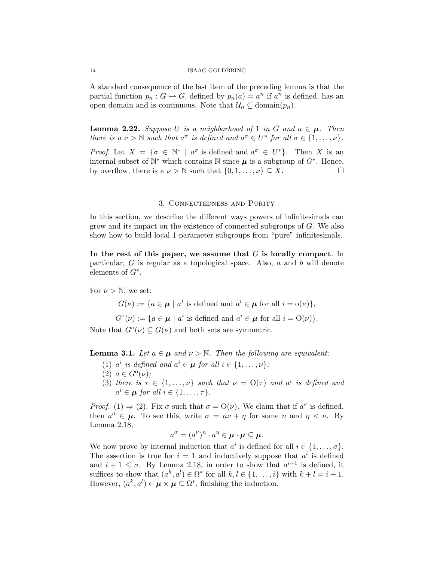A standard consequence of the last item of the preceding lemma is that the partial function  $p_n: G \to G$ , defined by  $p_n(a) = a^n$  if  $a^n$  is defined, has an open domain and is continuous. Note that  $\mathcal{U}_n \subseteq \text{domain}(p_n)$ .

**Lemma 2.22.** Suppose U is a neighborhood of 1 in G and  $a \in \mu$ . Then there is a  $\nu > \mathbb{N}$  such that  $a^{\sigma}$  is defined and  $a^{\sigma} \in U^*$  for all  $\sigma \in \{1, \ldots, \nu\}.$ 

*Proof.* Let  $X = \{ \sigma \in \mathbb{N}^* \mid a^{\sigma} \text{ is defined and } a^{\sigma} \in U^* \}.$  Then X is an internal subset of  $\mathbb{N}^*$  which contains  $\mathbb N$  since  $\mu$  is a subgroup of  $G^*$ . Hence, by overflow, there is a  $\nu > \mathbb{N}$  such that  $\{0, 1, \ldots, \nu\} \subseteq X$ .

## 3. Connectedness and Purity

In this section, we describe the different ways powers of infinitesimals can grow and its impact on the existence of connected subgroups of G. We also show how to build local 1-parameter subgroups from "pure" infinitesimals.

In the rest of this paper, we assume that  $G$  is locally compact. In particular,  $G$  is regular as a topological space. Also,  $a$  and  $b$  will denote elements of  $G^*$ .

For  $\nu > \mathbb{N}$ , we set:

 $G(\nu) := \{ a \in \mu \mid a^i \text{ is defined and } a^i \in \mu \text{ for all } i = o(\nu) \},\$ 

 $G^{\circ}(\nu) := \{ a \in \mu \mid a^{i} \text{ is defined and } a^{i} \in \mu \text{ for all } i = O(\nu) \}.$ Note that  $G^{\circ}(\nu) \subseteq G(\nu)$  and both sets are symmetric.

**Lemma 3.1.** Let  $a \in \mu$  and  $\nu > \mathbb{N}$ . Then the following are equivalent:

- (1)  $a^i$  is defined and  $a^i \in \mu$  for all  $i \in \{1, \ldots, \nu\}$ ;
- (2)  $a \in G^{\rm o}(\nu)$ ;
- (3) there is  $\tau \in \{1, ..., \nu\}$  such that  $\nu = O(\tau)$  and  $a^i$  is defined and  $a^i \in \mu$  for all  $i \in \{1, \ldots, \tau\}.$

*Proof.* (1)  $\Rightarrow$  (2): Fix  $\sigma$  such that  $\sigma = O(\nu)$ . We claim that if  $a^{\sigma}$  is defined, then  $a^{\sigma} \in \mu$ . To see this, write  $\sigma = n\nu + \eta$  for some n and  $\eta < \nu$ . By Lemma 2.18,

$$
a^{\sigma} = (a^{\nu})^n \cdot a^{\eta} \in \boldsymbol{\mu} \cdot \boldsymbol{\mu} \subseteq \boldsymbol{\mu}.
$$

We now prove by internal induction that  $a^i$  is defined for all  $i \in \{1, \ldots, \sigma\}.$ The assertion is true for  $i = 1$  and inductively suppose that  $a^i$  is defined and  $i + 1 \leq \sigma$ . By Lemma 2.18, in order to show that  $a^{i+1}$  is defined, it suffices to show that  $(a^k, a^l) \in \Omega^*$  for all  $k, l \in \{1, \ldots, i\}$  with  $k + l = i + 1$ . However,  $(a^k, a^l) \in \boldsymbol{\mu} \times \boldsymbol{\mu} \subseteq \Omega^*$ , finishing the induction.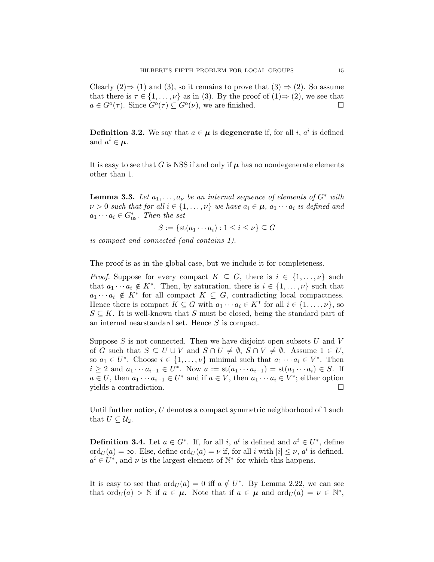Clearly  $(2) \Rightarrow (1)$  and  $(3)$ , so it remains to prove that  $(3) \Rightarrow (2)$ . So assume that there is  $\tau \in \{1, \ldots, \nu\}$  as in (3). By the proof of  $(1) \Rightarrow (2)$ , we see that  $a \in G^{\circ}(\tau)$ . Since  $G^{\circ}(\tau) \subseteq G^{\circ}(\nu)$ , we are finished.

**Definition 3.2.** We say that  $a \in \mu$  is **degenerate** if, for all i,  $a^i$  is defined and  $a^i \in \mu$ .

It is easy to see that G is NSS if and only if  $\mu$  has no nondegenerate elements other than 1.

**Lemma 3.3.** Let  $a_1, \ldots, a_{\nu}$  be an internal sequence of elements of  $G^*$  with  $\nu > 0$  such that for all  $i \in \{1, \ldots, \nu\}$  we have  $a_i \in \mu$ ,  $a_1 \cdots a_i$  is defined and  $a_1 \cdots a_i \in G^*_{\text{ns}}$ . Then the set

$$
S := \{ \text{st}(a_1 \cdots a_i) : 1 \le i \le \nu \} \subseteq G
$$

is compact and connected (and contains 1).

The proof is as in the global case, but we include it for completeness.

*Proof.* Suppose for every compact  $K \subseteq G$ , there is  $i \in \{1, \ldots, \nu\}$  such that  $a_1 \cdots a_i \notin K^*$ . Then, by saturation, there is  $i \in \{1, \ldots, \nu\}$  such that  $a_1 \cdots a_i \notin K^*$  for all compact  $K \subseteq G$ , contradicting local compactness. Hence there is compact  $K \subseteq G$  with  $a_1 \cdots a_i \in K^*$  for all  $i \in \{1, \ldots, \nu\}$ , so  $S \subseteq K$ . It is well-known that S must be closed, being the standard part of an internal nearstandard set. Hence S is compact.

Suppose  $S$  is not connected. Then we have disjoint open subsets  $U$  and  $V$ of G such that  $S \subseteq U \cup V$  and  $S \cap U \neq \emptyset$ ,  $S \cap V \neq \emptyset$ . Assume  $1 \in U$ , so  $a_1 \in U^*$ . Choose  $i \in \{1, ..., \nu\}$  minimal such that  $a_1 \cdots a_i \in V^*$ . Then  $i \geq 2$  and  $a_1 \cdots a_{i-1} \in U^*$ . Now  $a := \text{st}(a_1 \cdots a_{i-1}) = \text{st}(a_1 \cdots a_i) \in S$ . If  $a \in U$ , then  $a_1 \cdots a_{i-1} \in U^*$  and if  $a \in V$ , then  $a_1 \cdots a_i \in V^*$ ; either option yields a contradiction.

Until further notice, U denotes a compact symmetric neighborhood of 1 such that  $U \subseteq \mathcal{U}_2$ .

**Definition 3.4.** Let  $a \in G^*$ . If, for all i,  $a^i$  is defined and  $a^i \in U^*$ , define  $\mathrm{ord}_U(a) = \infty$ . Else, define  $\mathrm{ord}_U(a) = \nu$  if, for all i with  $|i| \leq \nu$ ,  $a^i$  is defined,  $a^i \in U^*$ , and  $\nu$  is the largest element of  $\mathbb{N}^*$  for which this happens.

It is easy to see that  $\text{ord}_U(a) = 0$  iff  $a \notin U^*$ . By Lemma 2.22, we can see that  $\text{ord}_U(a) > \mathbb{N}$  if  $a \in \mu$ . Note that if  $a \in \mu$  and  $\text{ord}_U(a) = \nu \in \mathbb{N}^*$ ,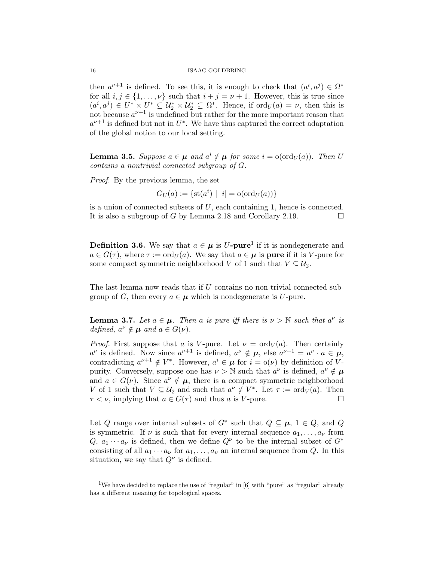then  $a^{\nu+1}$  is defined. To see this, it is enough to check that  $(a^i, a^j) \in \Omega^*$ for all  $i, j \in \{1, ..., \nu\}$  such that  $i + j = \nu + 1$ . However, this is true since  $(a^i, a^j) \in U^* \times U^* \subseteq \mathcal{U}_2^* \times \mathcal{U}_2^* \subseteq \Omega^*$ . Hence, if  $\text{ord}_U(a) = \nu$ , then this is not because  $a^{\nu+1}$  is undefined but rather for the more important reason that  $a^{\nu+1}$  is defined but not in  $U^*$ . We have thus captured the correct adaptation of the global notion to our local setting.

**Lemma 3.5.** Suppose  $a \in \mu$  and  $a^i \notin \mu$  for some  $i = o(\text{ord}_U(a))$ . Then U contains a nontrivial connected subgroup of G.

Proof. By the previous lemma, the set

$$
G_U(a) := \{ \mathrm{st}(a^i) \mid |i| = \mathrm{o}(\mathrm{ord}_U(a)) \}
$$

is a union of connected subsets of  $U$ , each containing 1, hence is connected. It is also a subgroup of G by Lemma 2.18 and Corollary 2.19.

**Definition 3.6.** We say that  $a \in \mu$  is U-pure<sup>1</sup> if it is nondegenerate and  $a \in G(\tau)$ , where  $\tau := \text{ord}_{U}(a)$ . We say that  $a \in \mu$  is pure if it is V-pure for some compact symmetric neighborhood V of 1 such that  $V \subseteq \mathcal{U}_2$ .

The last lemma now reads that if U contains no non-trivial connected subgroup of G, then every  $a \in \mu$  which is nondegenerate is U-pure.

**Lemma 3.7.** Let  $a \in \mu$ . Then a is pure iff there is  $\nu > N$  such that  $a^{\nu}$  is defined,  $a^{\nu} \notin \mu$  and  $a \in G(\nu)$ .

*Proof.* First suppose that a is V-pure. Let  $\nu = \text{ord}_V(a)$ . Then certainly  $a^{\nu}$  is defined. Now since  $a^{\nu+1}$  is defined,  $a^{\nu} \notin \mu$ , else  $a^{\nu+1} = a^{\nu} \cdot a \in \mu$ , contradicting  $a^{\nu+1} \notin V^*$ . However,  $a^i \in \mu$  for  $i = o(\nu)$  by definition of Vpurity. Conversely, suppose one has  $\nu > N$  such that  $a^{\nu}$  is defined,  $a^{\nu} \notin \mu$ and  $a \in G(\nu)$ . Since  $a^{\nu} \notin \mu$ , there is a compact symmetric neighborhood V of 1 such that  $V \subseteq U_2$  and such that  $a^{\nu} \notin V^*$ . Let  $\tau := \text{ord}_V(a)$ . Then  $\tau < \nu$ , implying that  $a \in G(\tau)$  and thus a is V-pure.

Let Q range over internal subsets of  $G^*$  such that  $Q \subseteq \mu$ ,  $1 \in Q$ , and Q is symmetric. If  $\nu$  is such that for every internal sequence  $a_1, \ldots, a_\nu$  from  $Q, a_1 \cdots a_{\nu}$  is defined, then we define  $Q^{\nu}$  to be the internal subset of  $G^*$ consisting of all  $a_1 \cdots a_{\nu}$  for  $a_1, \ldots, a_{\nu}$  an internal sequence from Q. In this situation, we say that  $Q^{\nu}$  is defined.

<sup>&</sup>lt;sup>1</sup>We have decided to replace the use of "regular" in  $[6]$  with "pure" as "regular" already has a different meaning for topological spaces.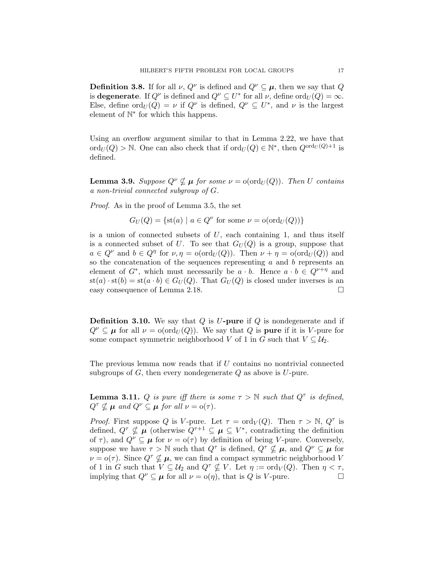**Definition 3.8.** If for all  $\nu$ ,  $Q^{\nu}$  is defined and  $Q^{\nu} \subseteq \mu$ , then we say that Q is **degenerate**. If  $Q^{\nu}$  is defined and  $Q^{\nu} \subseteq U^*$  for all  $\nu$ , define  $\text{ord}_U(Q) = \infty$ . Else, define  $\text{ord}_U(Q) = \nu$  if  $Q^{\nu}$  is defined,  $Q^{\nu} \subseteq U^*$ , and  $\nu$  is the largest element of  $\mathbb{N}^*$  for which this happens.

Using an overflow argument similar to that in Lemma 2.22, we have that  $\mathrm{ord}_U(Q) > \mathbb{N}$ . One can also check that if  $\mathrm{ord}_U(Q) \in \mathbb{N}^*$ , then  $Q^{\mathrm{ord}_U(Q)+1}$  is defined.

**Lemma 3.9.** Suppose  $Q^{\nu} \nsubseteq \mu$  for some  $\nu = o( \text{ord}_U(Q))$ . Then U contains a non-trivial connected subgroup of G.

Proof. As in the proof of Lemma 3.5, the set

$$
G_U(Q) = \{ \text{st}(a) \mid a \in Q^{\nu} \text{ for some } \nu = o(\text{ord}_U(Q)) \}
$$

is a union of connected subsets of  $U$ , each containing 1, and thus itself is a connected subset of U. To see that  $G_U(Q)$  is a group, suppose that  $a \in Q^{\nu}$  and  $b \in Q^{\eta}$  for  $\nu, \eta = o(\text{ord}_U(Q))$ . Then  $\nu + \eta = o(\text{ord}_U(Q))$  and so the concatenation of the sequences representing  $a$  and  $b$  represents an element of  $G^*$ , which must necessarily be  $a \cdot b$ . Hence  $a \cdot b \in Q^{\nu+\eta}$  and  $\text{st}(a) \cdot \text{st}(b) = \text{st}(a \cdot b) \in G_U(Q)$ . That  $G_U(Q)$  is closed under inverses is an easy consequence of Lemma 2.18.

**Definition 3.10.** We say that  $Q$  is  $U$ -pure if  $Q$  is nondegenerate and if  $Q^{\nu} \subseteq \mu$  for all  $\nu = o(\text{ord}_U(Q))$ . We say that Q is **pure** if it is V-pure for some compact symmetric neighborhood V of 1 in G such that  $V \subseteq U_2$ .

The previous lemma now reads that if  $U$  contains no nontrivial connected subgroups of  $G$ , then every nondegenerate  $Q$  as above is  $U$ -pure.

**Lemma 3.11.** Q is pure iff there is some  $\tau > \mathbb{N}$  such that  $Q^{\tau}$  is defined,  $Q^{\tau} \nsubseteq \mu$  and  $Q^{\nu} \subseteq \mu$  for all  $\nu = o(\tau)$ .

*Proof.* First suppose Q is V-pure. Let  $\tau = \text{ord}_V(Q)$ . Then  $\tau > \mathbb{N}, Q^{\tau}$  is defined,  $Q^{\tau} \nsubseteq \mu$  (otherwise  $Q^{\tau+1} \subseteq \mu \subseteq V^*$ , contradicting the definition of  $\tau$ ), and  $Q^{\nu} \subseteq \mu$  for  $\nu = o(\tau)$  by definition of being V-pure. Conversely, suppose we have  $\tau > \mathbb{N}$  such that  $Q^{\tau}$  is defined,  $Q^{\tau} \nsubseteq \mu$ , and  $Q^{\nu} \subseteq \mu$  for  $\nu = o(\tau)$ . Since  $Q^{\tau} \nsubseteq \mu$ , we can find a compact symmetric neighborhood V of 1 in G such that  $V \subseteq \mathcal{U}_2$  and  $Q^{\tau} \nsubseteq V$ . Let  $\eta := \text{ord}_V(Q)$ . Then  $\eta < \tau$ , implying that  $Q^{\nu} \subseteq \mu$  for all  $\nu = o(\eta)$ , that is Q is V-pure.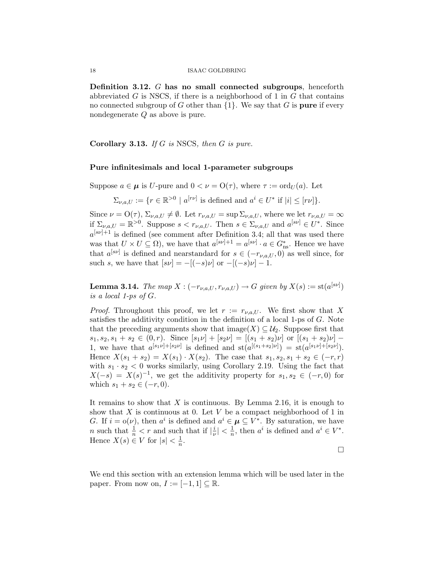Definition 3.12. G has no small connected subgroups, henceforth abbreviated  $G$  is NSCS, if there is a neighborhood of 1 in  $G$  that contains no connected subgroup of G other than  $\{1\}$ . We say that G is **pure** if every nondegenerate Q as above is pure.

**Corollary 3.13.** If G is NSCS, then G is pure.

## Pure infinitesimals and local 1-parameter subgroups

Suppose  $a \in \mu$  is U-pure and  $0 < \nu = \mathcal{O}(\tau)$ , where  $\tau := \text{ord}_U(a)$ . Let

 $\Sigma_{\nu,a,U} := \{r \in \mathbb{R}^{>0} \mid a^{[rv]} \text{ is defined and } a^i \in U^* \text{ if } |i| \leq [rv] \}.$ 

Since  $\nu = \mathcal{O}(\tau)$ ,  $\Sigma_{\nu,a,U} \neq \emptyset$ . Let  $r_{\nu,a,U} = \sup \Sigma_{\nu,a,U}$ , where we let  $r_{\nu,a,U} = \infty$ if  $\Sigma_{\nu,a,U} = \mathbb{R}^{>0}$ . Suppose  $s < r_{\nu,a,U}$ . Then  $s \in \Sigma_{\nu,a,U}$  and  $a^{[s\nu]} \in U^*$ . Since  $a^{[sv]+1}$  is defined (see comment after Definition 3.4; all that was used there was that  $U \times U \subseteq \Omega$ , we have that  $a^{[s\nu]+1} = a^{[s\nu]} \cdot a \in G_{\text{ns}}^*$ . Hence we have that  $a^{[s\nu]}$  is defined and nearstandard for  $s \in (-r_{\nu,a,U},0)$  as well since, for such s, we have that  $[s\nu] = -[(-s)\nu]$  or  $-[(-s)\nu] - 1$ .

**Lemma 3.14.** The map  $X: (-r_{\nu,a,U}, r_{\nu,a,U}) \rightarrow G$  given by  $X(s) := \text{st}(a^{[s\nu]})$ is a local 1-ps of G.

*Proof.* Throughout this proof, we let  $r := r_{\nu,a,U}$ . We first show that X satisfies the additivity condition in the definition of a local 1-ps of G. Note that the preceding arguments show that image(X)  $\subseteq \mathcal{U}_2$ . Suppose first that  $s_1, s_2, s_1 + s_2 \in (0, r)$ . Since  $[s_1 \nu] + [s_2 \nu] = [(s_1 + s_2)\nu]$  or  $[(s_1 + s_2)\nu]$ 1, we have that  $a^{[s_1 \nu]+[s_2 \nu]}$  is defined and  $st(a^{[(s_1+s_2)\nu]}) = st(a^{[s_1 \nu]+[s_2 \nu]})$ . Hence  $X(s_1 + s_2) = X(s_1) \cdot X(s_2)$ . The case that  $s_1, s_2, s_1 + s_2 \in (-r, r)$ with  $s_1 \cdot s_2 < 0$  works similarly, using Corollary 2.19. Using the fact that  $X(-s) = X(s)^{-1}$ , we get the additivity property for  $s_1, s_2 \in (-r, 0)$  for which  $s_1 + s_2 \in (-r, 0)$ .

It remains to show that  $X$  is continuous. By Lemma 2.16, it is enough to show that X is continuous at 0. Let V be a compact neighborhood of 1 in G. If  $i = o(\nu)$ , then  $a^i$  is defined and  $a^i \in \mu \subseteq V^*$ . By saturation, we have *n* such that  $\frac{1}{n} < r$  and such that if  $\left|\frac{i}{\nu}\right|$  $\frac{i}{\nu}| < \frac{1}{n}$  $\frac{1}{n}$ , then  $a^i$  is defined and  $a^i \in V^*$ . Hence  $X(s) \in V$  for  $|s| < \frac{1}{n}$  $\frac{1}{n}$ .

 $\Box$ 

We end this section with an extension lemma which will be used later in the paper. From now on,  $I := [-1, 1] \subseteq \mathbb{R}$ .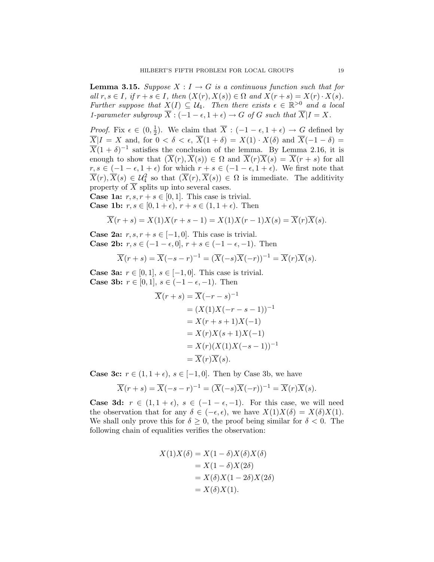**Lemma 3.15.** Suppose  $X : I \to G$  is a continuous function such that for all  $r, s \in I$ , if  $r + s \in I$ , then  $(X(r), X(s)) \in \Omega$  and  $X(r + s) = X(r) \cdot X(s)$ . Further suppose that  $X(I) \subseteq \mathcal{U}_4$ . Then there exists  $\epsilon \in \mathbb{R}^{>0}$  and a local 1-parameter subgroup  $\overline{X}$ :  $(-1 - \epsilon, 1 + \epsilon) \rightarrow G$  of G such that  $\overline{X} | I = X$ .

*Proof.* Fix  $\epsilon \in (0, \frac{1}{2})$  $\frac{1}{2}$ ). We claim that  $\overline{X}$  :  $(-1 - \epsilon, 1 + \epsilon) \rightarrow G$  defined by  $\overline{X}$ |I = X and, for  $0 < \delta < \epsilon$ ,  $\overline{X}(1 + \delta) = X(1) \cdot X(\delta)$  and  $\overline{X}(-1 - \delta) =$  $\overline{X}(1+\delta)^{-1}$  satisfies the conclusion of the lemma. By Lemma 2.16, it is enough to show that  $(\overline{X}(r), \overline{X}(s)) \in \Omega$  and  $\overline{X}(r)\overline{X}(s) = \overline{X}(r+s)$  for all  $r, s \in (-1 - \epsilon, 1 + \epsilon)$  for which  $r + s \in (-1 - \epsilon, 1 + \epsilon)$ . We first note that  $\overline{X}(r), \overline{X}(s) \in \mathcal{U}_4^2$  so that  $(\overline{X}(r), \overline{X}(s)) \in \Omega$  is immediate. The additivity property of  $\overline{X}$  splits up into several cases.

**Case 1a:**  $r, s, r + s \in [0, 1]$ . This case is trivial.

**Case 1b:**  $r, s \in [0, 1 + \epsilon), r + s \in (1, 1 + \epsilon)$ . Then

$$
\overline{X}(r+s) = X(1)X(r+s-1) = X(1)X(r-1)X(s) = \overline{X}(r)\overline{X}(s).
$$

**Case 2a:**  $r, s, r + s \in [-1, 0]$ . This case is trivial. Case 2b:  $r, s \in (-1 - \epsilon, 0], r + s \in (-1 - \epsilon, -1)$ . Then

$$
\overline{X}(r+s) = \overline{X}(-s-r)^{-1} = (\overline{X}(-s)\overline{X}(-r))^{-1} = \overline{X}(r)\overline{X}(s).
$$

**Case 3a:**  $r \in [0, 1], s \in [-1, 0].$  This case is trivial. Case 3b:  $r \in [0, 1], s \in (-1 - \epsilon, -1)$ . Then

$$
\overline{X}(r+s) = \overline{X}(-r-s)^{-1}
$$
\n
$$
= (X(1)X(-r-s-1))^{-1}
$$
\n
$$
= X(r+s+1)X(-1)
$$
\n
$$
= X(r)X(s+1)X(-1)
$$
\n
$$
= X(r)(X(1)X(-s-1))^{-1}
$$
\n
$$
= \overline{X}(r)\overline{X}(s).
$$

**Case 3c:**  $r \in (1, 1 + \epsilon), s \in [-1, 0].$  Then by Case 3b, we have

$$
\overline{X}(r+s) = \overline{X}(-s-r)^{-1} = (\overline{X}(-s)\overline{X}(-r))^{-1} = \overline{X}(r)\overline{X}(s).
$$

Case 3d:  $r \in (1, 1 + \epsilon)$ ,  $s \in (-1 - \epsilon, -1)$ . For this case, we will need the observation that for any  $\delta \in (-\epsilon, \epsilon)$ , we have  $X(1)X(\delta) = X(\delta)X(1)$ . We shall only prove this for  $\delta \geq 0$ , the proof being similar for  $\delta < 0$ . The following chain of equalities verifies the observation:

$$
X(1)X(\delta) = X(1 - \delta)X(\delta)X(\delta)
$$
  
= X(1 - \delta)X(2\delta)  
= X(\delta)X(1 - 2\delta)X(2\delta)  
= X(\delta)X(1).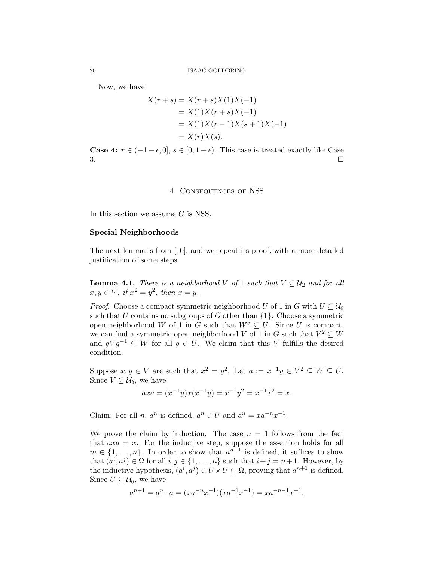Now, we have

$$
\overline{X}(r+s) = X(r+s)X(1)X(-1)
$$
  
= X(1)X(r+s)X(-1)  
= X(1)X(r-1)X(s+1)X(-1)  
= \overline{X}(r)\overline{X}(s).

**Case 4:**  $r \in (-1 - \epsilon, 0], s \in [0, 1 + \epsilon)$ . This case is treated exactly like Case  $3.$ 

## 4. Consequences of NSS

In this section we assume  $G$  is NSS.

#### Special Neighborhoods

The next lemma is from [10], and we repeat its proof, with a more detailed justification of some steps.

**Lemma 4.1.** There is a neighborhood V of 1 such that  $V \subseteq U_2$  and for all  $x, y \in V$ , if  $x^2 = y^2$ , then  $x = y$ .

*Proof.* Choose a compact symmetric neighborhood U of 1 in G with  $U \subseteq U_6$ such that U contains no subgroups of G other than  $\{1\}$ . Choose a symmetric open neighborhood W of 1 in G such that  $W^5 \subseteq U$ . Since U is compact, we can find a symmetric open neighborhood V of 1 in G such that  $V^2 \subseteq W$ and  $qVq^{-1} \subseteq W$  for all  $q \in U$ . We claim that this V fulfills the desired condition.

Suppose  $x, y \in V$  are such that  $x^2 = y^2$ . Let  $a := x^{-1}y \in V^2 \subseteq W \subseteq U$ . Since  $V \subseteq \mathcal{U}_5$ , we have

$$
axa = (x^{-1}y)x(x^{-1}y) = x^{-1}y^2 = x^{-1}x^2 = x.
$$

Claim: For all *n*,  $a^n$  is defined,  $a^n \in U$  and  $a^n = xa^{-n}x^{-1}$ .

We prove the claim by induction. The case  $n = 1$  follows from the fact that  $axa = x$ . For the inductive step, suppose the assertion holds for all  $m \in \{1, \ldots, n\}$ . In order to show that  $a^{n+1}$  is defined, it suffices to show that  $(a^i, a^j) \in \Omega$  for all  $i, j \in \{1, \ldots, n\}$  such that  $i + j = n + 1$ . However, by the inductive hypothesis,  $(a^i, a^j) \in U \times U \subseteq \Omega$ , proving that  $a^{n+1}$  is defined. Since  $U \subseteq \mathcal{U}_6$ , we have

$$
a^{n+1} = a^n \cdot a = (xa^{-n}x^{-1})(xa^{-1}x^{-1}) = xa^{-n-1}x^{-1}.
$$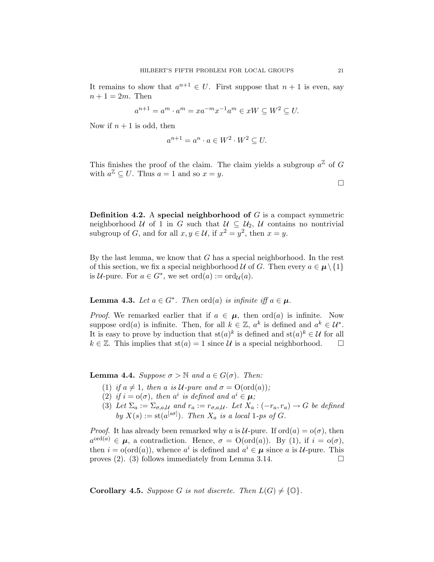It remains to show that  $a^{n+1} \in U$ . First suppose that  $n+1$  is even, say  $n+1=2m$ . Then

$$
a^{n+1} = a^m \cdot a^m = x a^{-m} x^{-1} a^m \in xW \subseteq W^2 \subseteq U.
$$

Now if  $n + 1$  is odd, then

$$
a^{n+1} = a^n \cdot a \in W^2 \cdot W^2 \subseteq U.
$$

This finishes the proof of the claim. The claim yields a subgroup  $a^{\mathbb{Z}}$  of G with  $a^{\mathbb{Z}} \subseteq U$ . Thus  $a = 1$  and so  $x = y$ .

**Definition 4.2.** A special neighborhood of  $G$  is a compact symmetric neighborhood U of 1 in G such that  $U \subseteq U_2$ , U contains no nontrivial subgroup of G, and for all  $x, y \in \mathcal{U}$ , if  $x^2 = y^2$ , then  $x = y$ .

By the last lemma, we know that  $G$  has a special neighborhood. In the rest of this section, we fix a special neighborhood  $\mathcal U$  of G. Then every  $a \in \mu \setminus \{1\}$ is  $\mathcal{U}\text{-pure. For }a\in G^*,$  we set  $\text{ord}(a):=\text{ord}_{\mathcal{U}}(a)$ .

**Lemma 4.3.** Let  $a \in G^*$ . Then  $\text{ord}(a)$  is infinite iff  $a \in \mu$ .

*Proof.* We remarked earlier that if  $a \in \mu$ , then ord(a) is infinite. Now suppose ord(*a*) is infinite. Then, for all  $k \in \mathbb{Z}$ ,  $a^k$  is defined and  $a^k \in \mathcal{U}^*$ . It is easy to prove by induction that  $\operatorname{st}(a)^k$  is defined and  $\operatorname{st}(a)^k \in \mathcal{U}$  for all  $k \in \mathbb{Z}$ . This implies that  $\text{st}(a) = 1$  since U is a special neighborhood.  $\square$ 

**Lemma 4.4.** Suppose  $\sigma > \mathbb{N}$  and  $a \in G(\sigma)$ . Then:

- (1) if  $a \neq 1$ , then a is U-pure and  $\sigma = O(\text{ord}(a))$ ;
- (2) if  $i = o(\sigma)$ , then  $a^i$  is defined and  $a^i \in \mu$ ;
- (3) Let  $\Sigma_a := \Sigma_{\sigma,a,\mathcal{U}}$  and  $r_a := r_{\sigma,a,\mathcal{U}}$ . Let  $X_a : (-r_a, r_a) \to G$  be defined by  $X(s) := \text{st}(a^{[s\sigma]})$ . Then  $X_a$  is a local 1-ps of G.

*Proof.* It has already been remarked why a is U-pure. If  $\text{ord}(a) = \text{o}(\sigma)$ , then  $a^{\text{ord}(a)} \in \mu$ , a contradiction. Hence,  $\sigma = \text{O}(\text{ord}(a))$ . By (1), if  $i = \text{o}(\sigma)$ , then  $i = o(ord(a))$ , whence  $a^i$  is defined and  $a^i \in \mu$  since a is *U*-pure. This proves (2). (3) follows immediately from Lemma 3.14.

**Corollary 4.5.** Suppose G is not discrete. Then  $L(G) \neq \{0\}$ .

 $\Box$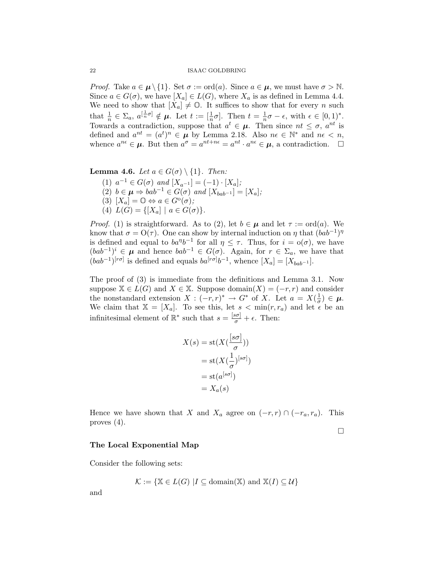*Proof.* Take  $a \in \mu \setminus \{1\}$ . Set  $\sigma := \text{ord}(a)$ . Since  $a \in \mu$ , we must have  $\sigma > \mathbb{N}$ . Since  $a \in G(\sigma)$ , we have  $[X_a] \in L(G)$ , where  $X_a$  is as defined in Lemma 4.4. We need to show that  $[X_a] \neq \mathbb{O}$ . It suffices to show that for every n such that  $\frac{1}{n} \in \Sigma_a$ ,  $a^{[\frac{1}{n}\sigma]} \notin \mu$ . Let  $t := [\frac{1}{n}\sigma]$ . Then  $t = \frac{1}{n}$  $\frac{1}{n}\sigma - \epsilon$ , with  $\epsilon \in [0,1)^*$ . Towards a contradiction, suppose that  $a^t \in \mu$ . Then since  $nt \leq \sigma$ ,  $a^{nt}$  is defined and  $a^{nt} = (a^t)^n \in \mu$  by Lemma 2.18. Also  $n \in \mathbb{N}^*$  and  $n \in \infty$ , whence  $a^{n\epsilon} \in \mu$ . But then  $a^{\sigma} = a^{nt+n\epsilon} = a^{nt} \cdot a^{n\epsilon} \in \mu$ , a contradiction.  $\square$ 

**Lemma 4.6.** Let  $a \in G(\sigma) \setminus \{1\}$ . Then:

(1)  $a^{-1} \in G(\sigma)$  and  $[X_{a^{-1}}] = (-1) \cdot [X_a]$ ; (2)  $b \in \boldsymbol{\mu} \Rightarrow bab^{-1} \in G(\sigma)$  and  $[X_{bab^{-1}}] = [X_a]$ ; (3)  $[X_a] = \mathbb{O} \Leftrightarrow a \in G^{\circ}(\sigma);$ (4)  $L(G) = \{[X_a] | a \in G(\sigma)\}.$ 

*Proof.* (1) is straightforward. As to (2), let  $b \in \mu$  and let  $\tau := \text{ord}(a)$ . We know that  $\sigma = O(\tau)$ . One can show by internal induction on  $\eta$  that  $(bab^{-1})^{\eta}$ is defined and equal to  $ba^{\eta}b^{-1}$  for all  $\eta \leq \tau$ . Thus, for  $i = o(\sigma)$ , we have  $(bab^{-1})^i \in \mu$  and hence  $bab^{-1} \in G(\sigma)$ . Again, for  $r \in \Sigma_a$ , we have that  $(bab^{-1})^{[r\sigma]}$  is defined and equals  $ba^{[r\sigma]}b^{-1}$ , whence  $[X_a] = [X_{bab^{-1}}]$ .

The proof of (3) is immediate from the definitions and Lemma 3.1. Now suppose  $X \in L(G)$  and  $X \in X$ . Suppose domain $(X) = (-r, r)$  and consider the nonstandard extension  $X: (-r,r)^* \to G^*$  of X. Let  $a = X(\frac{1}{\sigma})$  $\frac{1}{\sigma}) \in \mu.$ We claim that  $X = [X_a]$ . To see this, let  $s < min(r, r_a)$  and let  $\epsilon$  be an infinitesimal element of  $\mathbb{R}^*$  such that  $s = \frac{[s\sigma]}{\sigma} + \epsilon$ . Then:

$$
X(s) = \text{st}(X(\frac{[s\sigma]}{\sigma}))
$$

$$
= \text{st}(X(\frac{1}{\sigma})^{[s\sigma]})
$$

$$
= \text{st}(a^{[s\sigma]})
$$

$$
= X_a(s)
$$

Hence we have shown that X and  $X_a$  agree on  $(-r, r) \cap (-r_a, r_a)$ . This proves (4).

 $\Box$ 

#### The Local Exponential Map

Consider the following sets:

$$
\mathcal{K} := \{ \mathbb{X} \in L(G) \mid I \subseteq \text{domain}(\mathbb{X}) \text{ and } \mathbb{X}(I) \subseteq \mathcal{U} \}
$$

and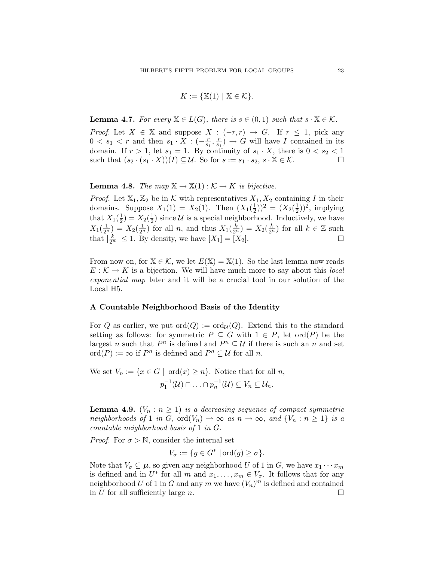$$
K := \{ \mathbb{X}(1) \mid \mathbb{X} \in \mathcal{K} \}.
$$

**Lemma 4.7.** For every  $\mathbb{X} \in L(G)$ , there is  $s \in (0,1)$  such that  $s \cdot \mathbb{X} \in \mathcal{K}$ .

*Proof.* Let  $X \in \mathbb{X}$  and suppose  $X : (-r, r) \to G$ . If  $r \leq 1$ , pick any  $0 < s_1 < r$  and then  $s_1 \cdot X : (-\frac{r}{s_1})$  $\frac{r}{s_1}, \frac{r}{s_1}$  $\frac{r}{s_1}$   $\rightarrow$  G will have I contained in its domain. If  $r > 1$ , let  $s_1 = 1$ . By continuity of  $s_1 \cdot X$ , there is  $0 < s_2 < 1$ such that  $(s_2 \cdot (s_1 \cdot X))(I) \subseteq \mathcal{U}$ . So for  $s := s_1 \cdot s_2, s \cdot X \in \mathcal{K}$ .

**Lemma 4.8.** The map  $\mathbb{X} \to \mathbb{X}(1) : \mathcal{K} \to K$  is bijective.

*Proof.* Let  $\mathbb{X}_1, \mathbb{X}_2$  be in K with representatives  $X_1, X_2$  containing I in their domains. Suppose  $X_1(1) = X_2(1)$ . Then  $(X_1(\frac{1}{2}))$  $(\frac{1}{2})^2 = (X_2(\frac{1}{2}))^2$  $(\frac{1}{2}))^2$ , implying that  $X_1(\frac{1}{2})$  $(\frac{1}{2}) = X_2(\frac{1}{2})$  $\frac{1}{2}$ ) since  $\mathcal{U}$  is a special neighborhood. Inductively, we have  $X_1(\frac{1}{2^n}) = X_2(\frac{1}{2^n})$  for all n, and thus  $X_1(\frac{k}{2^n}) = X_2(\frac{k}{2^n})$  for all  $k \in \mathbb{Z}$  such that  $\left|\frac{k}{2^n}\right| \leq 1$ . By density, we have  $[X_1] = [X_2]$ .

From now on, for  $\mathbb{X} \in \mathcal{K}$ , we let  $E(\mathbb{X}) = \mathbb{X}(1)$ . So the last lemma now reads  $E: \mathcal{K} \to K$  is a bijection. We will have much more to say about this local exponential map later and it will be a crucial tool in our solution of the Local H5.

#### A Countable Neighborhood Basis of the Identity

For Q as earlier, we put  $\text{ord}(Q) := \text{ord}_{\mathcal{U}}(Q)$ . Extend this to the standard setting as follows: for symmetric  $P \subseteq G$  with  $1 \in P$ , let ord $(P)$  be the largest n such that  $P^n$  is defined and  $P^n \subseteq \mathcal{U}$  if there is such an n and set ord $(P) := \infty$  if  $P^n$  is defined and  $P^n \subseteq \mathcal{U}$  for all n.

We set  $V_n := \{x \in G \mid \text{ord}(x) \geq n\}.$  Notice that for all n,  $p_1^{-1}(\mathcal{U}) \cap \ldots \cap p_n^{-1}(\mathcal{U}) \subseteq V_n \subseteq \mathcal{U}_n.$ 

**Lemma 4.9.**  $(V_n : n \geq 1)$  is a decreasing sequence of compact symmetric neighborhoods of 1 in G, ord $(V_n) \to \infty$  as  $n \to \infty$ , and  $\{V_n : n \geq 1\}$  is a countable neighborhood basis of 1 in G.

*Proof.* For  $\sigma > \mathbb{N}$ , consider the internal set

$$
V_{\sigma} := \{ g \in G^* \mid \text{ord}(g) \ge \sigma \}.
$$

Note that  $V_{\sigma} \subseteq \mu$ , so given any neighborhood U of 1 in G, we have  $x_1 \cdots x_m$ is defined and in  $U^*$  for all m and  $x_1, \ldots, x_m \in V_{\sigma}$ . It follows that for any neighborhood U of 1 in G and any  $m$  we have  $(V_n)^m$  is defined and contained in U for all sufficiently large n.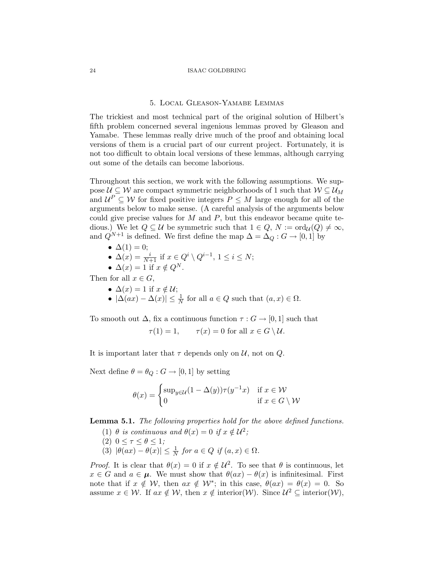#### 5. Local Gleason-Yamabe Lemmas

The trickiest and most technical part of the original solution of Hilbert's fifth problem concerned several ingenious lemmas proved by Gleason and Yamabe. These lemmas really drive much of the proof and obtaining local versions of them is a crucial part of our current project. Fortunately, it is not too difficult to obtain local versions of these lemmas, although carrying out some of the details can become laborious.

Throughout this section, we work with the following assumptions. We suppose  $\mathcal{U} \subseteq \mathcal{W}$  are compact symmetric neighborhoods of 1 such that  $\mathcal{W} \subseteq \mathcal{U}_M$ and  $\mathcal{U}^P \subseteq \mathcal{W}$  for fixed positive integers  $P \leq M$  large enough for all of the arguments below to make sense. (A careful analysis of the arguments below could give precise values for  $M$  and  $P$ , but this endeavor became quite tedious.) We let  $Q \subseteq \mathcal{U}$  be symmetric such that  $1 \in Q$ ,  $N := \text{ord}_{\mathcal{U}}(Q) \neq \infty$ , and  $Q^{N+1}$  is defined. We first define the map  $\Delta = \Delta_Q : G \to [0, 1]$  by

$$
\bullet \ \Delta(1)=0;
$$

- $\Delta(x) = \frac{i}{N+1}$  if  $x \in Q^i \setminus Q^{i-1}$ ,  $1 \le i \le N$ ;
- $\Delta(x) = 1$  if  $x \notin Q^N$ .

Then for all  $x \in G$ ,

- $\Delta(x) = 1$  if  $x \notin \mathcal{U}$ ;
- $|\Delta(ax) \Delta(x)| \leq \frac{1}{N}$  for all  $a \in Q$  such that  $(a, x) \in \Omega$ .

To smooth out  $\Delta$ , fix a continuous function  $\tau: G \to [0,1]$  such that

 $\tau(1) = 1,$   $\tau(x) = 0$  for all  $x \in G \setminus \mathcal{U}.$ 

It is important later that  $\tau$  depends only on  $\mathcal{U}$ , not on  $Q$ .

Next define  $\theta = \theta_Q : G \to [0, 1]$  by setting

$$
\theta(x) = \begin{cases} \sup_{y \in \mathcal{U}} (1 - \Delta(y)) \tau(y^{-1}x) & \text{if } x \in \mathcal{W} \\ 0 & \text{if } x \in G \setminus \mathcal{W} \end{cases}
$$

Lemma 5.1. The following properties hold for the above defined functions.

- (1)  $\theta$  is continuous and  $\theta(x) = 0$  if  $x \notin \mathcal{U}^2$ ;
- (2)  $0 \leq \tau \leq \theta \leq 1$ ;
- (3)  $|\theta(ax) \theta(x)| \leq \frac{1}{N}$  for  $a \in Q$  if  $(a, x) \in \Omega$ .

*Proof.* It is clear that  $\theta(x) = 0$  if  $x \notin \mathcal{U}^2$ . To see that  $\theta$  is continuous, let  $x \in G$  and  $a \in \mu$ . We must show that  $\theta(ax) - \theta(x)$  is infinitesimal. First note that if  $x \notin W$ , then  $ax \notin W^*$ ; in this case,  $\theta(ax) = \theta(x) = 0$ . So assume  $x \in \mathcal{W}$ . If  $ax \notin \mathcal{W}$ , then  $x \notin \text{interior}(\mathcal{W})$ . Since  $\mathcal{U}^2 \subseteq \text{interior}(\mathcal{W})$ ,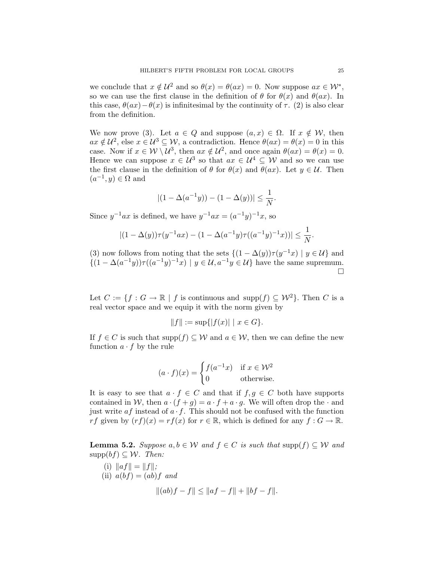we conclude that  $x \notin \mathcal{U}^2$  and so  $\theta(x) = \theta(ax) = 0$ . Now suppose  $ax \in \mathcal{W}^*$ , so we can use the first clause in the definition of  $\theta$  for  $\theta(x)$  and  $\theta(ax)$ . In this case,  $\theta(ax)-\theta(x)$  is infinitesimal by the continuity of  $\tau$ . (2) is also clear from the definition.

We now prove (3). Let  $a \in Q$  and suppose  $(a, x) \in \Omega$ . If  $x \notin \mathcal{W}$ , then  $ax \notin \mathcal{U}^2$ , else  $x \in \mathcal{U}^3 \subseteq \mathcal{W}$ , a contradiction. Hence  $\theta(ax) = \theta(x) = 0$  in this case. Now if  $x \in \mathcal{W} \setminus \mathcal{U}^3$ , then  $ax \notin \mathcal{U}^2$ , and once again  $\theta(ax) = \theta(x) = 0$ . Hence we can suppose  $x \in \mathcal{U}^3$  so that  $ax \in \mathcal{U}^4 \subseteq \mathcal{W}$  and so we can use the first clause in the definition of  $\theta$  for  $\theta(x)$  and  $\theta(ax)$ . Let  $y \in \mathcal{U}$ . Then  $(a^{-1}, y) \in \Omega$  and

$$
|(1 - \Delta(a^{-1}y)) - (1 - \Delta(y))| \le \frac{1}{N}.
$$

Since  $y^{-1}ax$  is defined, we have  $y^{-1}ax = (a^{-1}y)^{-1}x$ , so

$$
|(1 - \Delta(y))\tau(y^{-1}ax) - (1 - \Delta(a^{-1}y)\tau((a^{-1}y)^{-1}x))| \le \frac{1}{N}
$$

(3) now follows from noting that the sets  $\{(1 - \Delta(y))\tau(y^{-1}x) \mid y \in \mathcal{U}\}\$ and  $\{(1 - \Delta(a^{-1}y))\tau((a^{-1}y)^{-1}x) \mid y \in \mathcal{U}, a^{-1}y \in \mathcal{U}\}\)$  have the same supremum.  $\Box$ 

Let  $C := \{f : G \to \mathbb{R} \mid f \text{ is continuous and } \text{supp}(f) \subseteq \mathcal{W}^2\}$ . Then C is a real vector space and we equip it with the norm given by

$$
||f|| := \sup\{|f(x)| \mid x \in G\}.
$$

If  $f \in C$  is such that  $\text{supp}(f) \subseteq W$  and  $a \in W$ , then we can define the new function  $a \cdot f$  by the rule

$$
(a \cdot f)(x) = \begin{cases} f(a^{-1}x) & \text{if } x \in \mathcal{W}^2 \\ 0 & \text{otherwise.} \end{cases}
$$

It is easy to see that  $a \cdot f \in C$  and that if  $f, g \in C$  both have supports contained in W, then  $a \cdot (f + g) = a \cdot f + a \cdot g$ . We will often drop the  $\cdot$  and just write  $af$  instead of  $a \cdot f$ . This should not be confused with the function rf given by  $(rf)(x) = rf(x)$  for  $r \in \mathbb{R}$ , which is defined for any  $f : G \to \mathbb{R}$ .

**Lemma 5.2.** Suppose  $a, b \in \mathcal{W}$  and  $f \in C$  is such that  $\text{supp}(f) \subseteq \mathcal{W}$  and  $\text{supp}(bf) \subseteq W$ . Then:

(i) 
$$
||af|| = ||f||
$$
;  
\n(ii)  $a(bf) = (ab)f$  and  
\n
$$
||(ab)f - f|| \le ||af - f|| + ||bf - f||.
$$

.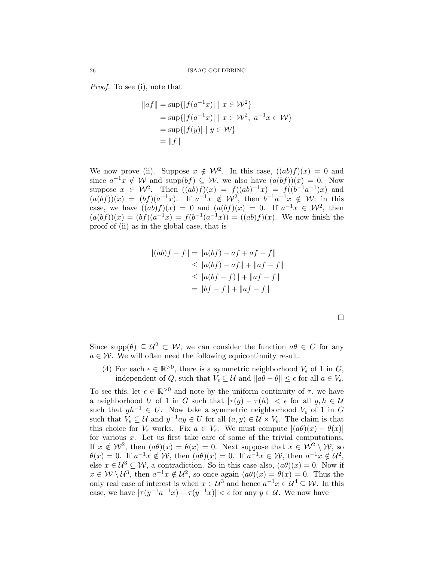Proof. To see (i), note that

$$
||af|| = \sup\{|f(a^{-1}x)| \mid x \in \mathcal{W}^2\}
$$
  
=  $\sup\{|f(a^{-1}x)| \mid x \in \mathcal{W}^2, a^{-1}x \in \mathcal{W}\}\$   
=  $\sup\{|f(y)| \mid y \in \mathcal{W}\}\$   
=  $||f||$ 

We now prove (ii). Suppose  $x \notin \mathcal{W}^2$ . In this case,  $((ab)f)(x) = 0$  and since  $a^{-1}x \notin W$  and supp $(bf) \subseteq W$ , we also have  $(a(bf))(x) = 0$ . Now suppose  $x \in \mathcal{W}^2$ . Then  $((ab)f)(x) = f((ab)^{-1}x) = f((b^{-1}a^{-1})x)$  and  $(a(bf))(x) = (bf)(a^{-1}x)$ . If  $a^{-1}x \notin \mathcal{W}^2$ , then  $b^{-1}a^{-1}x \notin \mathcal{W}$ ; in this case, we have  $((ab)f)(x) = 0$  and  $(a(bf)(x) = 0$ . If  $a^{-1}x \in \mathcal{W}^2$ , then  $(a(bf))(x) = (bf)(a^{-1}x) = f(b^{-1}(a^{-1}x)) = ((ab)f)(x)$ . We now finish the proof of (ii) as in the global case, that is

$$
||(ab)f - f|| = ||a(bt) - af + af - f||
$$
  
\n
$$
\leq ||a(bt) - af|| + ||af - f||
$$
  
\n
$$
\leq ||a(bt - f)|| + ||af - f||
$$
  
\n
$$
= ||bf - f|| + ||af - f||
$$

 $\Box$ 

Since supp $(\theta) \subseteq \mathcal{U}^2 \subset \mathcal{W}$ , we can consider the function  $a\theta \in C$  for any  $a \in \mathcal{W}$ . We will often need the following equicontinuity result.

(4) For each  $\epsilon \in \mathbb{R}^{>0}$ , there is a symmetric neighborhood  $V_{\epsilon}$  of 1 in  $G$ , independent of Q, such that  $V_{\epsilon} \subseteq \mathcal{U}$  and  $||a\theta - \theta|| \leq \epsilon$  for all  $a \in V_{\epsilon}$ .

To see this, let  $\epsilon \in \mathbb{R}^{>0}$  and note by the uniform continuity of  $\tau$ , we have a neighborhood U of 1 in G such that  $|\tau(g) - \tau(h)| < \epsilon$  for all  $g, h \in \mathcal{U}$ such that  $gh^{-1} \in U$ . Now take a symmetric neighborhood  $V_{\epsilon}$  of 1 in G such that  $V_{\epsilon} \subseteq U$  and  $y^{-1}ay \in U$  for all  $(a, y) \in U \times V_{\epsilon}$ . The claim is that this choice for  $V_{\epsilon}$  works. Fix  $a \in V_{\epsilon}$ . We must compute  $|(a\theta)(x) - \theta(x)|$ for various  $x$ . Let us first take care of some of the trivial computations. If  $x \notin \mathcal{W}^2$ , then  $(a\theta)(x) = \theta(x) = 0$ . Next suppose that  $x \in \mathcal{W}^2 \setminus \mathcal{W}$ , so  $\theta(x) = 0$ . If  $a^{-1}x \notin \mathcal{W}$ , then  $(a\theta)(x) = 0$ . If  $a^{-1}x \in \mathcal{W}$ , then  $a^{-1}x \notin \mathcal{U}^2$ , else  $x \in \mathcal{U}^3 \subseteq \mathcal{W}$ , a contradiction. So in this case also,  $(a\theta)(x) = 0$ . Now if  $x \in \mathcal{W} \setminus \mathcal{U}^3$ , then  $a^{-1}x \notin \mathcal{U}^2$ , so once again  $(a\theta)(x) = \theta(x) = 0$ . Thus the only real case of interest is when  $x \in \mathcal{U}^3$  and hence  $a^{-1}x \in \mathcal{U}^4 \subseteq \mathcal{W}$ . In this case, we have  $|\tau(y^{-1}a^{-1}x) - \tau(y^{-1}x)| < \epsilon$  for any  $y \in \mathcal{U}$ . We now have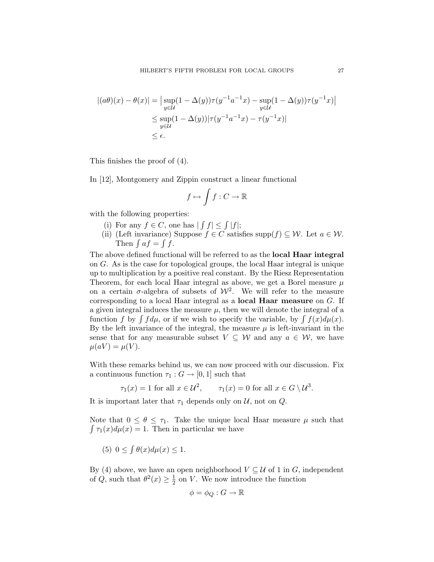$$
|(a\theta)(x) - \theta(x)| = \left| \sup_{y \in \mathcal{U}} (1 - \Delta(y))\tau(y^{-1}a^{-1}x) - \sup_{y \in \mathcal{U}} (1 - \Delta(y))\tau(y^{-1}x) \right|
$$
  

$$
\leq \sup_{y \in \mathcal{U}} (1 - \Delta(y))|\tau(y^{-1}a^{-1}x) - \tau(y^{-1}x)|
$$
  

$$
\leq \epsilon.
$$

This finishes the proof of (4).

In [12], Montgomery and Zippin construct a linear functional

$$
f \mapsto \int f: C \to \mathbb{R}
$$

with the following properties:

- (i) For any  $f \in C$ , one has  $| \int f | \leq \int |f|$ ;
- (ii) (Left invariance) Suppose  $f \in C$  satisfies supp $(f) \subseteq \mathcal{W}$ . Let  $a \in \mathcal{W}$ . Then  $\int af = \int f$ .

The above defined functional will be referred to as the local Haar integral on G. As is the case for topological groups, the local Haar integral is unique up to multiplication by a positive real constant. By the Riesz Representation Theorem, for each local Haar integral as above, we get a Borel measure  $\mu$ on a certain  $\sigma$ -algebra of subsets of  $\mathcal{W}^2$ . We will refer to the measure corresponding to a local Haar integral as a local Haar measure on G. If a given integral induces the measure  $\mu$ , then we will denote the integral of a function f by  $\int f d\mu$ , or if we wish to specify the variable, by  $\int f(x) d\mu(x)$ . By the left invariance of the integral, the measure  $\mu$  is left-invariant in the sense that for any measurable subset  $V \subseteq W$  and any  $a \in W$ , we have  $\mu(aV) = \mu(V).$ 

With these remarks behind us, we can now proceed with our discussion. Fix a continuous function  $\tau_1 : G \to [0,1]$  such that

$$
\tau_1(x) = 1
$$
 for all  $x \in \mathcal{U}^2$ ,  $\tau_1(x) = 0$  for all  $x \in G \setminus \mathcal{U}^3$ .

It is important later that  $\tau_1$  depends only on  $\mathcal{U}$ , not on  $\mathcal{Q}$ .

Note that  $0 \leq \theta \leq \tau_1$ . Take the unique local Haar measure  $\mu$  such that  $\int \tau_1(x) d\mu(x) = 1$ . Then in particular we have

(5)  $0 \leq \int \theta(x) d\mu(x) \leq 1$ .

By (4) above, we have an open neighborhood  $V \subseteq U$  of 1 in G, independent of Q, such that  $\theta^2(x) \geq \frac{1}{2}$  $\frac{1}{2}$  on V. We now introduce the function

$$
\phi = \phi_Q : G \to \mathbb{R}
$$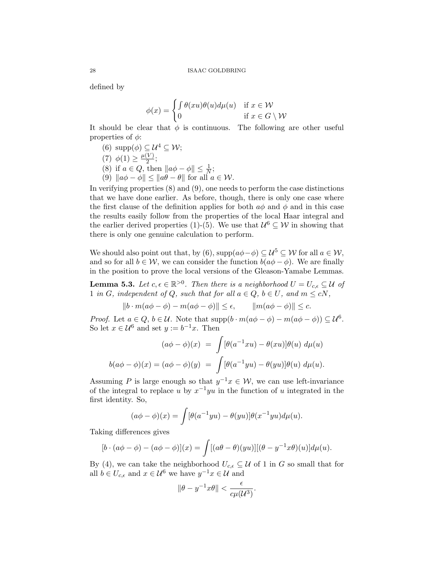defined by

$$
\phi(x) = \begin{cases} \int \theta(xu)\theta(u)d\mu(u) & \text{if } x \in \mathcal{W} \\ 0 & \text{if } x \in G \setminus \mathcal{W} \end{cases}
$$

It should be clear that  $\phi$  is continuous. The following are other useful properties of  $\phi$ :

- (6)  $\text{supp}(\phi) \subseteq \mathcal{U}^4 \subseteq \mathcal{W}$ ;
- (7)  $\phi(1) \geq \frac{\mu(V)}{2}$  $\frac{\nu}{2}$ ;
- (8) if  $a \in Q$ , then  $\|a\phi \phi\| \leq \frac{1}{N}$ ;
- (9)  $\|a\phi \phi\| \leq \|a\theta \theta\|$  for all  $a \in \mathcal{W}$ .

In verifying properties (8) and (9), one needs to perform the case distinctions that we have done earlier. As before, though, there is only one case where the first clause of the definition applies for both  $a\phi$  and  $\phi$  and in this case the results easily follow from the properties of the local Haar integral and the earlier derived properties (1)-(5). We use that  $\mathcal{U}^6 \subseteq \mathcal{W}$  in showing that there is only one genuine calculation to perform.

We should also point out that, by (6),  $\text{supp}(a\phi - \phi) \subseteq \mathcal{U}^5 \subseteq \mathcal{W}$  for all  $a \in \mathcal{W}$ , and so for all  $b \in \mathcal{W}$ , we can consider the function  $b(a\phi - \phi)$ . We are finally in the position to prove the local versions of the Gleason-Yamabe Lemmas.

**Lemma 5.3.** Let  $c, \epsilon \in \mathbb{R}^{>0}$ . Then there is a neighborhood  $U = U_{c,\epsilon} \subseteq \mathcal{U}$  of 1 in G, independent of Q, such that for all  $a \in Q$ ,  $b \in U$ , and  $m \leq cN$ ,

$$
||b \cdot m(a\phi - \phi) - m(a\phi - \phi)|| \le \epsilon, \qquad ||m(a\phi - \phi)|| \le c.
$$

*Proof.* Let  $a \in Q$ ,  $b \in \mathcal{U}$ . Note that supp $(b \cdot m(a\phi - \phi) - m(a\phi - \phi)) \subseteq \mathcal{U}^6$ . So let  $x \in \mathcal{U}^6$  and set  $y := b^{-1}x$ . Then

$$
(a\phi - \phi)(x) = \int [\theta(a^{-1}xu) - \theta(xu)]\theta(u) d\mu(u)
$$

$$
b(a\phi - \phi)(x) = (a\phi - \phi)(y) = \int [\theta(a^{-1}yu) - \theta(yu)]\theta(u) d\mu(u).
$$

Assuming P is large enough so that  $y^{-1}x \in \mathcal{W}$ , we can use left-invariance of the integral to replace u by  $x^{-1}yu$  in the function of u integrated in the first identity. So,

$$
(a\phi - \phi)(x) = \int [\theta(a^{-1}yu) - \theta(yu)]\theta(x^{-1}yu)d\mu(u).
$$

Taking differences gives

$$
[b \cdot (a\phi - \phi) - (a\phi - \phi)](x) = \int [(a\theta - \theta)(yu)][(\theta - y^{-1}x\theta)(u)]d\mu(u).
$$

By (4), we can take the neighborhood  $U_{c,\epsilon} \subseteq \mathcal{U}$  of 1 in G so small that for all  $b \in U_{c,\epsilon}$  and  $x \in \mathcal{U}^6$  we have  $y^{-1}x \in \mathcal{U}$  and

$$
\|\theta - y^{-1}x\theta\| < \frac{\epsilon}{c\mu(\mathcal{U}^3)}.
$$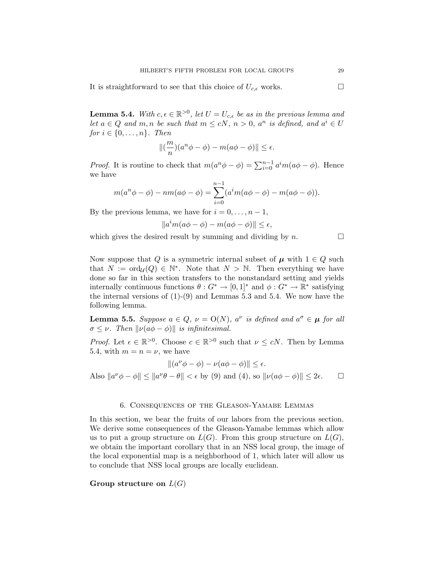It is straightforward to see that this choice of  $U_{c,\epsilon}$  works.

**Lemma 5.4.** With  $c, \epsilon \in \mathbb{R}^{>0}$ , let  $U = U_{c,\epsilon}$  be as in the previous lemma and let  $a \in Q$  and  $m, n$  be such that  $m \leq cN, n > 0, a<sup>n</sup>$  is defined, and  $a<sup>i</sup> \in U$ for  $i \in \{0, \ldots, n\}$ . Then

$$
\left\| \left( \frac{m}{n} \right) (a^n \phi - \phi) - m(a\phi - \phi) \right\| \le \epsilon.
$$

*Proof.* It is routine to check that  $m(a^n\phi - \phi) = \sum_{i=0}^{n-1} a^i m(a\phi - \phi)$ . Hence we have

$$
m(a^{n}\phi - \phi) - nm(a\phi - \phi) = \sum_{i=0}^{n-1} (a^{i}m(a\phi - \phi) - m(a\phi - \phi)).
$$

By the previous lemma, we have for  $i = 0, \ldots, n - 1$ ,

$$
||a^im(a\phi - \phi) - m(a\phi - \phi)|| \le \epsilon,
$$

which gives the desired result by summing and dividing by  $n$ .

Now suppose that Q is a symmetric internal subset of  $\mu$  with  $1 \in Q$  such that  $N := \text{ord}_{\mathcal{U}}(Q) \in \mathbb{N}^*$ . Note that  $N > \mathbb{N}$ . Then everything we have done so far in this section transfers to the nonstandard setting and yields internally continuous functions  $\theta: G^* \to [0,1]^*$  and  $\phi: G^* \to \mathbb{R}^*$  satisfying the internal versions of  $(1)-(9)$  and Lemmas 5.3 and 5.4. We now have the following lemma.

**Lemma 5.5.** Suppose  $a \in Q$ ,  $\nu = O(N)$ ,  $a^{\nu}$  is defined and  $a^{\sigma} \in \mu$  for all  $\sigma \leq \nu$ . Then  $\|\nu(a\phi - \phi)\|$  is infinitesimal.

*Proof.* Let  $\epsilon \in \mathbb{R}^{>0}$ . Choose  $c \in \mathbb{R}^{>0}$  such that  $\nu \leq cN$ . Then by Lemma 5.4, with  $m = n = \nu$ , we have

$$
||(a^{\nu}\phi - \phi) - \nu(a\phi - \phi)|| \le \epsilon.
$$

Also  $||a^{\nu}\phi - \phi|| \le ||a^{\nu}\theta - \theta|| < \epsilon$  by (9) and (4), so  $||\nu(a\phi - \phi)|| \le 2\epsilon$ .  $\Box$ 

### 6. Consequences of the Gleason-Yamabe Lemmas

In this section, we bear the fruits of our labors from the previous section. We derive some consequences of the Gleason-Yamabe lemmas which allow us to put a group structure on  $L(G)$ . From this group structure on  $L(G)$ , we obtain the important corollary that in an NSS local group, the image of the local exponential map is a neighborhood of 1, which later will allow us to conclude that NSS local groups are locally euclidean.

## Group structure on  $L(G)$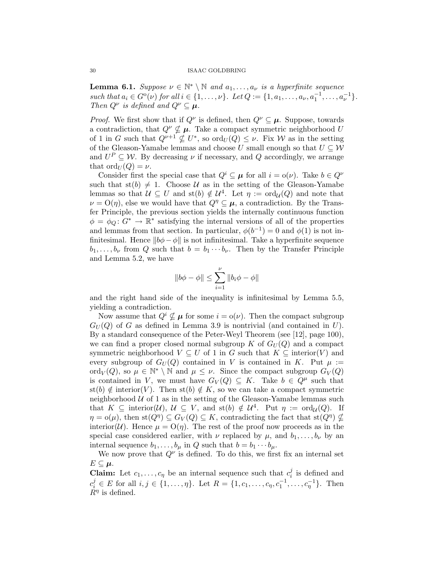**Lemma 6.1.** Suppose  $\nu \in \mathbb{N}^* \setminus \mathbb{N}$  and  $a_1, \ldots, a_{\nu}$  is a hyperfinite sequence such that  $a_i \in G^{\circ}(\nu)$  for all  $i \in \{1, ..., \nu\}$ . Let  $Q := \{1, a_1, ..., a_{\nu}, a_1^{-1}, ..., a_{\nu}^{-1}\}$ . Then  $Q^{\nu}$  is defined and  $Q^{\nu} \subseteq \mu$ .

*Proof.* We first show that if  $Q^{\nu}$  is defined, then  $Q^{\nu} \subseteq \mu$ . Suppose, towards a contradiction, that  $Q^{\nu} \nsubseteq \mu$ . Take a compact symmetric neighborhood U of 1 in G such that  $Q^{\nu+1} \nsubseteq U^*$ , so  $\text{ord}_U(Q) \leq \nu$ . Fix W as in the setting of the Gleason-Yamabe lemmas and choose U small enough so that  $U \subseteq W$ and  $U^P \subseteq W$ . By decreasing  $\nu$  if necessary, and Q accordingly, we arrange that  $\mathrm{ord}_U(Q) = \nu$ .

Consider first the special case that  $Q^i \subseteq \mu$  for all  $i = o(\nu)$ . Take  $b \in Q^{\nu}$ such that  $\text{st}(b) \neq 1$ . Choose U as in the setting of the Gleason-Yamabe lemmas so that  $\mathcal{U} \subseteq U$  and st(b)  $\notin \mathcal{U}^4$ . Let  $\eta := \text{ord}_{\mathcal{U}}(Q)$  and note that  $\nu = O(\eta)$ , else we would have that  $Q^{\eta} \subseteq \mu$ , a contradiction. By the Transfer Principle, the previous section yields the internally continuous function  $\phi = \phi_Q \colon G^* \to \mathbb{R}^*$  satisfying the internal versions of all of the properties and lemmas from that section. In particular,  $\phi(b^{-1}) = 0$  and  $\phi(1)$  is not infinitesimal. Hence  $||b\phi - \phi||$  is not infinitesimal. Take a hyperfinite sequence  $b_1, \ldots, b_{\nu}$  from Q such that  $b = b_1 \cdots b_{\nu}$ . Then by the Transfer Principle and Lemma 5.2, we have

$$
\|b\phi-\phi\|\leq \sum_{i=1}^{\nu}\|b_i\phi-\phi\|
$$

and the right hand side of the inequality is infinitesimal by Lemma 5.5, yielding a contradiction.

Now assume that  $Q^i \nsubseteq \mu$  for some  $i = o(\nu)$ . Then the compact subgroup  $G_U(Q)$  of G as defined in Lemma 3.9 is nontrivial (and contained in U). By a standard consequence of the Peter-Weyl Theorem (see [12], page 100), we can find a proper closed normal subgroup K of  $G_U(Q)$  and a compact symmetric neighborhood  $V \subseteq U$  of 1 in G such that  $K \subseteq$  interior(V) and every subgroup of  $G_U(Q)$  contained in V is contained in K. Put  $\mu :=$ ord $_V(Q)$ , so  $\mu \in \mathbb{N}^* \setminus \mathbb{N}$  and  $\mu \leq \nu$ . Since the compact subgroup  $G_V(Q)$ is contained in V, we must have  $G_V(Q) \subseteq K$ . Take  $b \in Q^{\mu}$  such that st(b)  $\notin$  interior(V). Then st(b)  $\notin K$ , so we can take a compact symmetric neighborhood  $U$  of 1 as in the setting of the Gleason-Yamabe lemmas such that  $K \subseteq \text{interior}(\mathcal{U}), \mathcal{U} \subseteq V$ , and  $\text{st}(b) \notin \mathcal{U}^4$ . Put  $\eta := \text{ord}_{\mathcal{U}}(Q)$ . If  $\eta = o(\mu)$ , then  $\text{st}(Q^{\eta}) \subseteq G_V(Q) \subseteq K$ , contradicting the fact that  $\text{st}(Q^{\eta}) \nsubseteq$ interior(U). Hence  $\mu = O(\eta)$ . The rest of the proof now proceeds as in the special case considered earlier, with  $\nu$  replaced by  $\mu$ , and  $b_1, \ldots, b_{\nu}$  by an internal sequence  $b_1, \ldots, b_\mu$  in Q such that  $b = b_1 \cdots b_\mu$ .

We now prove that  $Q^{\nu}$  is defined. To do this, we first fix an internal set  $E\subseteq\mu$ .

**Claim:** Let  $c_1, \ldots, c_n$  be an internal sequence such that  $c_i^j$  $i$  is defined and  $c_i^j \in E$  for all  $i, j \in \{1, \ldots, \eta\}$ . Let  $R = \{1, c_1, \ldots, c_{\eta}, c_1^{-1}, \ldots, c_{\eta}^{-1}\}$ . Then  $\dot{R}^{\eta}$  is defined.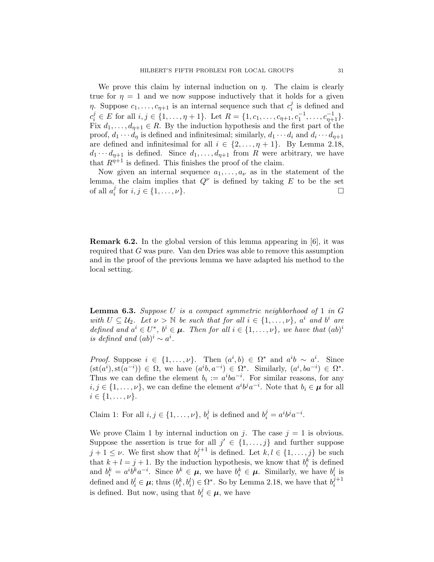We prove this claim by internal induction on  $\eta$ . The claim is clearly true for  $\eta = 1$  and we now suppose inductively that it holds for a given  $\eta$ . Suppose  $c_1, \ldots, c_{\eta+1}$  is an internal sequence such that  $c_i^j$  $i$  is defined and  $c_i^j \in E$  for all  $i, j \in \{1, \ldots, \eta + 1\}$ . Let  $R = \{1, c_1, \ldots, c_{\eta+1}, c_1^{-1}, \ldots, c_{\eta+1}^{-1}\}$ . Fix  $d_1, \ldots, d_{\eta+1} \in R$ . By the induction hypothesis and the first part of the proof,  $d_1 \cdots d_n$  is defined and infinitesimal; similarly,  $d_1 \cdots d_i$  and  $d_i \cdots d_{n+1}$ are defined and infinitesimal for all  $i \in \{2, \ldots, \eta + 1\}$ . By Lemma 2.18,  $d_1 \cdots d_{n+1}$  is defined. Since  $d_1, \ldots, d_{n+1}$  from R were arbitrary, we have that  $R^{\eta+1}$  is defined. This finishes the proof of the claim.

Now given an internal sequence  $a_1, \ldots, a_{\nu}$  as in the statement of the lemma, the claim implies that  $Q^{\nu}$  is defined by taking E to be the set of all  $a_i^j$  $i_i$  for  $i, j \in \{1, \ldots, \nu\}$ .

Remark 6.2. In the global version of this lemma appearing in [6], it was required that G was pure. Van den Dries was able to remove this assumption and in the proof of the previous lemma we have adapted his method to the local setting.

**Lemma 6.3.** Suppose U is a compact symmetric neighborhood of 1 in  $G$ with  $U \subseteq \mathcal{U}_2$ . Let  $\nu > \mathbb{N}$  be such that for all  $i \in \{1, \ldots, \nu\}$ ,  $a^i$  and  $b^i$  are defined and  $a^i \in U^*$ ,  $b^i \in \mu$ . Then for all  $i \in \{1, \ldots, \nu\}$ , we have that  $(ab)^i$ is defined and  $(ab)^i \sim a^i$ .

*Proof.* Suppose  $i \in \{1, ..., \nu\}$ . Then  $(a^i, b) \in \Omega^*$  and  $a^i b \sim a^i$ . Since  $(\text{st}(a^i), \text{st}(a^{-i})) \in \Omega$ , we have  $(a^i b, a^{-i}) \in \Omega^*$ . Similarly,  $(a^i, ba^{-i}) \in \Omega^*$ . Thus we can define the element  $b_i := a^i b a^{-i}$ . For similar reasons, for any  $i, j \in \{1, \ldots, \nu\}$ , we can define the element  $a^i b^j a^{-i}$ . Note that  $b_i \in \mu$  for all  $i \in \{1, \ldots, \nu\}.$ 

Claim 1: For all  $i, j \in \{1, \ldots, \nu\}, b_i^j$  $i_i^j$  is defined and  $b_i^j = a^i b^j a^{-i}$ .

We prove Claim 1 by internal induction on j. The case  $j = 1$  is obvious. Suppose the assertion is true for all  $j' \in \{1, \ldots, j\}$  and further suppose  $j+1 \leq \nu$ . We first show that  $b_i^{j+1}$  $i^{j+1}$  is defined. Let  $k, l \in \{1, \ldots, j\}$  be such that  $k + l = j + 1$ . By the induction hypothesis, we know that  $b_i^k$  is defined and  $b_i^k = a^i b^k a^{-i}$ . Since  $b^k \in \mu$ , we have  $b_i^k \in \mu$ . Similarly, we have  $b_i^l$  is defined and  $b_i^l \in \mu$ ; thus  $(b_i^k, b_i^l) \in \Omega^*$ . So by Lemma 2.18, we have that  $b_i^{j+1}$ i is defined. But now, using that  $b_i^j \in \mu$ , we have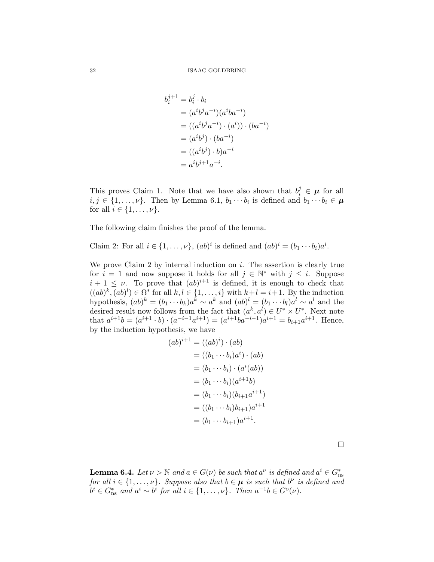$$
b_i^{j+1} = b_i^j \cdot b_i
$$
  
=  $(a^i b^j a^{-i})(a^i b a^{-i})$   
=  $((a^i b^j a^{-i}) \cdot (a^i)) \cdot (b a^{-i})$   
=  $(a^i b^j) \cdot (b a^{-i})$   
=  $((a^i b^j) \cdot b) a^{-i}$   
=  $a^i b^{j+1} a^{-i}$ .

This proves Claim 1. Note that we have also shown that  $b_i^j \in \mu$  for all  $i, j \in \{1, \ldots, \nu\}$ . Then by Lemma 6.1,  $b_1 \cdots b_i$  is defined and  $b_1 \cdots b_i \in \mu$ for all  $i \in \{1, \ldots, \nu\}.$ 

The following claim finishes the proof of the lemma.

 $\left($ 

Claim 2: For all  $i \in \{1, ..., \nu\}$ ,  $(ab)^i$  is defined and  $(ab)^i = (b_1 \cdots b_i)a^i$ .

We prove Claim 2 by internal induction on  $i$ . The assertion is clearly true for  $i = 1$  and now suppose it holds for all  $j \in \mathbb{N}^*$  with  $j \leq i$ . Suppose  $i+1 \leq \nu$ . To prove that  $(ab)^{i+1}$  is defined, it is enough to check that  $((ab)^k, (ab)^l) \in \Omega^*$  for all  $k, l \in \{1, \ldots, i\}$  with  $k+l = i+1$ . By the induction hypothesis,  $(ab)^k = (b_1 \cdots b_k)a^k \sim a^k$  and  $(ab)^l = (b_1 \cdots b_l)a^l \sim a^l$  and the desired result now follows from the fact that  $(a^k, a^l) \in U^* \times U^*$ . Next note that  $a^{i+1}b = (a^{i+1} \cdot b) \cdot (a^{-i-1}a^{i+1}) = (a^{i+1}ba^{-i-1})a^{i+1} = b_{i+1}a^{i+1}$ . Hence, by the induction hypothesis, we have

$$
(ab)^{i+1} = ((ab)^i) \cdot (ab)
$$
  
= ((b<sub>1</sub> ··· b<sub>i</sub>)a<sup>i</sup>) · (ab)  
= (b<sub>1</sub> ··· b<sub>i</sub>) · (a<sup>i</sup>(ab))  
= (b<sub>1</sub> ··· b<sub>i</sub>)(a<sup>i+1</sup>b)  
= (b<sub>1</sub> ··· b<sub>i</sub>)(b<sub>i+1</sub>a<sup>i+1</sup>)  
= ((b<sub>1</sub> ··· b<sub>i</sub>)b<sub>i+1</sub>)a<sup>i+1</sup>  
= (b<sub>1</sub> ··· b<sub>i+1</sub>)a<sup>i+1</sup>.

**Lemma 6.4.** Let  $\nu > \mathbb{N}$  and  $a \in G(\nu)$  be such that  $a^{\nu}$  is defined and  $a^i \in G_{\text{ns}}^*$ for all  $i \in \{1, \ldots, \nu\}$ . Suppose also that  $b \in \mu$  is such that  $b^{\nu}$  is defined and  $b^i \in G_{\text{ns}}^*$  and  $a^i \sim b^i$  for all  $i \in \{1, \ldots, \nu\}$ . Then  $a^{-1}b \in G^{\text{o}}(\nu)$ .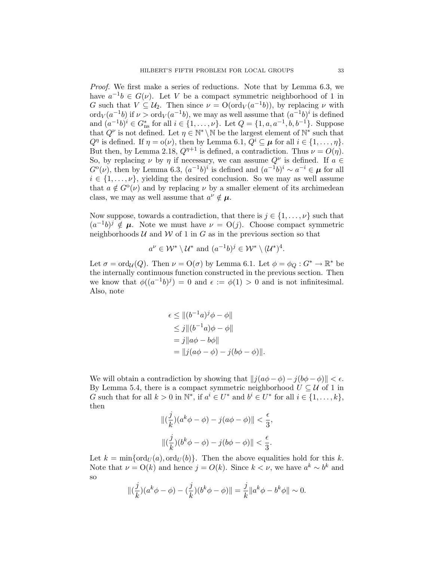Proof. We first make a series of reductions. Note that by Lemma 6.3, we have  $a^{-1}b \in G(\nu)$ . Let V be a compact symmetric neighborhood of 1 in G such that  $V \subseteq U_2$ . Then since  $\nu = O(\text{ord}_V(a^{-1}b))$ , by replacing  $\nu$  with ord $V(a^{-1}b)$  if  $\nu > \text{ord}_V(a^{-1}b)$ , we may as well assume that  $(a^{-1}b)^i$  is defined and  $(a^{-1}b)^i \in G_{\text{ns}}^*$  for all  $i \in \{1, \ldots, \nu\}$ . Let  $Q = \{1, a, a^{-1}, b, b^{-1}\}$ . Suppose that  $Q^{\nu}$  is not defined. Let  $\eta \in \mathbb{N}^* \setminus \mathbb{N}$  be the largest element of  $\mathbb{N}^*$  such that  $Q^{\eta}$  is defined. If  $\eta = o(\nu)$ , then by Lemma 6.1,  $Q^i \subseteq \mu$  for all  $i \in \{1, ..., \eta\}$ . But then, by Lemma 2.18,  $Q^{\eta+1}$  is defined, a contradiction. Thus  $\nu = O(\eta)$ . So, by replacing  $\nu$  by  $\eta$  if necessary, we can assume  $Q^{\nu}$  is defined. If  $a \in$  $G^{\circ}(\nu)$ , then by Lemma 6.3,  $(a^{-1}b)^i$  is defined and  $(a^{-1}b)^i \sim a^{-i} \in \mu$  for all  $i \in \{1, \ldots, \nu\}$ , yielding the desired conclusion. So we may as well assume that  $a \notin G^{\circ}(\nu)$  and by replacing  $\nu$  by a smaller element of its archimedean class, we may as well assume that  $a^{\nu} \notin \mu$ .

Now suppose, towards a contradiction, that there is  $j \in \{1, \ldots, \nu\}$  such that  $(a^{-1}b)^j \notin \mu$ . Note we must have  $\nu = O(j)$ . Choose compact symmetric neighborhoods  $U$  and  $W$  of 1 in G as in the previous section so that

$$
a^{\nu} \in \mathcal{W}^* \setminus \mathcal{U}^*
$$
 and  $(a^{-1}b)^j \in \mathcal{W}^* \setminus (\mathcal{U}^*)^4$ .

Let  $\sigma = \text{ord}_{\mathcal{U}}(Q)$ . Then  $\nu = \text{O}(\sigma)$  by Lemma 6.1. Let  $\phi = \phi_Q : G^* \to \mathbb{R}^*$  be the internally continuous function constructed in the previous section. Then we know that  $\phi((a^{-1}b)^j) = 0$  and  $\epsilon := \phi(1) > 0$  and is not infinitesimal. Also, note

$$
\epsilon \le ||(b^{-1}a)^{j}\phi - \phi||
$$
  
\n
$$
\le j||(b^{-1}a)\phi - \phi||
$$
  
\n
$$
= j||a\phi - b\phi||
$$
  
\n
$$
= ||j(a\phi - \phi) - j(b\phi - \phi)||.
$$

We will obtain a contradiction by showing that  $||j(a\phi - \phi) - j(b\phi - \phi)|| < \epsilon$ . By Lemma 5.4, there is a compact symmetric neighborhood  $U \subseteq \mathcal{U}$  of 1 in G such that for all  $k > 0$  in  $\mathbb{N}^*$ , if  $a^i \in U^*$  and  $b^i \in U^*$  for all  $i \in \{1, \ldots, k\}$ , then

$$
\begin{aligned} &\|(\frac{j}{k})(a^k\phi-\phi)-j(a\phi-\phi)\|<\frac{\epsilon}{3},\\ &\|(\frac{j}{k})(b^k\phi-\phi)-j(b\phi-\phi)\|<\frac{\epsilon}{3}. \end{aligned}
$$

Let  $k = \min\{\text{ord}_U(a), \text{ord}_U(b)\}\text{.}$  Then the above equalities hold for this k. Note that  $\nu = O(k)$  and hence  $j = O(k)$ . Since  $k < \nu$ , we have  $a^k \sim b^k$  and so

$$
\|(\frac{j}{k})(a^k\phi - \phi) - (\frac{j}{k})(b^k\phi - \phi)\| = \frac{j}{k} \|a^k\phi - b^k\phi\| \sim 0.
$$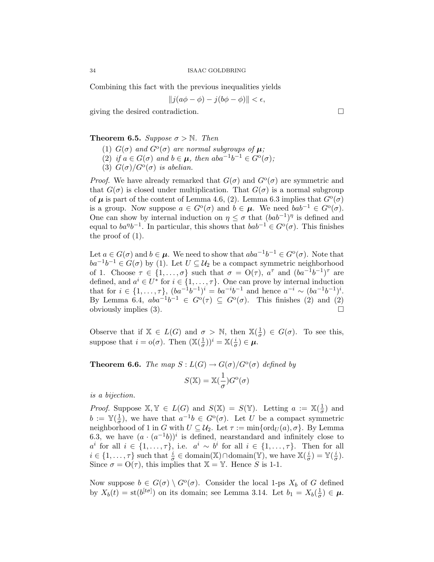Combining this fact with the previous inequalities yields

$$
||j(a\phi - \phi) - j(b\phi - \phi)|| < \epsilon,
$$

giving the desired contradiction.

### **Theorem 6.5.** Suppose  $\sigma > \mathbb{N}$ . Then

- (1)  $G(\sigma)$  and  $G^{\circ}(\sigma)$  are normal subgroups of  $\mu$ ;
- (2) if  $a \in G(\sigma)$  and  $b \in \mu$ , then  $aba^{-1}b^{-1} \in G^{\circ}(\sigma)$ ;
- (3)  $G(\sigma)/G^{\circ}(\sigma)$  is abelian.

*Proof.* We have already remarked that  $G(\sigma)$  and  $G^{\circ}(\sigma)$  are symmetric and that  $G(\sigma)$  is closed under multiplication. That  $G(\sigma)$  is a normal subgroup of  $\mu$  is part of the content of Lemma 4.6, (2). Lemma 6.3 implies that  $G^{\circ}(\sigma)$ is a group. Now suppose  $a \in G^{\circ}(\sigma)$  and  $b \in \mu$ . We need  $bab^{-1} \in G^{\circ}(\sigma)$ . One can show by internal induction on  $\eta \leq \sigma$  that  $(bab^{-1})^{\eta}$  is defined and equal to  $ba^{\eta}b^{-1}$ . In particular, this shows that  $bab^{-1} \in G^{\circ}(\sigma)$ . This finishes the proof of (1).

Let  $a \in G(\sigma)$  and  $b \in \mu$ . We need to show that  $aba^{-1}b^{-1} \in G^{\circ}(\sigma)$ . Note that  $ba^{-1}b^{-1} \in G(\sigma)$  by (1). Let  $U \subseteq \mathcal{U}_2$  be a compact symmetric neighborhood of 1. Choose  $\tau \in \{1, ..., \sigma\}$  such that  $\sigma = O(\tau)$ ,  $a^{\tau}$  and  $(ba^{-1}b^{-1})^{\tau}$  are defined, and  $a^i \in U^*$  for  $i \in \{1, \ldots, \tau\}$ . One can prove by internal induction that for  $i \in \{1, ..., \tau\}$ ,  $(ba^{-1}b^{-1})^i = ba^{-i}b^{-1}$  and hence  $a^{-i} \sim (ba^{-1}b^{-1})^i$ . By Lemma 6.4,  $aba^{-1}b^{-1} \in G^{\circ}(\tau) \subseteq G^{\circ}(\sigma)$ . This finishes (2) and (2) obviously implies (3).

Observe that if  $X \in L(G)$  and  $\sigma > N$ , then  $X(\frac{1}{\sigma})$  $(\frac{1}{\sigma}) \in G(\sigma)$ . To see this, suppose that  $i = o(\sigma)$ . Then  $(\mathbb{X}(\frac{1}{\sigma}))$  $(\frac{1}{\sigma}))^i = \mathbb{X}(\frac{i}{\sigma})$  $\frac{\imath}{\sigma})\in\boldsymbol{\mu}.$ 

**Theorem 6.6.** The map  $S: L(G) \to G(\sigma)/G^{\circ}(\sigma)$  defined by  $S(\mathbb{X}) = \mathbb{X}(\frac{1}{n})$  $\frac{1}{\sigma}$ ) $G^{\rm o}(\sigma)$ 

is a bijection.

*Proof.* Suppose  $X, Y \in L(G)$  and  $S(X) = S(Y)$ . Letting  $a := X(\frac{1}{a})$  $\frac{1}{\sigma}$ ) and  $b := \mathbb{Y}(\frac{1}{\sigma})$  $\frac{1}{\sigma}$ ), we have that  $a^{-1}b \in G^{\circ}(\sigma)$ . Let U be a compact symmetric neighborhood of 1 in G with  $U \subseteq \mathcal{U}_2$ . Let  $\tau := \min\{\text{ord}_U(a), \sigma\}$ . By Lemma 6.3, we have  $(a \cdot (a^{-1}b))^i$  is defined, nearstandard and infinitely close to  $a^i$  for all  $i \in \{1, ..., \tau\}$ , i.e.  $a^i \sim b^i$  for all  $i \in \{1, ..., \tau\}$ . Then for all  $i \in \{1, \ldots, \tau\}$  such that  $\frac{i}{\sigma} \in \text{domain}(\mathbb{X}) \cap \text{domain}(\mathbb{Y})$ , we have  $\mathbb{X}(\frac{i}{\sigma})$  $\frac{i}{\sigma}) = \mathbb{Y}(\frac{i}{\sigma})$  $\frac{\imath}{\sigma}$ ). Since  $\sigma = O(\tau)$ , this implies that  $\mathbb{X} = \mathbb{Y}$ . Hence S is 1-1.

Now suppose  $b \in G(\sigma) \setminus G^{\circ}(\sigma)$ . Consider the local 1-ps  $X_b$  of G defined by  $X_b(t) = \text{st}(b^{[t\sigma]})$  on its domain; see Lemma 3.14. Let  $b_1 = X_b(\frac{1}{\sigma})$  $(\frac{1}{\sigma}) \in \mu$ .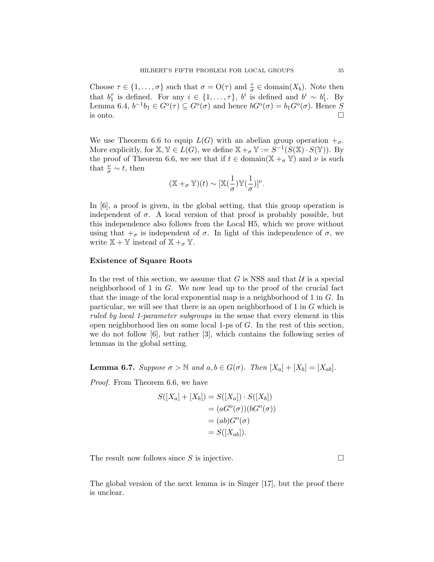Choose  $\tau \in \{1, \ldots, \sigma\}$  such that  $\sigma = O(\tau)$  and  $\frac{\tau}{\sigma} \in \text{domain}(X_b)$ . Note then that  $b_1^{\tau}$  is defined. For any  $i \in \{1, \ldots, \tau\}$ ,  $b^i$  is defined and  $b^i \sim b_1^i$ . By Lemma 6.4,  $b^{-1}b_1 \in G^{\circ}(\tau) \subseteq G^{\circ}(\sigma)$  and hence  $bG^{\circ}(\sigma) = b_1G^{\circ}(\sigma)$ . Hence S is onto.  $\Box$ 

We use Theorem 6.6 to equip  $L(G)$  with an abelian group operation  $+_{\sigma}$ . More explicitly, for  $X, Y \in L(G)$ , we define  $X + \sigma Y := S^{-1}(S(X) \cdot S(Y))$ . By the proof of Theorem 6.6, we see that if  $t \in \text{domain}(\mathbb{X} + \sigma \mathbb{Y})$  and  $\nu$  is such that  $\frac{\nu}{\sigma} \sim t$ , then

$$
(\mathbb{X} +_{\sigma} \mathbb{Y})(t) \sim [\mathbb{X}(\frac{1}{\sigma})\mathbb{Y}(\frac{1}{\sigma})]^{\nu}.
$$

In [6], a proof is given, in the global setting, that this group operation is independent of  $\sigma$ . A local version of that proof is probably possible, but this independence also follows from the Local H5, which we prove without using that  $\pm_{\sigma}$  is independent of  $\sigma$ . In light of this independence of  $\sigma$ , we write  $\mathbb{X} + \mathbb{Y}$  instead of  $\mathbb{X} +_{\sigma} \mathbb{Y}$ .

# Existence of Square Roots

In the rest of this section, we assume that G is NSS and that  $U$  is a special neighborhood of 1 in G. We now lead up to the proof of the crucial fact that the image of the local exponential map is a neighborhood of 1 in G. In particular, we will see that there is an open neighborhood of 1 in G which is ruled by local 1-parameter subgroups in the sense that every element in this open neighborhood lies on some local 1-ps of G. In the rest of this section, we do not follow [6], but rather [3], which contains the following series of lemmas in the global setting.

**Lemma 6.7.** Suppose  $\sigma > \mathbb{N}$  and  $a, b \in G(\sigma)$ . Then  $[X_a] + [X_b] = [X_{ab}]$ .

Proof. From Theorem 6.6, we have

$$
S([X_a] + [X_b]) = S([X_a]) \cdot S([X_b])
$$
  
=  $(aG^{\circ}(\sigma))(bG^{\circ}(\sigma))$   
=  $(ab)G^{\circ}(\sigma)$   
=  $S([X_{ab}]).$ 

The result now follows since S is injective.  $\square$ 

The global version of the next lemma is in Singer [17], but the proof there is unclear.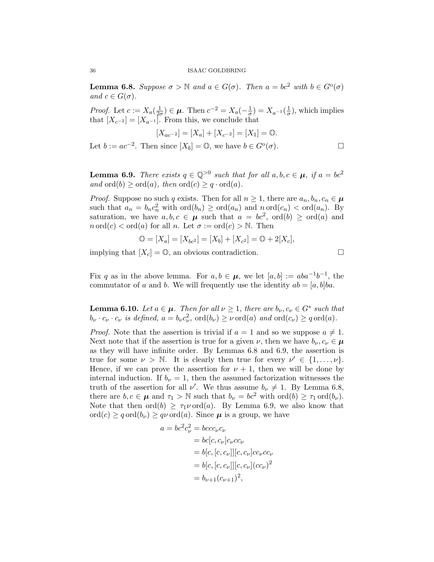**Lemma 6.8.** Suppose  $\sigma > \mathbb{N}$  and  $a \in G(\sigma)$ . Then  $a = bc^2$  with  $b \in G^{\circ}(\sigma)$ and  $c \in G(\sigma)$ .

*Proof.* Let  $c := X_a \left( \frac{1}{2a} \right)$  $(\frac{1}{2\sigma}) \in \boldsymbol{\mu}$ . Then  $c^{-2} = X_a(-\frac{1}{\sigma})$  $\frac{1}{\sigma})=X_{a^{-1}}(\frac{1}{\sigma})$  $(\frac{1}{\sigma})$ , which implies that  $[X_{c^{-2}}] = [X_{a^{-1}}]$ . From this, we conclude that

$$
[X_{ac^{-2}}] = [X_a] + [X_{c^{-2}}] = [X_1] = \mathbb{O}.
$$

Let  $b := ac^{-2}$ . Then since  $[X_b] = \mathbb{O}$ , we have  $b \in G^{\circ}(\sigma)$ .

$$
\sqcup
$$

**Lemma 6.9.** There exists  $q \in \mathbb{Q}^{>0}$  such that for all  $a, b, c \in \mu$ , if  $a = bc^2$ and  $\text{ord}(b) \geq \text{ord}(a)$ , then  $\text{ord}(c) \geq q \cdot \text{ord}(a)$ .

*Proof.* Suppose no such q exists. Then for all  $n \geq 1$ , there are  $a_n, b_n, c_n \in \mu$ such that  $a_n = b_n c_n^2$  with  $\text{ord}(b_n) \geq \text{ord}(a_n)$  and  $n \text{ord}(c_n) < \text{ord}(a_n)$ . By saturation, we have  $a, b, c \in \mu$  such that  $a = bc^2$ ,  $\text{ord}(b) \geq \text{ord}(a)$  and  $n \text{ ord}(c) < \text{ord}(a)$  for all n. Let  $\sigma := \text{ord}(c) > \mathbb{N}$ . Then

$$
\mathbb{O} = [X_a] = [X_{bc^2}] = [X_b] + [X_{c^2}] = \mathbb{O} + 2[X_c],
$$

implying that  $[X_c] = \mathbb{O}$ , an obvious contradiction.

Fix q as in the above lemma. For  $a, b \in \mu$ , we let  $[a, b] := aba^{-1}b^{-1}$ , the commutator of a and b. We will frequently use the identity  $ab = [a, b]ba$ .

**Lemma 6.10.** Let  $a \in \mu$ . Then for all  $\nu \geq 1$ , there are  $b_{\nu}, c_{\nu} \in G^*$  such that  $b_{\nu} \cdot c_{\nu} \cdot c_{\nu}$  is defined,  $a = b_{\nu} c_{\nu}^2$ ,  $\text{ord}(b_{\nu}) \geq \nu \text{ord}(a)$  and  $\text{ord}(c_{\nu}) \geq q \text{ord}(a)$ .

*Proof.* Note that the assertion is trivial if  $a = 1$  and so we suppose  $a \neq 1$ . Next note that if the assertion is true for a given  $\nu$ , then we have  $b_{\nu}, c_{\nu} \in \mu$ as they will have infinite order. By Lemmas 6.8 and 6.9, the assertion is true for some  $\nu > \mathbb{N}$ . It is clearly then true for every  $\nu' \in \{1, \ldots, \nu\}$ . Hence, if we can prove the assertion for  $\nu + 1$ , then we will be done by internal induction. If  $b_{\nu} = 1$ , then the assumed factorization witnesses the truth of the assertion for all  $\nu'$ . We thus assume  $b_{\nu} \neq 1$ . By Lemma 6.8, there are  $b, c \in \mu$  and  $\tau_1 > \mathbb{N}$  such that  $b_{\nu} = bc^2$  with  $\text{ord}(b) \geq \tau_1 \text{ord}(b_{\nu}).$ Note that then  $\text{ord}(b) \geq \tau_1 \nu \text{ord}(a)$ . By Lemma 6.9, we also know that  $\text{ord}(c) \geq q \text{ord}(b_{\nu}) \geq q \nu \text{ord}(a)$ . Since  $\mu$  is a group, we have

$$
a = bc^2 c_{\nu}^2 = b c c c_{\nu} c_{\nu}
$$
  
= bc[c, c\_{\nu}]c\_{\nu} c c\_{\nu}  
= b[c, [c, c\_{\nu}]][c, c\_{\nu}] c c\_{\nu} c c\_{\nu}  
= b[c, [c, c\_{\nu}]][c, c\_{\nu}] (c c\_{\nu})^2  
= b\_{\nu+1} (c\_{\nu+1})^2,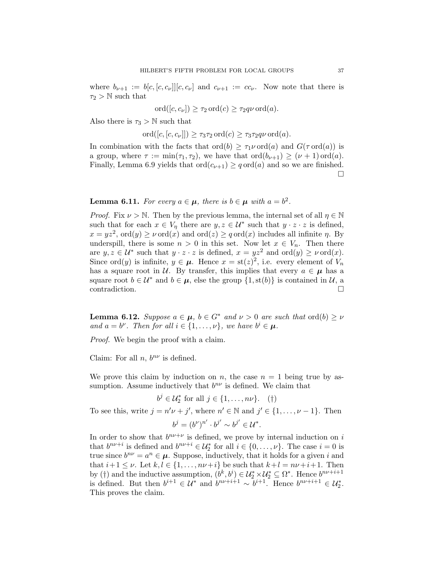where  $b_{\nu+1} := b[c, [c, c_{\nu}]] [c, c_{\nu}]$  and  $c_{\nu+1} := cc_{\nu}$ . Now note that there is  $\tau_2 > N$  such that

$$
\operatorname{ord}([c, c_{\nu}]) \ge \tau_2 \operatorname{ord}(c) \ge \tau_2 q \nu \operatorname{ord}(a).
$$

Also there is  $\tau_3 > N$  such that

ord $([c, [c, c_{\nu}]]) \geq \tau_3 \tau_2 \text{ ord}(c) \geq \tau_3 \tau_2 q \nu \text{ ord}(a).$ 

In combination with the facts that  $\text{ord}(b) \geq \tau_1 \nu \text{ord}(a)$  and  $G(\tau \text{ord}(a))$  is a group, where  $\tau := \min(\tau_1, \tau_2)$ , we have that  $\text{ord}(b_{\nu+1}) \geq (\nu+1)\text{ord}(a)$ . Finally, Lemma 6.9 yields that  $\text{ord}(c_{\nu+1}) \geq q \text{ord}(a)$  and so we are finished.  $\Box$ 

**Lemma 6.11.** For every  $a \in \mu$ , there is  $b \in \mu$  with  $a = b^2$ .

*Proof.* Fix  $\nu > \mathbb{N}$ . Then by the previous lemma, the internal set of all  $\eta \in \mathbb{N}$ such that for each  $x \in V_\eta$  there are  $y, z \in \mathcal{U}^*$  such that  $y \cdot z \cdot z$  is defined,  $x = yz^2$ , ord $(y) \ge \nu$  ord $(x)$  and ord $(z) \ge q$  ord $(x)$  includes all infinite  $\eta$ . By underspill, there is some  $n > 0$  in this set. Now let  $x \in V_n$ . Then there are  $y, z \in \mathcal{U}^*$  such that  $y \cdot z \cdot z$  is defined,  $x = yz^2$  and  $\text{ord}(y) \geq \nu \text{ord}(x)$ . Since ord(y) is infinite,  $y \in \mu$ . Hence  $x = \text{st}(z)^2$ , i.e. every element of  $V_n$ has a square root in U. By transfer, this implies that every  $a \in \mu$  has a square root  $b \in \mathcal{U}^*$  and  $b \in \mu$ , else the group  $\{1, st(b)\}\$ is contained in  $\mathcal{U}$ , a contradiction.  $\Box$ 

**Lemma 6.12.** Suppose  $a \in \mu$ ,  $b \in G^*$  and  $\nu > 0$  are such that ord(b)  $\geq \nu$ and  $a = b^{\nu}$ . Then for all  $i \in \{1, \ldots, \nu\}$ , we have  $b^{i} \in \mu$ .

Proof. We begin the proof with a claim.

Claim: For all  $n, b^{n\nu}$  is defined.

We prove this claim by induction on n, the case  $n = 1$  being true by assumption. Assume inductively that  $b^{n\nu}$  is defined. We claim that

$$
b^j \in \mathcal{U}_2^* \text{ for all } j \in \{1, \dots, n\nu\}. \quad (\dagger)
$$

To see this, write  $j = n'\nu + j'$ , where  $n' \in \mathbb{N}$  and  $j' \in \{1, ..., \nu - 1\}$ . Then

$$
b^j = (b^{\nu})^{n'} \cdot b^{j'} \sim b^{j'} \in \mathcal{U}^*.
$$

In order to show that  $b^{n\nu+\nu}$  is defined, we prove by internal induction on i that  $b^{n\nu+i}$  is defined and  $b^{n\nu+i} \in \mathcal{U}_2^*$  for all  $i \in \{0, ..., \nu\}$ . The case  $i = 0$  is true since  $b^{n\nu} = a^n \in \mu$ . Suppose, inductively, that it holds for a given i and that  $i+1 \leq \nu$ . Let  $k, l \in \{1, \ldots, n\nu+i\}$  be such that  $k+l = n\nu+i+1$ . Then by (†) and the inductive assumption,  $(b^k, b^i) \in \mathcal{U}_2^* \times \mathcal{U}_2^* \subseteq \Omega^*$ . Hence  $b^{n\nu+i+1}$ is defined. But then  $b^{i+1} \in \mathcal{U}^*$  and  $b^{n\nu+i+1} \sim b^{i+1}$ . Hence  $b^{n\nu+i+1} \in \mathcal{U}^*_2$ . This proves the claim.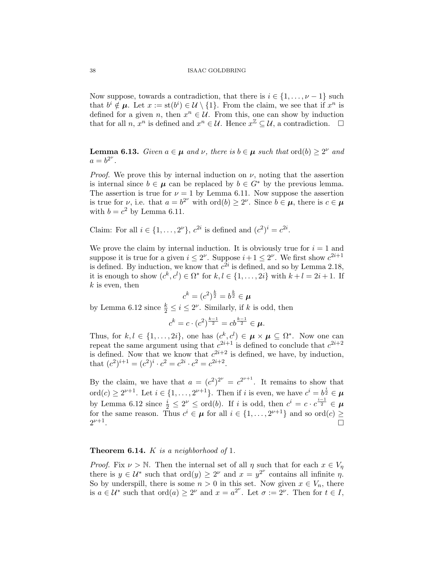Now suppose, towards a contradiction, that there is  $i \in \{1, \ldots, \nu-1\}$  such that  $b^i \notin \mu$ . Let  $x := \operatorname{st}(b^i) \in \mathcal{U} \setminus \{1\}$ . From the claim, we see that if  $x^n$  is defined for a given n, then  $x^n \in \mathcal{U}$ . From this, one can show by induction that for all  $n, x^n$  is defined and  $x^n \in \mathcal{U}$ . Hence  $x^{\mathbb{Z}} \subseteq \mathcal{U}$ , a contradiction.  $\Box$ 

**Lemma 6.13.** Given  $a \in \mu$  and  $\nu$ , there is  $b \in \mu$  such that  $\text{ord}(b) \geq 2^{\nu}$  and  $a = b^{2^{\nu}}.$ 

*Proof.* We prove this by internal induction on  $\nu$ , noting that the assertion is internal since  $b \in \mu$  can be replaced by  $b \in G^*$  by the previous lemma. The assertion is true for  $\nu = 1$  by Lemma 6.11. Now suppose the assertion is true for  $\nu$ , i.e. that  $a = b^{2\nu}$  with  $\text{ord}(b) \geq 2^{\nu}$ . Since  $b \in \mu$ , there is  $c \in \mu$ with  $b = c^2$  by Lemma 6.11.

Claim: For all  $i \in \{1,\ldots,2^{\nu}\}, c^{2i}$  is defined and  $(c^2)^i = c^{2i}$ .

We prove the claim by internal induction. It is obviously true for  $i = 1$  and suppose it is true for a given  $i \leq 2^{\nu}$ . Suppose  $i+1 \leq 2^{\nu}$ . We first show  $c^{2i+1}$ is defined. By induction, we know that  $c^{2i}$  is defined, and so by Lemma 2.18, it is enough to show  $(c^k, c^l) \in \Omega^*$  for  $k, l \in \{1, \ldots, 2i\}$  with  $k + l = 2i + 1$ . If  $k$  is even, then

$$
c^k = (c^2)^{\frac{k}{2}} = b^{\frac{k}{2}} \in \boldsymbol{\mu}
$$

by Lemma 6.12 since  $\frac{k}{2} \leq i \leq 2^{\nu}$ . Similarly, if k is odd, then

$$
c^k = c \cdot (c^2)^{\frac{k-1}{2}} = cb^{\frac{k-1}{2}} \in \mu.
$$

Thus, for  $k, l \in \{1, ..., 2i\}$ , one has  $(c^k, c^l) \in \boldsymbol{\mu} \times \boldsymbol{\mu} \subseteq \Omega^*$ . Now one can repeat the same argument using that  $c^{2i+1}$  is defined to conclude that  $c^{2i+2}$ is defined. Now that we know that  $c^{2i+2}$  is defined, we have, by induction, that  $(c^2)^{i+1} = (c^2)^i \cdot c^2 = c^{2i} \cdot c^2 = c^{2i+2}.$ 

By the claim, we have that  $a = (c^2)^{2^{\nu}} = c^{2^{\nu+1}}$ . It remains to show that ord $(c) \geq 2^{\nu+1}$ . Let  $i \in \{1, \ldots, 2^{\nu+1}\}$ . Then if i is even, we have  $c^i = b^{\frac{i}{2}} \in \mu$ by Lemma 6.12 since  $\frac{i}{2} \leq 2^{\nu} \leq \text{ord}(b)$ . If i is odd, then  $c^i = c \cdot c^{\frac{i-1}{2}} \in \mu$ for the same reason. Thus  $c^i \in \mu$  for all  $i \in \{1, ..., 2^{\nu+1}\}\$ and so ord $(c) \geq$  $2^{\nu+1}$ .

## **Theorem 6.14.** K is a neighborhood of 1.

*Proof.* Fix  $\nu > \mathbb{N}$ . Then the internal set of all  $\eta$  such that for each  $x \in V_n$ there is  $y \in \mathcal{U}^*$  such that  $\text{ord}(y) \geq 2^{\nu}$  and  $x = y^{2^{\nu}}$  contains all infinite  $\eta$ . So by underspill, there is some  $n > 0$  in this set. Now given  $x \in V_n$ , there is  $a \in \mathcal{U}^*$  such that  $\text{ord}(a) \geq 2^{\nu}$  and  $x = a^{2^{\nu}}$ . Let  $\sigma := 2^{\nu}$ . Then for  $t \in I$ ,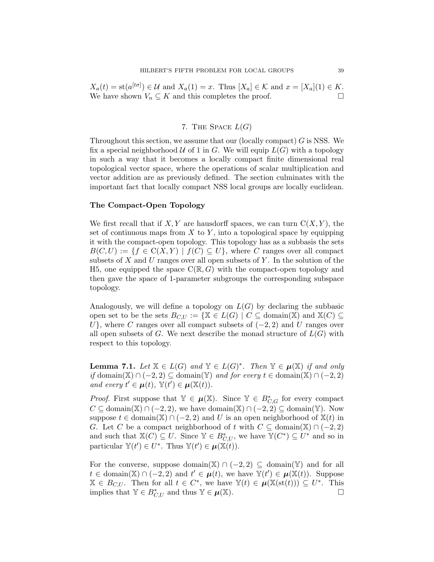$X_a(t) = \text{st}(a^{[t\sigma]}) \in \mathcal{U}$  and  $X_a(1) = x$ . Thus  $[X_a] \in \mathcal{K}$  and  $x = [X_a](1) \in K$ . We have shown  $V_n \subseteq K$  and this completes the proof.  $\Box$ 

# 7. THE SPACE  $L(G)$

Throughout this section, we assume that our (locally compact)  $G$  is NSS. We fix a special neighborhood  $U$  of 1 in G. We will equip  $L(G)$  with a topology in such a way that it becomes a locally compact finite dimensional real topological vector space, where the operations of scalar multiplication and vector addition are as previously defined. The section culminates with the important fact that locally compact NSS local groups are locally euclidean.

### The Compact-Open Topology

We first recall that if  $X, Y$  are hausdorff spaces, we can turn  $C(X, Y)$ , the set of continuous maps from  $X$  to  $Y$ , into a topological space by equipping it with the compact-open topology. This topology has as a subbasis the sets  $B(C, U) := \{f \in C(X, Y) \mid f(C) \subseteq U\}$ , where C ranges over all compact subsets of X and U ranges over all open subsets of Y. In the solution of the H5, one equipped the space  $C(\mathbb{R}, G)$  with the compact-open topology and then gave the space of 1-parameter subgroups the corresponding subspace topology.

Analogously, we will define a topology on  $L(G)$  by declaring the subbasic open set to be the sets  $B_{C,U} := \{ \mathbb{X} \in L(G) \mid C \subseteq \text{domain}(\mathbb{X}) \text{ and } \mathbb{X}(C) \subseteq$ U}, where C ranges over all compact subsets of  $(-2, 2)$  and U ranges over all open subsets of G. We next describe the monad structure of  $L(G)$  with respect to this topology.

**Lemma 7.1.** Let  $X \in L(G)$  and  $Y \in L(G)^*$ . Then  $Y \in \mu(X)$  if and only if domain(X) ∩ (−2, 2) ⊆ domain(Y) and for every  $t \in \text{domain}(\mathbb{X}) \cap (-2, 2)$ and every  $t' \in \mu(t)$ ,  $\mathbb{Y}(t') \in \mu(\mathbb{X}(t))$ .

*Proof.* First suppose that  $\mathbb{Y} \in \mu(\mathbb{X})$ . Since  $\mathbb{Y} \in B^*_{C,G}$  for every compact  $C \subseteq \text{domain}(\mathbb{X}) \cap (-2, 2)$ , we have domain $(\mathbb{X}) \cap (-2, 2) \subseteq \text{domain}(\mathbb{Y})$ . Now suppose  $t \in \text{domain}(\mathbb{X}) \cap (-2, 2)$  and U is an open neighborhood of  $\mathbb{X}(t)$  in G. Let C be a compact neighborhood of t with  $C \subseteq \text{domain}(\mathbb{X}) \cap (-2, 2)$ and such that  $\mathbb{X}(C) \subseteq U$ . Since  $\mathbb{Y} \in B^*_{C,U}$ , we have  $\mathbb{Y}(C^*) \subseteq U^*$  and so in particular  $\mathbb{Y}(t') \in U^*$ . Thus  $\mathbb{Y}(t') \in \mu(\mathbb{X}(t))$ .

For the converse, suppose domain(X)  $\cap$  (-2, 2)  $\subseteq$  domain(Y) and for all  $t \in \text{domain}(\mathbb{X}) \cap (-2, 2)$  and  $t' \in \mu(t)$ , we have  $\mathbb{Y}(t') \in \mu(\mathbb{X}(t))$ . Suppose  $\mathbb{X} \in B_{C,U}$ . Then for all  $t \in C^*$ , we have  $\mathbb{Y}(t) \in \mu(\mathbb{X}(\text{st}(t))) \subseteq U^*$ . This implies that  $\mathbb{Y} \in B^*_{C,U}$  and thus  $\mathbb{Y} \in \mu(\mathbb{X})$ .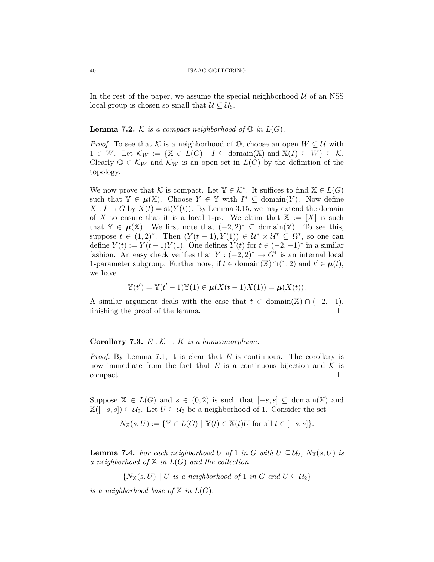In the rest of the paper, we assume the special neighborhood  $U$  of an NSS local group is chosen so small that  $\mathcal{U} \subseteq \mathcal{U}_6$ .

## **Lemma 7.2.** K is a compact neighborhood of  $\mathbb{O}$  in  $L(G)$ .

*Proof.* To see that K is a neighborhood of  $\mathbb{O}$ , choose an open  $W \subseteq \mathcal{U}$  with  $1 \in W$ . Let  $\mathcal{K}_W := \{ \mathbb{X} \in L(G) \mid I \subseteq \text{domain}(\mathbb{X}) \text{ and } \mathbb{X}(I) \subseteq W \} \subseteq \mathcal{K}$ . Clearly  $\mathbb{O} \in \mathcal{K}_W$  and  $\mathcal{K}_W$  is an open set in  $L(G)$  by the definition of the topology.

We now prove that K is compact. Let  $\mathbb{Y} \in \mathcal{K}^*$ . It suffices to find  $\mathbb{X} \in L(G)$ such that  $\mathbb{Y} \in \mu(\mathbb{X})$ . Choose  $Y \in \mathbb{Y}$  with  $I^* \subseteq \text{domain}(Y)$ . Now define  $X: I \to G$  by  $X(t) = \text{st}(Y(t))$ . By Lemma 3.15, we may extend the domain of X to ensure that it is a local 1-ps. We claim that  $X := [X]$  is such that  $\mathbb{Y} \in \mu(\mathbb{X})$ . We first note that  $(-2, 2)^* \subseteq \text{domain}(\mathbb{Y})$ . To see this, suppose  $t \in (1,2)^*$ . Then  $(Y(t-1), Y(1)) \in \mathcal{U}^* \times \mathcal{U}^* \subseteq \Omega^*$ , so one can define  $Y(t) := Y(t-1)Y(1)$ . One defines  $Y(t)$  for  $t \in (-2, -1)^*$  in a similar fashion. An easy check verifies that  $Y: (-2,2)^* \to G^*$  is an internal local 1-parameter subgroup. Furthermore, if  $t \in \text{domain}(\mathbb{X}) \cap (1, 2)$  and  $t' \in \mu(t)$ , we have

$$
\mathbb{Y}(t') = \mathbb{Y}(t'-1)\mathbb{Y}(1) \in \mu(X(t-1)X(1)) = \mu(X(t)).
$$

A similar argument deals with the case that  $t \in \text{domain}(\mathbb{X}) \cap (-2, -1)$ , finishing the proof of the lemma.  $\Box$ 

### Corollary 7.3.  $E : \mathcal{K} \to K$  is a homeomorphism.

*Proof.* By Lemma 7.1, it is clear that  $E$  is continuous. The corollary is now immediate from the fact that E is a continuous bijection and K is  $\Box$ compact.

Suppose  $\mathbb{X} \in L(G)$  and  $s \in (0,2)$  is such that  $[-s,s] \subseteq \text{domain}(\mathbb{X})$  and  $\mathbb{X}([-s,s]) \subseteq \mathcal{U}_2$ . Let  $U \subseteq \mathcal{U}_2$  be a neighborhood of 1. Consider the set

$$
N_{\mathbb{X}}(s,U) := \{ \mathbb{Y} \in L(G) \mid \mathbb{Y}(t) \in \mathbb{X}(t)U \text{ for all } t \in [-s,s] \}.
$$

**Lemma 7.4.** For each neighborhood U of 1 in G with  $U \subseteq \mathcal{U}_2$ ,  $N_{\mathbb{X}}(s, U)$  is a neighborhood of  $X$  in  $L(G)$  and the collection

 ${N_\mathbb{X}(s, U) \mid U \text{ is a neighborhood of } 1 \text{ in } G \text{ and } U \subseteq U_2}$ 

is a neighborhood base of  $X$  in  $L(G)$ .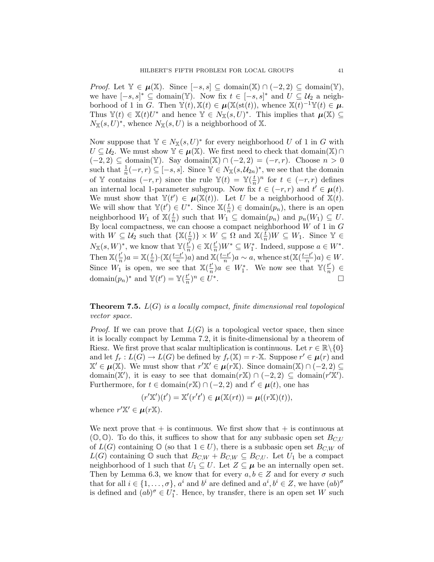*Proof.* Let  $\mathbb{Y} \in \mu(\mathbb{X})$ . Since  $[-s, s]$  ⊆ domain(X) ∩  $(-2, 2)$  ⊆ domain(Y), we have  $[-s, s]^* \subseteq \text{domain}(\mathbb{Y})$ . Now fix  $t \in [-s, s]^*$  and  $U \subseteq \mathcal{U}_2$  a neighborhood of 1 in G. Then  $\mathbb{Y}(t), \mathbb{X}(t) \in \mu(\mathbb{X}(\text{st}(t)), \text{ whence } \mathbb{X}(t)^{-1}\mathbb{Y}(t) \in \mu$ . Thus  $\mathbb{Y}(t) \in \mathbb{X}(t)U^*$  and hence  $\mathbb{Y} \in N_{\mathbb{X}}(s,U)^*$ . This implies that  $\mu(\mathbb{X}) \subseteq$  $N_{\mathbb{X}}(s,U)^*$ , whence  $N_{\mathbb{X}}(s,U)$  is a neighborhood of X.

Now suppose that  $\mathbb{Y} \in N_{\mathbb{X}}(s, U)^*$  for every neighborhood U of 1 in G with  $U \subseteq \mathcal{U}_2$ . We must show  $\mathbb{Y} \in \mu(\mathbb{X})$ . We first need to check that domain $(\mathbb{X}) \cap$  $(-2, 2)$  ⊆ domain(Y). Say domain(X) ∩  $(-2, 2) = (-r, r)$ . Choose  $n > 0$ such that  $\frac{1}{n}(-r, r) \subseteq [-s, s]$ . Since  $\mathbb{Y} \in N_{\mathbb{X}}(s, \mathcal{U}_{2n})^*$ , we see that the domain of Y contains  $(-r, r)$  since the rule  $\mathbb{Y}(t) = \mathbb{Y}(\frac{t}{n})$  $(\frac{t}{n})^n$  for  $t \in (-r, r)$  defines an internal local 1-parameter subgroup. Now fix  $t \in (-r, r)$  and  $t' \in \mu(t)$ . We must show that  $\mathbb{Y}(t') \in \mu(\mathbb{X}(t))$ . Let U be a neighborhood of  $\mathbb{X}(t)$ . We will show that  $\mathbb{Y}(t') \in U^*$ . Since  $\mathbb{X}(\frac{t}{n})$  $(\frac{t}{n}) \in \text{domain}(p_n)$ , there is an open neighborhood  $W_1$  of  $\mathbb{X}(\frac{t}{n})$  $\frac{t}{n}$ ) such that  $W_1 \subseteq \text{domain}(p_n)$  and  $p_n(W_1) \subseteq U$ . By local compactness, we can choose a compact neighborhood  $W$  of 1 in  $G$ with  $W \subseteq \mathcal{U}_2$  such that  $\{X(\frac{t}{n})\}$  $(\frac{t}{n})\}\times W\subseteq \Omega$  and  $\mathbb{X}(\frac{t}{n})$  $\frac{\tilde{t}}{n}$ ) $W \subseteq W_1$ . Since  $\mathbb{Y} \in$  $N_{\mathbb{X}}(s, W)^{*}$ , we know that  $\mathbb{Y}(\frac{t^{2}}{n})$  $\frac{t'}{n}$ )  $\in \mathbb{X}(\frac{t'}{n})$  $\frac{t'}{n}W^* \subseteq W_1^*$ . Indeed, suppose  $a \in W^*$ . Then  $\mathbb{X}(\frac{t'}{n})$  $\frac{t'}{n}$ ) $a = \mathbb{X}(\frac{t}{n})$  $\frac{t}{n})\cdot(\mathbb{X}(\frac{t-t'}{n}% ,\infty))$  $\frac{-t'}{n}$ )a) and  $\mathbb{X}(\frac{t-t'}{n})$  $\frac{-t'}{n}$ )a ~ a, whence st( $\mathbb{X}(\frac{t-t'}{n})$  $\frac{-t'}{n}(a) \in W.$ Since  $W_1$  is open, we see that  $\mathbb{X}(\frac{t^n}{n})$  $\frac{t'}{n}$ )a ∈  $W_1^*$ . We now see that  $\mathbb{Y}(\frac{t'}{n})$  $\frac{t'}{n}$ )  $\in$ domain $(p_n)^*$  and  $\mathbb{Y}(t') = \mathbb{Y}(\frac{t'}{n})$  $\frac{t'}{n}$ <sup>n</sup>  $\in U^*$ . В последните последните последните и последните и последните и последните и последните и последните и послед<br>В последните последните последните последните последните последните последните последните последните последнит

**Theorem 7.5.**  $L(G)$  is a locally compact, finite dimensional real topological vector space.

*Proof.* If we can prove that  $L(G)$  is a topological vector space, then since it is locally compact by Lemma 7.2, it is finite-dimensional by a theorem of Riesz. We first prove that scalar multiplication is continuous. Let  $r \in \mathbb{R} \setminus \{0\}$ and let  $f_r: L(G) \to L(G)$  be defined by  $f_r(\mathbb{X}) = r \cdot \mathbb{X}$ . Suppose  $r' \in \mu(r)$  and  $\mathbb{X}' \in \mu(\mathbb{X})$ . We must show that  $r'\mathbb{X}' \in \mu(r\mathbb{X})$ . Since domain $(\mathbb{X}) \cap (-2, 2) \subseteq$ domain(X'), it is easy to see that domain( $r\mathbb{X}$ )  $\cap$  (-2, 2)  $\subseteq$  domain( $r'\mathbb{X}'$ ). Furthermore, for  $t \in \text{domain}(r\mathbb{X}) \cap (-2, 2)$  and  $t' \in \mu(t)$ , one has

$$
(r'\mathbb{X}')(t') = \mathbb{X}'(r't') \in \boldsymbol{\mu}(\mathbb{X}(rt)) = \boldsymbol{\mu}((r\mathbb{X})(t)),
$$

whence  $r' \mathbb{X}' \in \mu(r\mathbb{X})$ .

We next prove that  $+$  is continuous. We first show that  $+$  is continuous at  $(\mathbb{O}, \mathbb{O})$ . To do this, it suffices to show that for any subbasic open set  $B_{CLU}$ of  $L(G)$  containing  $\mathbb{O}$  (so that  $1 \in U$ ), there is a subbasic open set  $B_{C,W}$  of  $L(G)$  containing  $\mathbb O$  such that  $B_{C,W} + B_{C,W} \subseteq B_{C,U}$ . Let  $U_1$  be a compact neighborhood of 1 such that  $U_1 \subseteq U$ . Let  $Z \subseteq \mu$  be an internally open set. Then by Lemma 6.3, we know that for every  $a, b \in \mathbb{Z}$  and for every  $\sigma$  such that for all  $i \in \{1, ..., \sigma\}$ ,  $a^i$  and  $b^i$  are defined and  $a^i, b^i \in Z$ , we have  $(ab)^{\sigma}$ is defined and  $(ab)^{\sigma} \in U_1^*$ . Hence, by transfer, there is an open set W such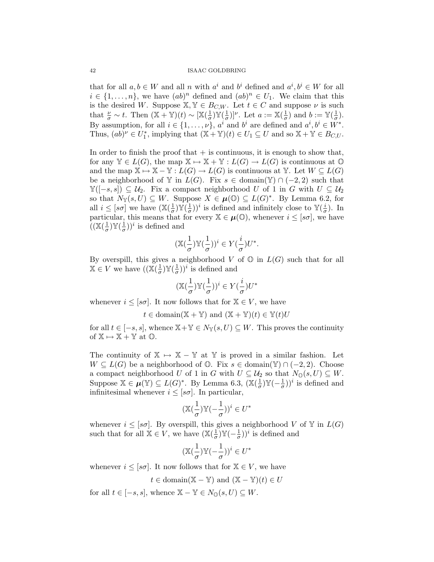that for all  $a, b \in W$  and all n with  $a^i$  and  $b^i$  defined and  $a^i, b^i \in W$  for all  $i \in \{1, \ldots, n\}$ , we have  $(ab)^n$  defined and  $(ab)^n \in U_1$ . We claim that this is the desired W. Suppose  $X, Y \in B_{C,W}$ . Let  $t \in C$  and suppose  $\nu$  is such that  $\frac{\nu}{\sigma} \sim t$ . Then  $(\mathbb{X} + \mathbb{Y})(t) \sim [\mathbb{X}(\frac{1}{\sigma})]$  $\frac{1}{\sigma})\mathbb{Y}(\frac{1}{\sigma})$  $(\frac{1}{\sigma})^{\nu}$ . Let  $a := \mathbb{X}(\frac{1}{\sigma})$  $(\frac{1}{\sigma})$  and  $b := \mathbb{Y}(\frac{1}{\sigma})$  $\frac{1}{\sigma}$ ). By assumption, for all  $i \in \{1, \ldots, \nu\}$ ,  $a^i$  and  $b^i$  are defined and  $a^i, b^i \in W^*$ . Thus,  $(ab)^{\nu} \in U_1^*$ , implying that  $(\mathbb{X} + \mathbb{Y})(t) \in U_1 \subseteq U$  and so  $\mathbb{X} + \mathbb{Y} \in B_{C,U}$ .

In order to finish the proof that  $+$  is continuous, it is enough to show that, for any  $\mathbb{Y} \in L(G)$ , the map  $\mathbb{X} \mapsto \mathbb{X} + \mathbb{Y} : L(G) \to L(G)$  is continuous at  $\mathbb{O}$ and the map  $X \mapsto X - Y : L(G) \to L(G)$  is continuous at Y. Let  $W \subseteq L(G)$ be a neighborhood of Y in  $L(G)$ . Fix  $s \in \text{domain}(\mathbb{Y}) \cap (-2, 2)$  such that  $\mathbb{Y}([-s,s]) \subseteq \mathcal{U}_2$ . Fix a compact neighborhood U of 1 in G with  $U \subseteq \mathcal{U}_2$ so that  $N_{\mathbb{Y}}(s,U) \subseteq W$ . Suppose  $X \in \mu(\mathbb{O}) \subseteq L(G)^*$ . By Lemma 6.2, for all  $i \leq [s\sigma]$  we have  $(\mathbb{X}(\frac{1}{\sigma}))$  $\frac{1}{\sigma})$ Y( $\frac{1}{\sigma}$  $(\frac{1}{\sigma})^i$  is defined and infinitely close to  $\mathbb{Y}(\frac{i}{\sigma})$  $\frac{i}{\sigma}$ ). In particular, this means that for every  $\mathbb{X} \in \boldsymbol{\mu}(\mathbb{O})$ , whenever  $i \leq [s\sigma]$ , we have  $\left(\left(\mathbb{X}\right)\right)^{\frac{1}{\sigma}}$  $\frac{1}{\sigma})\mathbb{Y}(\frac{1}{\sigma})$  $(\frac{1}{\sigma})^i$  is defined and

$$
(\mathbb{X}(\frac{1}{\sigma})\mathbb{Y}(\frac{1}{\sigma}))^i\in Y(\frac{i}{\sigma})U^*.
$$

By overspill, this gives a neighborhood V of  $\mathbb{O}$  in  $L(G)$  such that for all  $\mathbb{X} \in V$  we have  $(\mathbb{X}(\frac{1}{\sigma}))$  $\frac{1}{\sigma})\mathbb{Y}(\frac{1}{\sigma})$  $(\frac{1}{\sigma})^i$  is defined and

$$
(\mathbb{X}(\frac{1}{\sigma})\mathbb{Y}(\frac{1}{\sigma}))^i\in Y(\frac{i}{\sigma})U^*
$$

whenever  $i \leq [s\sigma]$ . It now follows that for  $\mathbb{X} \in V$ , we have

$$
t \in \text{domain}(\mathbb{X} + \mathbb{Y})
$$
 and  $(\mathbb{X} + \mathbb{Y})(t) \in \mathbb{Y}(t)U$ 

for all  $t \in [-s, s]$ , whence  $X + Y \in N_Y(s, U) \subseteq W$ . This proves the continuity of  $X \mapsto X + Y$  at  $\mathbb{O}$ .

The continuity of  $X \rightarrow X - Y$  at Y is proved in a similar fashion. Let  $W \subseteq L(G)$  be a neighborhood of  $\mathbb{O}$ . Fix  $s \in \text{domain}(\mathbb{Y}) \cap (-2, 2)$ . Choose a compact neighborhood U of 1 in G with  $U \subseteq U_2$  so that  $N_0(s, U) \subseteq W$ . Suppose  $\mathbb{X} \in \mu(\mathbb{Y}) \subseteq L(G)^*$ . By Lemma 6.3,  $(\mathbb{X}(\frac{1}{\sigma}))$  $\frac{1}{\sigma})\mathbb{Y}(-\frac{1}{\sigma})$  $(\frac{1}{\sigma})^i$  is defined and infinitesimal whenever  $i \leq [s\sigma]$ . In particular,

$$
(\mathbb{X}(\frac{1}{\sigma})\mathbb{Y}(-\frac{1}{\sigma}))^i\in U^*
$$

whenever  $i \leq [s\sigma]$ . By overspill, this gives a neighborhood V of Y in  $L(G)$ such that for all  $X \in V$ , we have  $(X(\frac{1}{\sigma}))$  $\frac{1}{\sigma})\mathbb{Y}(-\frac{1}{\sigma})$  $(\frac{1}{\sigma})^i$  is defined and

$$
(\mathbb{X}(\frac{1}{\sigma})\mathbb{Y}(-\frac{1}{\sigma}))^i\in U^*
$$

whenever  $i \leq [s\sigma]$ . It now follows that for  $\mathbb{X} \in V$ , we have

$$
t \in \text{domain}(\mathbb{X} - \mathbb{Y})
$$
 and  $(\mathbb{X} - \mathbb{Y})(t) \in U$ 

for all  $t \in [-s, s]$ , whence  $\mathbb{X} - \mathbb{Y} \in N_0(s, U) \subseteq W$ .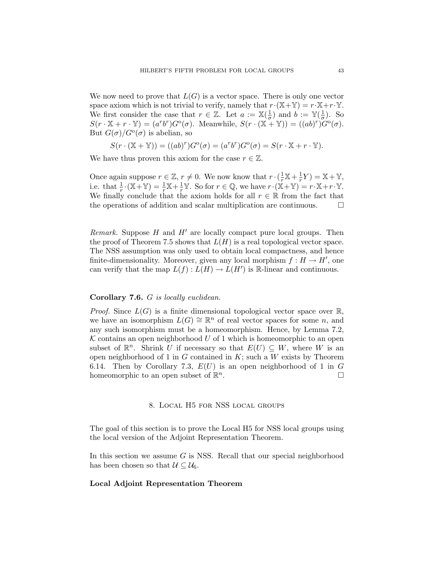We now need to prove that  $L(G)$  is a vector space. There is only one vector space axiom which is not trivial to verify, namely that  $r \cdot (\mathbb{X} + \mathbb{Y}) = r \cdot \mathbb{X} + r \cdot \mathbb{Y}$ . We first consider the case that  $r \in \mathbb{Z}$ . Let  $a := \mathbb{X}(\frac{1}{\sigma})$  $\frac{1}{\sigma}$ ) and  $b := \mathbb{Y}(\frac{1}{\sigma})$  $\frac{1}{\sigma}$ ). So  $S(r \cdot X + r \cdot Y) = (a^r b^r) G^{\circ}(\sigma)$ . Meanwhile,  $S(r \cdot (X + Y)) = ((ab)^r) G^{\circ}(\sigma)$ . But  $G(\sigma)/G^{\rm o}(\sigma)$  is abelian, so

$$
S(r \cdot (\mathbb{X} + \mathbb{Y})) = ((ab)^r)G^{\circ}(\sigma) = (a^r b^r)G^{\circ}(\sigma) = S(r \cdot \mathbb{X} + r \cdot \mathbb{Y}).
$$

We have thus proven this axiom for the case  $r \in \mathbb{Z}$ .

Once again suppose  $r \in \mathbb{Z}$ ,  $r \neq 0$ . We now know that  $r \cdot (\frac{1}{r}\mathbb{X} + \frac{1}{r})$  $\frac{1}{r}Y$ ) =  $\mathbb{X} + \mathbb{Y}$ , i.e. that  $\frac{1}{r} \cdot (\mathbb{X} + \mathbb{Y}) = \frac{1}{r} \mathbb{X} + \frac{1}{r} \mathbb{Y}$ . So for  $r \in \mathbb{Q}$ , we have  $r \cdot (\mathbb{X} + \mathbb{Y}) = r \cdot \mathbb{X} + r \cdot \mathbb{Y}$ . We finally conclude that the axiom holds for all  $r \in \mathbb{R}$  from the fact that the operations of addition and scalar multiplication are continuous.  $\Box$ 

*Remark.* Suppose  $H$  and  $H'$  are locally compact pure local groups. Then the proof of Theorem 7.5 shows that  $L(H)$  is a real topological vector space. The NSS assumption was only used to obtain local compactness, and hence finite-dimensionality. Moreover, given any local morphism  $f: H \to H'$ , one can verify that the map  $L(f): L(H) \to L(H')$  is R-linear and continuous.

## Corollary 7.6. G is locally euclidean.

*Proof.* Since  $L(G)$  is a finite dimensional topological vector space over  $\mathbb{R}$ , we have an isomorphism  $L(G) \cong \mathbb{R}^n$  of real vector spaces for some n, and any such isomorphism must be a homeomorphism. Hence, by Lemma 7.2,  $K$  contains an open neighborhood U of 1 which is homeomorphic to an open subset of  $\mathbb{R}^n$ . Shrink U if necessary so that  $E(U) \subseteq W$ , where W is an open neighborhood of 1 in G contained in  $K$ ; such a W exists by Theorem 6.14. Then by Corollary 7.3,  $E(U)$  is an open neighborhood of 1 in G homeomorphic to an open subset of  $\mathbb{R}^n$ . — Первый процесс в процесс в принципальном странет и продавать в собстании с продавать не собстания и просто<br>В собстании с продавать в собстании с просто продавать в собстании с продавать с продавать с просто просто про

### 8. Local H5 for NSS local groups

The goal of this section is to prove the Local H5 for NSS local groups using the local version of the Adjoint Representation Theorem.

In this section we assume  $G$  is NSS. Recall that our special neighborhood has been chosen so that  $\mathcal{U} \subseteq \mathcal{U}_6$ .

## Local Adjoint Representation Theorem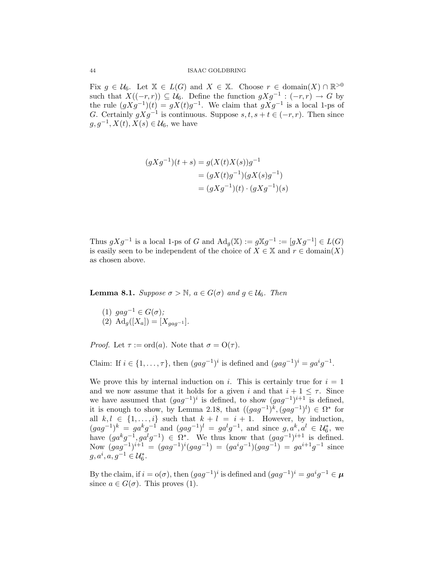Fix  $g \in \mathcal{U}_6$ . Let  $\mathbb{X} \in L(G)$  and  $X \in \mathbb{X}$ . Choose  $r \in \text{domain}(X) \cap \mathbb{R}^{>0}$ such that  $X((-r,r)) \subseteq \mathcal{U}_6$ . Define the function  $gXg^{-1} : (-r,r) \to G$  by the rule  $(gXg^{-1})(t) = gX(t)g^{-1}$ . We claim that  $gXg^{-1}$  is a local 1-ps of G. Certainly  $gXg^{-1}$  is continuous. Suppose  $s, t, s + t \in (-r, r)$ . Then since  $g, g^{-1}, X(t), X(s) \in \mathcal{U}_6$ , we have

$$
(gXg^{-1})(t+s) = g(X(t)X(s))g^{-1}
$$
  
=  $(gX(t)g^{-1})(gX(s)g^{-1})$   
=  $(gXg^{-1})(t) \cdot (gXg^{-1})(s)$ 

Thus  $gXg^{-1}$  is a local 1-ps of G and  $\text{Ad}_g(\mathbb{X}) := g\mathbb{X}g^{-1} := [gXg^{-1}] \in L(G)$ is easily seen to be independent of the choice of  $X \in \mathbb{X}$  and  $r \in \text{domain}(X)$ as chosen above.

**Lemma 8.1.** Suppose  $\sigma > \mathbb{N}$ ,  $a \in G(\sigma)$  and  $g \in \mathcal{U}_6$ . Then

(1)  $gag^{-1} \in G(\sigma);$ (2)  $\text{Ad}_q([X_a]) = [X_{aaa^{-1}}].$ 

*Proof.* Let  $\tau := \text{ord}(a)$ . Note that  $\sigma = O(\tau)$ .

Claim: If  $i \in \{1, ..., \tau\}$ , then  $(gag^{-1})^i$  is defined and  $(gag^{-1})^i = ga^ig^{-1}$ .

We prove this by internal induction on i. This is certainly true for  $i = 1$ and we now assume that it holds for a given i and that  $i + 1 \leq \tau$ . Since we have assumed that  $(gag^{-1})^i$  is defined, to show  $(gag^{-1})^{i+1}$  is defined, it is enough to show, by Lemma 2.18, that  $((gag^{-1})^k, (gag^{-1})^l) \in \Omega^*$  for all  $k, l \in \{1, \ldots, i\}$  such that  $k + l = i + 1$ . However, by induction,  $(gag^{-1})^k = ga^k g^{-1}$  and  $(gag^{-1})^l = ga^l g^{-1}$ , and since  $g, a^k, a^l \in \mathcal{U}_6^*$ , we have  $(ga^kg^{-1}, ga^lg^{-1}) \in \Omega^*$ . We thus know that  $(gag^{-1})^{i+1}$  is defined. Now  $(gag^{-1})^{i+1} = (gag^{-1})^i(gag^{-1}) = (ga^ig^{-1})(gag^{-1}) = ga^{i+1}g^{-1}$  since  $g, a^i, a, g^{-1} \in \mathcal{U}_6^*$ .

By the claim, if  $i = o(\sigma)$ , then  $(gag^{-1})^i$  is defined and  $(gag^{-1})^i = ga^ig^{-1} \in \mu$ since  $a \in G(\sigma)$ . This proves (1).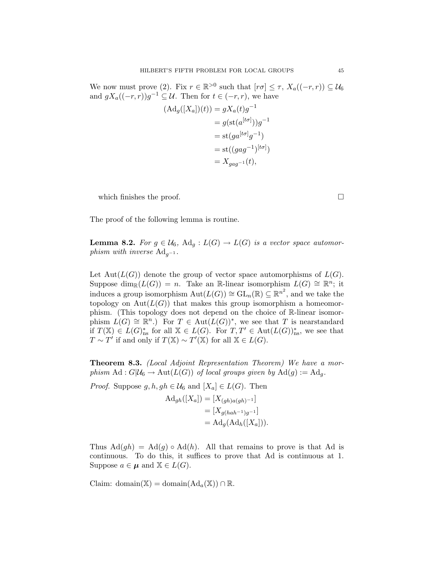We now must prove (2). Fix  $r \in \mathbb{R}^{>0}$  such that  $[r\sigma] \leq \tau$ ,  $X_a((-r,r)) \subseteq \mathcal{U}_6$ and  $gX_a((-r,r))g^{-1} \subseteq \mathcal{U}$ . Then for  $t \in (-r,r)$ , we have

$$
(\mathrm{Ad}_g([X_a])(t)) = gX_a(t)g^{-1}
$$
  
=  $g(\mathrm{st}(a^{[t\sigma]}))g^{-1}$   
=  $\mathrm{st}(ga^{[t\sigma]}g^{-1})$   
=  $\mathrm{st}((gag^{-1})^{[t\sigma]})$   
=  $X_{gag^{-1}}(t)$ ,

which finishes the proof.  $\Box$ 

The proof of the following lemma is routine.

**Lemma 8.2.** For  $g \in \mathcal{U}_6$ ,  $\text{Ad}_g: L(G) \to L(G)$  is a vector space automorphism with inverse  $\text{Ad}_{q^{-1}}$ .

Let  $Aut(L(G))$  denote the group of vector space automorphisms of  $L(G)$ . Suppose dim<sub>R</sub>( $L(G)$ ) = n. Take an R-linear isomorphism  $L(G) \cong \mathbb{R}^n$ ; it induces a group isomorphism  $\text{Aut}(L(G)) \cong \text{GL}_n(\mathbb{R}) \subseteq \mathbb{R}^{n^2}$ , and we take the topology on  $Aut(L(G))$  that makes this group isomorphism a homeomorphism. (This topology does not depend on the choice of R-linear isomorphism  $L(G) \cong \mathbb{R}^n$ .) For  $T \in \text{Aut}(L(G))^*$ , we see that T is nearstandard if  $T(\mathbb{X}) \in L(G)_{\text{ns}}^{*}$  for all  $\mathbb{X} \in L(G)$ . For  $T, T' \in \text{Aut}(L(G))_{\text{ns}}^{*}$ , we see that  $T \sim T'$  if and only if  $T(\mathbb{X}) \sim T'(\mathbb{X})$  for all  $\mathbb{X} \in L(G)$ .

Theorem 8.3. (Local Adjoint Representation Theorem) We have a morphism  $\text{Ad}: G|\mathcal{U}_6 \to \text{Aut}(L(G))$  of local groups given by  $\text{Ad}(g) := \text{Ad}_g$ .

*Proof.* Suppose  $g, h, gh \in \mathcal{U}_6$  and  $[X_a] \in L(G)$ . Then

$$
\begin{aligned} \mathrm{Ad}_{gh}([X_a]) &= [X_{(gh)a(gh)^{-1}}] \\ &= [X_{g(hah^{-1})g^{-1}}] \\ &= \mathrm{Ad}_g(\mathrm{Ad}_h([X_a])) . \end{aligned}
$$

Thus  $\text{Ad}(gh) = \text{Ad}(g) \circ \text{Ad}(h)$ . All that remains to prove is that Ad is continuous. To do this, it suffices to prove that Ad is continuous at 1. Suppose  $a \in \mu$  and  $\mathbb{X} \in L(G)$ .

Claim: domain( $\mathbb{X}$ ) = domain( $\mathrm{Ad}_a(\mathbb{X})$ ) ∩  $\mathbb{R}$ .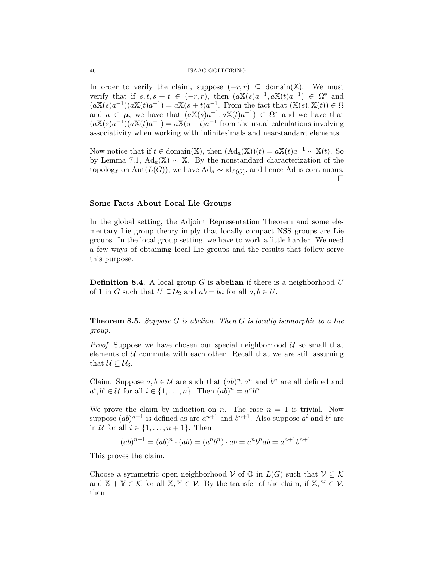In order to verify the claim, suppose  $(-r, r) \subseteq \text{domain}(\mathbb{X})$ . We must verify that if  $s, t, s + t \in (-r, r)$ , then  $(a\mathbb{X}(s)a^{-1}, a\mathbb{X}(t)a^{-1}) \in \Omega^*$  and  $(a\mathbb{X}(s)a^{-1})(a\mathbb{X}(t)a^{-1}) = a\mathbb{X}(s+t)a^{-1}$ . From the fact that  $(\mathbb{X}(s), \mathbb{X}(t)) \in \Omega$ and  $a \in \mu$ , we have that  $(a\mathbb{X}(s)a^{-1}, a\mathbb{X}(t)a^{-1}) \in \Omega^*$  and we have that  $(a\mathbb{X}(s)a^{-1})(a\mathbb{X}(t)a^{-1}) = a\mathbb{X}(s+t)a^{-1}$  from the usual calculations involving associativity when working with infinitesimals and nearstandard elements.

Now notice that if  $t \in \text{domain}(\mathbb{X})$ , then  $(\text{Ad}_a(\mathbb{X}))(t) = a\mathbb{X}(t)a^{-1} \sim \mathbb{X}(t)$ . So by Lemma 7.1,  $\text{Ad}_a(\mathbb{X}) \sim \mathbb{X}$ . By the nonstandard characterization of the topology on  $\text{Aut}(L(G))$ , we have  $\text{Ad}_a \sim \text{id}_{L(G)}$ , and hence Ad is continuous.  $\Box$ 

#### Some Facts About Local Lie Groups

In the global setting, the Adjoint Representation Theorem and some elementary Lie group theory imply that locally compact NSS groups are Lie groups. In the local group setting, we have to work a little harder. We need a few ways of obtaining local Lie groups and the results that follow serve this purpose.

**Definition 8.4.** A local group G is **abelian** if there is a neighborhood U of 1 in G such that  $U \subseteq \mathcal{U}_2$  and  $ab = ba$  for all  $a, b \in U$ .

**Theorem 8.5.** Suppose G is abelian. Then G is locally isomorphic to a Lie group.

*Proof.* Suppose we have chosen our special neighborhood  $U$  so small that elements of  $U$  commute with each other. Recall that we are still assuming that  $U \subseteq \mathcal{U}_6$ .

Claim: Suppose  $a, b \in \mathcal{U}$  are such that  $(ab)^n, a^n$  and  $b^n$  are all defined and  $a^i, b^i \in \mathcal{U}$  for all  $i \in \{1, \ldots, n\}$ . Then  $(ab)^n = a^n b^n$ .

We prove the claim by induction on n. The case  $n = 1$  is trivial. Now suppose  $(ab)^{n+1}$  is defined as are  $a^{n+1}$  and  $b^{n+1}$ . Also suppose  $a^i$  and  $b^i$  are in U for all  $i \in \{1, \ldots, n+1\}$ . Then

$$
(ab)^{n+1} = (ab)^n \cdot (ab) = (a^n b^n) \cdot ab = a^n b^n ab = a^{n+1} b^{n+1}.
$$

This proves the claim.

Choose a symmetric open neighborhood  $V$  of  $\mathbb{O}$  in  $L(G)$  such that  $V \subseteq \mathcal{K}$ and  $\mathbb{X} + \mathbb{Y} \in \mathcal{K}$  for all  $\mathbb{X}, \mathbb{Y} \in \mathcal{V}$ . By the transfer of the claim, if  $\mathbb{X}, \mathbb{Y} \in \mathcal{V}$ , then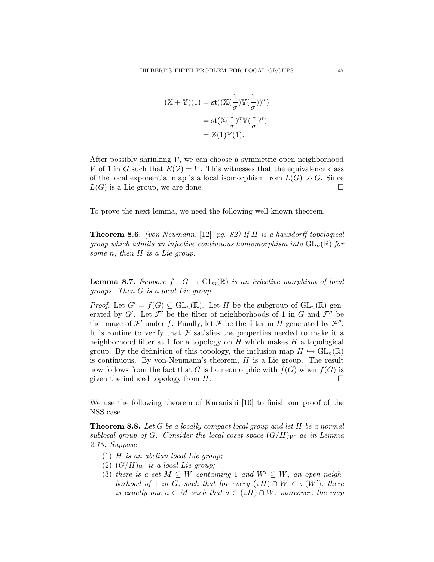$$
(\mathbb{X} + \mathbb{Y})(1) = \operatorname{st}((\mathbb{X}(\frac{1}{\sigma})\mathbb{Y}(\frac{1}{\sigma}))^{\sigma})
$$

$$
= \operatorname{st}(\mathbb{X}(\frac{1}{\sigma})^{\sigma}\mathbb{Y}(\frac{1}{\sigma})^{\sigma})
$$

$$
= \mathbb{X}(1)\mathbb{Y}(1).
$$

After possibly shrinking  $V$ , we can choose a symmetric open neighborhood V of 1 in G such that  $E(V) = V$ . This witnesses that the equivalence class of the local exponential map is a local isomorphism from  $L(G)$  to G. Since  $L(G)$  is a Lie group, we are done.

To prove the next lemma, we need the following well-known theorem.

**Theorem 8.6.** (von Neumann, [12], pg. 82) If  $H$  is a hausdorff topological group which admits an injective continuous homomorphism into  $GL_n(\mathbb{R})$  for some *n*, then *H* is a Lie group.

**Lemma 8.7.** Suppose  $f: G \to GL_n(\mathbb{R})$  is an injective morphism of local groups. Then G is a local Lie group.

*Proof.* Let  $G' = f(G) \subseteq GL_n(\mathbb{R})$ . Let H be the subgroup of  $GL_n(\mathbb{R})$  generated by G'. Let  $\mathcal{F}'$  be the filter of neighborhoods of 1 in G and  $\mathcal{F}''$  be the image of  $\mathcal{F}'$  under f. Finally, let  $\mathcal F$  be the filter in H generated by  $\mathcal{F}''$ . It is routine to verify that  $\mathcal F$  satisfies the properties needed to make it a neighborhood filter at 1 for a topology on  $H$  which makes  $H$  a topological group. By the definition of this topology, the inclusion map  $H \hookrightarrow GL_n(\mathbb{R})$ is continuous. By von-Neumann's theorem,  $H$  is a Lie group. The result now follows from the fact that G is homeomorphic with  $f(G)$  when  $f(G)$  is given the induced topology from  $H$ .

We use the following theorem of Kuranishi [10] to finish our proof of the NSS case.

**Theorem 8.8.** Let G be a locally compact local group and let H be a normal sublocal group of G. Consider the local coset space  $(G/H)_W$  as in Lemma 2.13. Suppose

- (1)  $H$  is an abelian local Lie group;
- (2)  $(G/H)_W$  is a local Lie group;
- (3) there is a set  $M \subseteq W$  containing 1 and  $W' \subseteq W$ , an open neighborhood of 1 in G, such that for every  $(zH) \cap W \in \pi(W')$ , there is exactly one  $a \in M$  such that  $a \in (zH) \cap W$ ; moreover, the map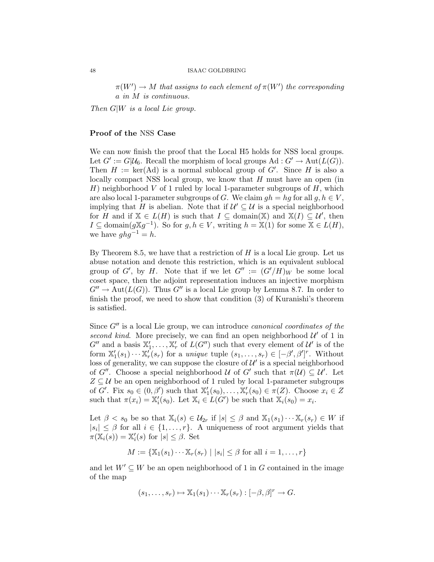$\pi(W') \to M$  that assigns to each element of  $\pi(W')$  the corresponding a in M is continuous.

Then  $G|W$  is a local Lie group.

## Proof of the NSS Case

We can now finish the proof that the Local H5 holds for NSS local groups. Let  $G' := G | \mathcal{U}_6$ . Recall the morphism of local groups  $\mathrm{Ad}: G' \to \mathrm{Aut}(L(G))$ . Then  $H := \text{ker}(\text{Ad})$  is a normal sublocal group of G'. Since H is also a locally compact NSS local group, we know that H must have an open (in H) neighborhood V of 1 ruled by local 1-parameter subgroups of  $H$ , which are also local 1-parameter subgroups of G. We claim  $gh = hg$  for all  $g, h \in V$ , implying that H is abelian. Note that if  $\mathcal{U}' \subseteq \mathcal{U}$  is a special neighborhood for H and if  $X \in L(H)$  is such that  $I \subseteq \text{domain}(\mathbb{X})$  and  $X(I) \subseteq \mathcal{U}'$ , then  $I \subseteq \text{domain}(g \mathbb{X} g^{-1})$ . So for  $g, h \in V$ , writing  $h = \mathbb{X}(1)$  for some  $\mathbb{X} \in L(H)$ , we have  $ghg^{-1} = h$ .

By Theorem 8.5, we have that a restriction of  $H$  is a local Lie group. Let us abuse notation and denote this restriction, which is an equivalent sublocal group of G', by H. Note that if we let  $G'' := (G'/H)_W$  be some local coset space, then the adjoint representation induces an injective morphism  $G'' \to \text{Aut}(L(G))$ . Thus  $G''$  is a local Lie group by Lemma 8.7. In order to finish the proof, we need to show that condition (3) of Kuranishi's theorem is satisfied.

Since  $G''$  is a local Lie group, we can introduce *canonical coordinates of the* second kind. More precisely, we can find an open neighborhood  $\mathcal{U}'$  of 1 in  $G''$  and a basis  $\mathbb{X}'_1, \ldots, \mathbb{X}'_r$  of  $L(G'')$  such that every element of  $\mathcal{U}'$  is of the form  $\mathbb{X}'_1(s_1)\cdots\mathbb{X}'_r(s_r)$  for a unique tuple  $(s_1,\ldots,s_r)\in[-\beta',\beta']^r$ . Without loss of generality, we can suppose the closure of  $\mathcal{U}'$  is a special neighborhood of G''. Choose a special neighborhood U of G' such that  $\pi(\mathcal{U}) \subseteq \mathcal{U}'$ . Let  $Z \subseteq U$  be an open neighborhood of 1 ruled by local 1-parameter subgroups of G'. Fix  $s_0 \in (0, \beta')$  such that  $\mathbb{X}'_1(s_0), \ldots, \mathbb{X}'_r(s_0) \in \pi(Z)$ . Choose  $x_i \in Z$ such that  $\pi(x_i) = \mathbb{X}'_i(s_0)$ . Let  $\mathbb{X}_i \in L(G')$  be such that  $\mathbb{X}_i(s_0) = x_i$ .

Let  $\beta < s_0$  be so that  $\mathbb{X}_i(s) \in \mathcal{U}_{2r}$  if  $|s| \leq \beta$  and  $\mathbb{X}_1(s_1) \cdots \mathbb{X}_r(s_r) \in W$  if  $|s_i| \leq \beta$  for all  $i \in \{1, \ldots, r\}$ . A uniqueness of root argument yields that  $\pi(\mathbb{X}_i(s)) = \mathbb{X}'_i(s)$  for  $|s| \leq \beta$ . Set

$$
M := \{ \mathbb{X}_1(s_1) \cdots \mathbb{X}_r(s_r) \mid |s_i| \leq \beta \text{ for all } i = 1, \ldots, r \}
$$

and let  $W' \subseteq W$  be an open neighborhood of 1 in G contained in the image of the map

$$
(s_1,\ldots,s_r)\mapsto \mathbb{X}_1(s_1)\cdots\mathbb{X}_r(s_r):[-\beta,\beta]^r\to G.
$$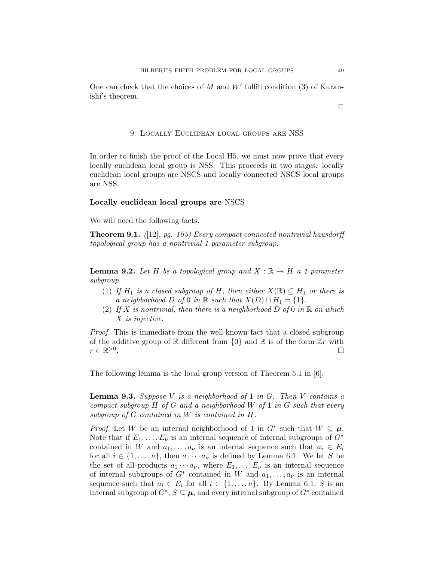One can check that the choices of  $M$  and  $W'$  fulfill condition (3) of Kuranishi's theorem.

## 9. Locally Euclidean local groups are NSS

In order to finish the proof of the Local H5, we must now prove that every locally euclidean local group is NSS. This proceeds in two stages: locally euclidean local groups are NSCS and locally connected NSCS local groups are NSS.

### Locally euclidean local groups are NSCS

We will need the following facts.

**Theorem 9.1.** ([12], pg. 105) Every compact connected nontrivial hausdorff topological group has a nontrivial 1-parameter subgroup.

**Lemma 9.2.** Let H be a topological group and  $X : \mathbb{R} \to H$  a 1-parameter subgroup.

- (1) If  $H_1$  is a closed subgroup of H, then either  $X(\mathbb{R}) \subseteq H_1$  or there is a neighborhood D of 0 in R such that  $X(D) \cap H_1 = \{1\}.$
- (2) If X is nontrivial, then there is a neighborhood D of 0 in  $\mathbb R$  on which X is injective.

Proof. This is immediate from the well-known fact that a closed subgroup of the additive group of  $\mathbb R$  different from  $\{0\}$  and  $\mathbb R$  is of the form  $\mathbb Z_r$  with  $r \in \mathbb{R}^{>0}$ . В последните последните се од селото на селото на селото на селото на селото на селото на селото на селото н<br>Селото на селото на селото на селото на селото на селото на селото на селото на селото на селото на селото на

The following lemma is the local group version of Theorem 5.1 in [6].

**Lemma 9.3.** Suppose V is a neighborhood of 1 in G. Then V contains a compact subgroup  $H$  of  $G$  and a neighborhood  $W$  of  $1$  in  $G$  such that every subgroup of G contained in W is contained in H.

*Proof.* Let W be an internal neighborhood of 1 in  $G^*$  such that  $W \subseteq \mu$ . Note that if  $E_1, \ldots, E_{\nu}$  is an internal sequence of internal subgroups of  $G^*$ contained in W and  $a_1, \ldots, a_{\nu}$  is an internal sequence such that  $a_i \in E_i$ for all  $i \in \{1, \ldots, \nu\}$ , then  $a_1 \cdots a_{\nu}$  is defined by Lemma 6.1. We let S be the set of all products  $a_1 \cdots a_{\nu}$ , where  $E_1, \ldots, E_{\nu}$  is an internal sequence of internal subgroups of  $G^*$  contained in W and  $a_1, \ldots, a_{\nu}$  is an internal sequence such that  $a_i \in E_i$  for all  $i \in \{1, \ldots, \nu\}$ . By Lemma 6.1, S is an internal subgroup of  $G^*, S \subseteq \mu$ , and every internal subgroup of  $G^*$  contained

 $\Box$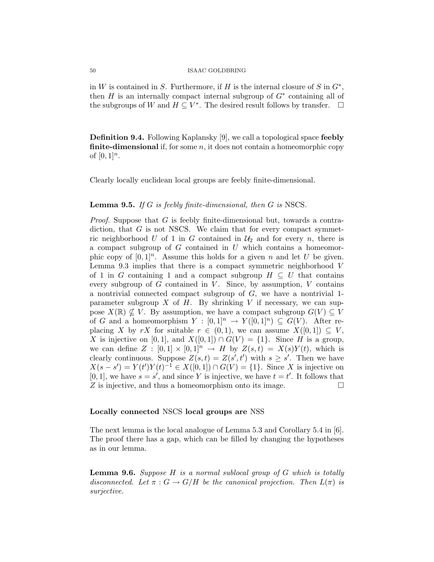in W is contained in S. Furthermore, if H is the internal closure of S in  $G^*$ , then  $H$  is an internally compact internal subgroup of  $G^*$  containing all of the subgroups of W and  $H \subseteq V^*$ . The desired result follows by transfer.  $\Box$ 

Definition 9.4. Following Kaplansky [9], we call a topological space feebly **finite-dimensional** if, for some  $n$ , it does not contain a homeomorphic copy of  $[0, 1]^n$ .

Clearly locally euclidean local groups are feebly finite-dimensional.

## **Lemma 9.5.** If G is feebly finite-dimensional, then G is NSCS.

*Proof.* Suppose that  $G$  is feebly finite-dimensional but, towards a contradiction, that  $G$  is not NSCS. We claim that for every compact symmetric neighborhood U of 1 in G contained in  $\mathcal{U}_2$  and for every n, there is a compact subgroup of  $G$  contained in  $U$  which contains a homeomorphic copy of  $[0, 1]^n$ . Assume this holds for a given n and let U be given. Lemma 9.3 implies that there is a compact symmetric neighborhood V of 1 in G containing 1 and a compact subgroup  $H \subseteq U$  that contains every subgroup of  $G$  contained in  $V$ . Since, by assumption,  $V$  contains a nontrivial connected compact subgroup of  $G$ , we have a nontrivial 1parameter subgroup  $X$  of  $H$ . By shrinking  $V$  if necessary, we can suppose  $X(\mathbb{R}) \nsubseteq V$ . By assumption, we have a compact subgroup  $G(V) \subseteq V$ of G and a homeomorphism  $Y : [0,1]^n \to Y([0,1]^n) \subseteq G(V)$ . After replacing X by rX for suitable  $r \in (0,1)$ , we can assume  $X([0,1]) \subseteq V$ , X is injective on [0,1], and  $X([0,1]) \cap G(V) = \{1\}$ . Since H is a group, we can define  $Z : [0,1] \times [0,1]^{n} \rightarrow H$  by  $Z(s,t) = X(s)Y(t)$ , which is clearly continuous. Suppose  $Z(s,t) = Z(s',t')$  with  $s \geq s'$ . Then we have  $X(s - s') = Y(t')Y(t)^{-1} \in X([0, 1]) \cap G(V) = \{1\}.$  Since X is injective on [0, 1], we have  $s = s'$ , and since Y is injective, we have  $t = t'$ . It follows that  $Z$  is injective, and thus a homeomorphism onto its image.  $\Box$ 

### Locally connected NSCS local groups are NSS

The next lemma is the local analogue of Lemma 5.3 and Corollary 5.4 in [6]. The proof there has a gap, which can be filled by changing the hypotheses as in our lemma.

**Lemma 9.6.** Suppose  $H$  is a normal sublocal group of  $G$  which is totally disconnected. Let  $\pi: G \to G/H$  be the canonical projection. Then  $L(\pi)$  is surjective.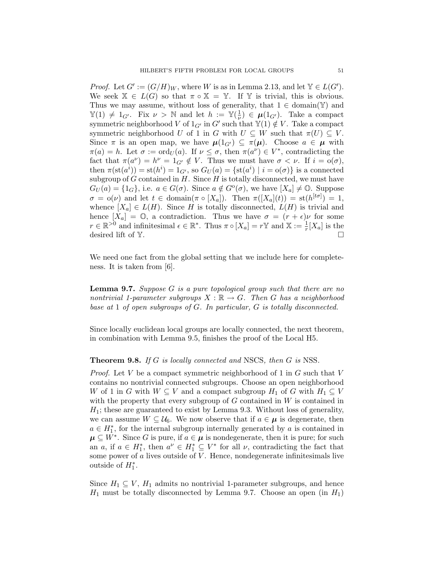*Proof.* Let  $G' := (G/H)_W$ , where W is as in Lemma 2.13, and let  $\mathbb{Y} \in L(G')$ . We seek  $\mathbb{X} \in L(G)$  so that  $\pi \circ \mathbb{X} = \mathbb{Y}$ . If Y is trivial, this is obvious. Thus we may assume, without loss of generality, that  $1 \in \text{domain}(\mathbb{Y})$  and  $\mathbb{Y}(1) \neq 1_{G'}$ . Fix  $\nu > \mathbb{N}$  and let  $h := \mathbb{Y}(\frac{1}{\nu})$  $(\frac{1}{\nu}) \in \mu(1_{G'})$ . Take a compact symmetric neighborhood V of  $1_{G'}$  in  $G'$  such that  $\mathbb{Y}(1) \notin V$ . Take a compact symmetric neighborhood U of 1 in G with  $U \subseteq W$  such that  $\pi(U) \subseteq V$ . Since  $\pi$  is an open map, we have  $\mu(1_{G'}) \subseteq \pi(\mu)$ . Choose  $a \in \mu$  with  $\pi(a) = h$ . Let  $\sigma := \text{ord}_U(a)$ . If  $\nu \leq \sigma$ , then  $\pi(a^{\nu}) \in V^*$ , contradicting the fact that  $\pi(a^{\nu}) = h^{\nu} = 1_{G'} \notin V$ . Thus we must have  $\sigma < \nu$ . If  $i = o(\sigma)$ , then  $\pi(\text{st}(a^i)) = \text{st}(h^i) = 1_{G'}$ , so  $G_U(a) = \{\text{st}(a^i) \mid i = o(\sigma)\}\$ is a connected subgroup of  $G$  contained in  $H$ . Since  $H$  is totally disconnected, we must have  $G_U(a) = \{1_G\}$ , i.e.  $a \in G(\sigma)$ . Since  $a \notin G^{\circ}(\sigma)$ , we have  $[X_a] \neq \mathbb{O}$ . Suppose  $\sigma = o(\nu)$  and let  $t \in \text{domain}(\pi \circ [X_a])$ . Then  $\pi([X_a](t)) = \text{st}(h^{[t\sigma]}) = 1$ , whence  $[X_a] \in L(H)$ . Since H is totally disconnected,  $L(H)$  is trivial and hence  $[X_a] = \mathbb{O}$ , a contradiction. Thus we have  $\sigma = (r + \epsilon)\nu$  for some  $r \in \mathbb{R}^{>0}$  and infinitesimal  $\epsilon \in \mathbb{R}^*$ . Thus  $\pi \circ [X_a] = r \mathbb{Y}$  and  $\mathbb{X} := \frac{1}{r}[X_a]$  is the desired lift of  $Y$ .

We need one fact from the global setting that we include here for completeness. It is taken from [6].

**Lemma 9.7.** Suppose G is a pure topological group such that there are no nontrivial 1-parameter subgroups  $X : \mathbb{R} \to G$ . Then G has a neighborhood base at 1 of open subgroups of G. In particular, G is totally disconnected.

Since locally euclidean local groups are locally connected, the next theorem, in combination with Lemma 9.5, finishes the proof of the Local H5.

#### **Theorem 9.8.** If G is locally connected and NSCS, then G is NSS.

*Proof.* Let V be a compact symmetric neighborhood of 1 in  $G$  such that V contains no nontrivial connected subgroups. Choose an open neighborhood W of 1 in G with  $W \subseteq V$  and a compact subgroup  $H_1$  of G with  $H_1 \subseteq V$ with the property that every subgroup of  $G$  contained in  $W$  is contained in  $H<sub>1</sub>$ ; these are guaranteed to exist by Lemma 9.3. Without loss of generality, we can assume  $W \subseteq \mathcal{U}_6$ . We now observe that if  $a \in \mu$  is degenerate, then  $a \in H_1^*$ , for the internal subgroup internally generated by a is contained in  $\mu \subseteq W^*$ . Since G is pure, if  $a \in \mu$  is nondegenerate, then it is pure; for such an a, if  $a \in H_1^*$ , then  $a^{\nu} \in H_1^* \subseteq V^*$  for all  $\nu$ , contradicting the fact that some power of  $a$  lives outside of  $V$ . Hence, nondegenerate infinitesimals live outside of  $H_1^*$ .

Since  $H_1 \subseteq V$ ,  $H_1$  admits no nontrivial 1-parameter subgroups, and hence  $H_1$  must be totally disconnected by Lemma 9.7. Choose an open (in  $H_1$ )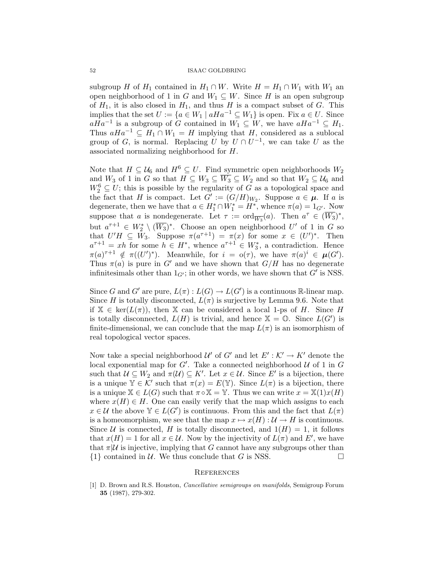subgroup H of  $H_1$  contained in  $H_1 \cap W$ . Write  $H = H_1 \cap W_1$  with  $W_1$  an open neighborhood of 1 in G and  $W_1 \subseteq W$ . Since H is an open subgroup of  $H_1$ , it is also closed in  $H_1$ , and thus H is a compact subset of G. This implies that the set  $U := \{a \in W_1 \mid aHa^{-1} \subseteq W_1\}$  is open. Fix  $a \in U$ . Since  $aHa^{-1}$  is a subgroup of G contained in  $W_1 \subseteq W$ , we have  $aHa^{-1} \subseteq H_1$ . Thus  $aHa^{-1} \subseteq H_1 \cap W_1 = H$  implying that H, considered as a sublocal group of G, is normal. Replacing U by  $U \cap U^{-1}$ , we can take U as the associated normalizing neighborhood for H.

Note that  $H \subseteq \mathcal{U}_6$  and  $H^6 \subseteq U$ . Find symmetric open neighborhoods  $W_2$ and  $W_3$  of 1 in G so that  $H \subseteq W_3 \subseteq \overline{W_3} \subseteq W_2$  and so that  $W_2 \subseteq U_6$  and  $W_2^6 \subseteq U$ ; this is possible by the regularity of G as a topological space and the fact that H is compact. Let  $G' := (G/H)_{W_2}$ . Suppose  $a \in \mu$ . If a is degenerate, then we have that  $a \in H_1^* \cap W_1^* = H^*$ , whence  $\pi(a) = 1_{G'}$ . Now suppose that a is nondegenerate. Let  $\tau := \text{ord}_{\overline{W_3}}(a)$ . Then  $a^{\tau} \in (\overline{W_3})^*$ , but  $a^{\tau+1} \in W_2^* \setminus (\overline{W_3})^*$ . Choose an open neighborhood  $U'$  of 1 in G so that  $U'H \subseteq \overline{W}_3$ . Suppose  $\pi(a^{\tau+1}) = \pi(x)$  for some  $x \in (U')^*$ . Then  $a^{\tau+1} = xh$  for some  $h \in H^*$ , whence  $a^{\tau+1} \in W_3^*$ , a contradiction. Hence  $\pi(a)^{\tau+1} \notin \pi((U')^*)$ . Meanwhile, for  $i = o(\tau)$ , we have  $\pi(a)^i \in \mu(G')$ . Thus  $\pi(a)$  is pure in G' and we have shown that  $G/H$  has no degenerate infinitesimals other than  $1_{G'}$ ; in other words, we have shown that  $G'$  is NSS.

Since G and G' are pure,  $L(\pi): L(G) \to L(G')$  is a continuous R-linear map. Since H is totally disconnected,  $L(\pi)$  is surjective by Lemma 9.6. Note that if  $X \in \text{ker}(L(\pi))$ , then X can be considered a local 1-ps of H. Since H is totally disconnected,  $L(H)$  is trivial, and hence  $\mathbb{X} = \mathbb{O}$ . Since  $L(G')$  is finite-dimensional, we can conclude that the map  $L(\pi)$  is an isomorphism of real topological vector spaces.

Now take a special neighborhood  $\mathcal{U}'$  of  $G'$  and let  $E': \mathcal{K}' \to K'$  denote the local exponential map for  $G'$ . Take a connected neighborhood  $U$  of 1 in  $G$ such that  $\mathcal{U} \subseteq W_2$  and  $\pi(\mathcal{U}) \subseteq K'$ . Let  $x \in \mathcal{U}$ . Since E' is a bijection, there is a unique  $\mathbb{Y} \in \mathcal{K}'$  such that  $\pi(x) = E(\mathbb{Y})$ . Since  $L(\pi)$  is a bijection, there is a unique  $\mathbb{X} \in L(G)$  such that  $\pi \circ \mathbb{X} = \mathbb{Y}$ . Thus we can write  $x = \mathbb{X}(1)x(H)$ where  $x(H) \in H$ . One can easily verify that the map which assigns to each  $x \in \mathcal{U}$  the above  $\mathbb{Y} \in L(G')$  is continuous. From this and the fact that  $L(\pi)$ is a homeomorphism, we see that the map  $x \mapsto x(H) : U \to H$  is continuous. Since U is connected, H is totally disconnected, and  $1(H) = 1$ , it follows that  $x(H) = 1$  for all  $x \in \mathcal{U}$ . Now by the injectivity of  $L(\pi)$  and  $E'$ , we have that  $\pi|\mathcal{U}$  is injective, implying that G cannot have any subgroups other than  $\{1\}$  contained in U. We thus conclude that G is NSS.

#### **REFERENCES**

[1] D. Brown and R.S. Houston, Cancellative semigroups on manifolds, Semigroup Forum 35 (1987), 279-302.